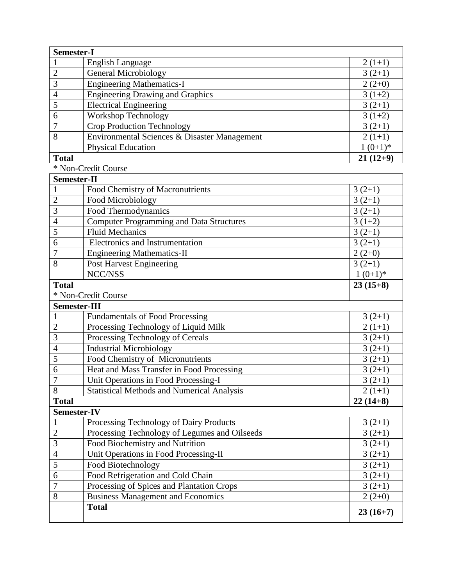| <b>Semester-I</b>        |                                                                                           |                      |
|--------------------------|-------------------------------------------------------------------------------------------|----------------------|
|                          | <b>English Language</b>                                                                   | $2(1+1)$             |
| $\overline{2}$           | <b>General Microbiology</b>                                                               | $3(2+1)$             |
| 3                        | <b>Engineering Mathematics-I</b>                                                          | $2(2+0)$             |
| $\overline{\mathcal{A}}$ | <b>Engineering Drawing and Graphics</b>                                                   | $3(1+2)$             |
| 5                        | <b>Electrical Engineering</b>                                                             | $3(2+1)$             |
| 6                        | Workshop Technology                                                                       | $3(1+2)$             |
| $\overline{7}$           | Crop Production Technology                                                                | $3(2+1)$             |
| 8                        | Environmental Sciences & Disaster Management                                              | $2(1+1)$             |
|                          | <b>Physical Education</b>                                                                 | $1(0+1)*$            |
| <b>Total</b>             |                                                                                           | $21(12+9)$           |
|                          | * Non-Credit Course                                                                       |                      |
| Semester-II              |                                                                                           |                      |
| $\mathbf{1}$             | Food Chemistry of Macronutrients                                                          | $3(2+1)$             |
| $\overline{2}$           | Food Microbiology                                                                         | $3(2+1)$             |
| 3                        | Food Thermodynamics                                                                       | $3(2+1)$             |
| $\overline{4}$           | <b>Computer Programming and Data Structures</b>                                           | $3(1+2)$             |
| 5                        | <b>Fluid Mechanics</b>                                                                    | $3(2+1)$             |
| 6                        | Electronics and Instrumentation                                                           | $3(2+1)$             |
| 7                        | <b>Engineering Mathematics-II</b>                                                         | $2(2+0)$             |
| 8                        | <b>Post Harvest Engineering</b>                                                           | $3(2+1)$             |
|                          | NCC/NSS                                                                                   | $1(0+1)*$            |
| <b>Total</b>             |                                                                                           | $23(15+8)$           |
|                          | * Non-Credit Course                                                                       |                      |
| Semester-III             |                                                                                           |                      |
|                          | <b>Fundamentals of Food Processing</b>                                                    | $3(2+1)$             |
| $\overline{2}$           |                                                                                           |                      |
|                          |                                                                                           | $2(1+1)$             |
| 3                        | Processing Technology of Liquid Milk                                                      |                      |
| $\overline{4}$           | Processing Technology of Cereals                                                          | $3(2+1)$             |
| 5                        | <b>Industrial Microbiology</b><br>Food Chemistry of Micronutrients                        | $3(2+1)$<br>$3(2+1)$ |
| 6                        |                                                                                           | $3(2+1)$             |
| $\overline{7}$           | Heat and Mass Transfer in Food Processing                                                 |                      |
| 8                        | Unit Operations in Food Processing-I<br><b>Statistical Methods and Numerical Analysis</b> | $3(2+1)$<br>$2(1+1)$ |
| <b>Total</b>             |                                                                                           | $22(14+8)$           |
| <b>Semester-IV</b>       |                                                                                           |                      |
|                          | Processing Technology of Dairy Products                                                   | $3(2+1)$             |
| $\overline{2}$           | Processing Technology of Legumes and Oilseeds                                             | $3(2+1)$             |
| 3                        | Food Biochemistry and Nutrition                                                           | $3(2+1)$             |
| $\overline{4}$           |                                                                                           | $3(2+1)$             |
| 5                        | Unit Operations in Food Processing-II<br>Food Biotechnology                               | $3(2+1)$             |
| 6                        | Food Refrigeration and Cold Chain                                                         | $3(2+1)$             |
| $\overline{7}$           |                                                                                           | $3(2+1)$             |
| 8                        | Processing of Spices and Plantation Crops<br><b>Business Management and Economics</b>     | $2(2+0)$             |
|                          | <b>Total</b>                                                                              | $23(16+7)$           |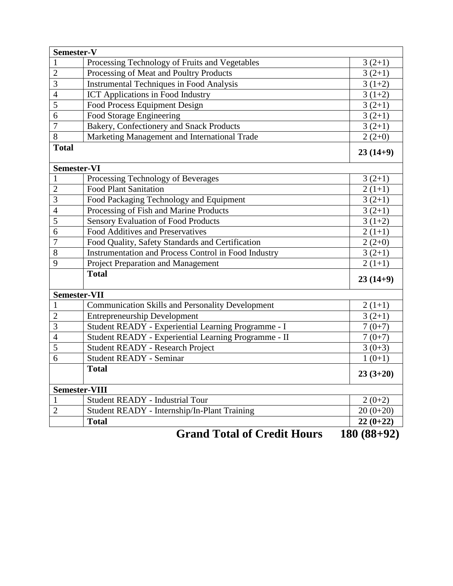| Semester-V           |                                                                  |                                                                                           |
|----------------------|------------------------------------------------------------------|-------------------------------------------------------------------------------------------|
|                      | Processing Technology of Fruits and Vegetables                   | $3(2+1)$                                                                                  |
| $\overline{2}$       | Processing of Meat and Poultry Products                          | $3(2+1)$                                                                                  |
| 3                    | <b>Instrumental Techniques in Food Analysis</b>                  | $3(1+2)$                                                                                  |
| $\overline{4}$       | <b>ICT Applications in Food Industry</b>                         | $3(1+2)$                                                                                  |
| 5                    | Food Process Equipment Design                                    | $3(2+1)$                                                                                  |
| 6                    | Food Storage Engineering                                         | $3(2+1)$                                                                                  |
| $\overline{7}$       | Bakery, Confectionery and Snack Products                         | $3(2+1)$                                                                                  |
| 8                    | Marketing Management and International Trade                     | $2(2+0)$                                                                                  |
| <b>Total</b>         |                                                                  | $23(14+9)$                                                                                |
| <b>Semester-VI</b>   |                                                                  |                                                                                           |
|                      | Processing Technology of Beverages                               | $3(2+1)$                                                                                  |
| $\overline{2}$       | <b>Food Plant Sanitation</b>                                     | $2(1+1)$                                                                                  |
| $\overline{3}$       | Food Packaging Technology and Equipment                          | $3(2+1)$                                                                                  |
| $\overline{4}$       | Processing of Fish and Marine Products                           | $3(2+1)$                                                                                  |
| 5                    | Sensory Evaluation of Food Products                              | $3(1+2)$                                                                                  |
| 6                    | Food Additives and Preservatives                                 | $2(1+1)$                                                                                  |
| $\overline{7}$       | Food Quality, Safety Standards and Certification                 | $2(2+0)$                                                                                  |
| 8                    | Instrumentation and Process Control in Food Industry             | $3(2+1)$                                                                                  |
| 9                    | Project Preparation and Management                               | $2(1+1)$                                                                                  |
|                      | <b>Total</b>                                                     | $23(14+9)$                                                                                |
| <b>Semester-VII</b>  |                                                                  |                                                                                           |
| 1                    | <b>Communication Skills and Personality Development</b>          | $2(1+1)$                                                                                  |
| $\overline{2}$       | <b>Entrepreneurship Development</b>                              | $3(2+1)$                                                                                  |
| 3                    | Student READY - Experiential Learning Programme - I              | $7(0+7)$                                                                                  |
| $\overline{4}$       | Student READY - Experiential Learning Programme - II             | $7(0+7)$                                                                                  |
| 5                    | <b>Student READY - Research Project</b>                          | $3(0+3)$                                                                                  |
| 6                    | <b>Student READY - Seminar</b>                                   | $1(0+1)$                                                                                  |
|                      | <b>Total</b>                                                     | $23(3+20)$                                                                                |
| <b>Semester-VIII</b> |                                                                  |                                                                                           |
|                      | Student READY - Industrial Tour                                  | $2(0+2)$                                                                                  |
| $\overline{2}$       | Student READY - Internship/In-Plant Training                     | $20(0+20)$                                                                                |
|                      | <b>Total</b>                                                     | $22(0+22)$                                                                                |
|                      | $\mathbf{I}$ $\mathbf{m}$ $\mathbf{I}$ $\mathbf{R}$ $\mathbf{A}$ | $\overline{A}$ $\overline{A}$ $\overline{A}$ $\overline{A}$ $\overline{A}$ $\overline{A}$ |

**Grand Total of Credit Hours 180 (88+92)**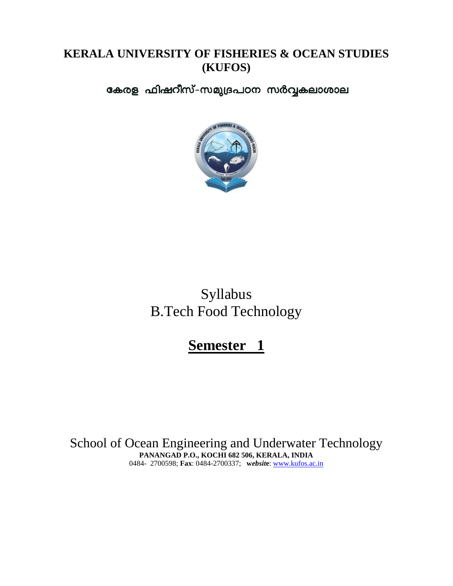## **KERALA UNIVERSITY OF FISHERIES & OCEAN STUDIES (KUFOS)**

കേരള ഫിഷറീസ്-സമുദ്രപഠന സർവ്വകലാശാല



Syllabus B.Tech Food Technology

**Semester 1**

School of Ocean Engineering and Underwater Technology **PANANGAD P.O., KOCHI 682 506, KERALA, INDIA** 0484- 2700598; **Fax**: 0484-2700337; **w***ebsit***e**: [www.kufos.ac.in](http://www.kufos.ac.in/)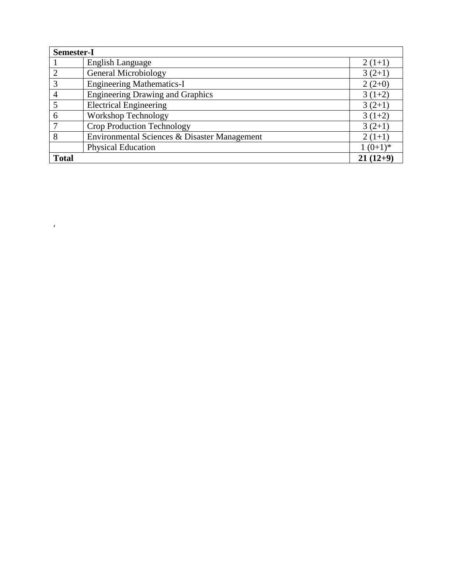| Semester-I   |                                              |            |
|--------------|----------------------------------------------|------------|
|              | <b>English Language</b>                      | $2(1+1)$   |
|              | <b>General Microbiology</b>                  | $3(2+1)$   |
| 3            | <b>Engineering Mathematics-I</b>             | $2(2+0)$   |
| 4            | <b>Engineering Drawing and Graphics</b>      | $3(1+2)$   |
|              | <b>Electrical Engineering</b>                | $3(2+1)$   |
| 6            | <b>Workshop Technology</b>                   | $3(1+2)$   |
|              | <b>Crop Production Technology</b>            | $3(2+1)$   |
| 8            | Environmental Sciences & Disaster Management | $2(1+1)$   |
|              | <b>Physical Education</b>                    | $1(0+1)*$  |
| <b>Total</b> |                                              | $21(12+9)$ |

 $\alpha$  ,  $\beta$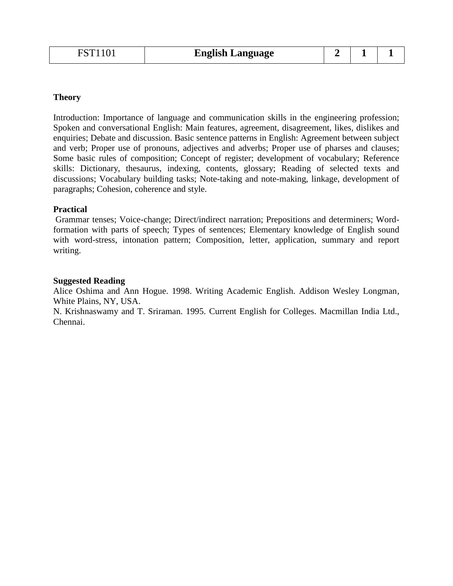| <b>English Language</b> |  |
|-------------------------|--|
|-------------------------|--|

Introduction: Importance of language and communication skills in the engineering profession; Spoken and conversational English: Main features, agreement, disagreement, likes, dislikes and enquiries; Debate and discussion. Basic sentence patterns in English: Agreement between subject and verb; Proper use of pronouns, adjectives and adverbs; Proper use of pharses and clauses; Some basic rules of composition; Concept of register; development of vocabulary; Reference skills: Dictionary, thesaurus, indexing, contents, glossary; Reading of selected texts and discussions; Vocabulary building tasks; Note-taking and note-making, linkage, development of paragraphs; Cohesion, coherence and style.

#### **Practical**

Grammar tenses; Voice-change; Direct/indirect narration; Prepositions and determiners; Wordformation with parts of speech; Types of sentences; Elementary knowledge of English sound with word-stress, intonation pattern; Composition, letter, application, summary and report writing.

#### **Suggested Reading**

Alice Oshima and Ann Hogue. 1998. Writing Academic English. Addison Wesley Longman, White Plains, NY, USA.

N. Krishnaswamy and T. Sriraman. 1995. Current English for Colleges. Macmillan India Ltd., Chennai.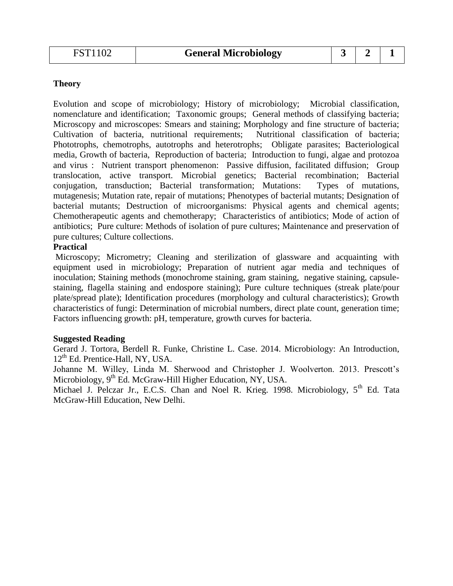Evolution and scope of microbiology; History of microbiology; Microbial classification, nomenclature and identification; Taxonomic groups; General methods of classifying bacteria; Microscopy and microscopes: Smears and staining; Morphology and fine structure of bacteria; Cultivation of bacteria, nutritional requirements; Nutritional classification of bacteria; Phototrophs, chemotrophs, autotrophs and heterotrophs; Obligate parasites; Bacteriological media, Growth of bacteria, Reproduction of bacteria; Introduction to fungi, algae and protozoa and virus : Nutrient transport phenomenon: Passive diffusion, facilitated diffusion; Group translocation, active transport. Microbial genetics; Bacterial recombination; Bacterial conjugation, transduction; Bacterial transformation; Mutations: Types of mutations, mutagenesis; Mutation rate, repair of mutations; Phenotypes of bacterial mutants; Designation of bacterial mutants; Destruction of microorganisms: Physical agents and chemical agents; Chemotherapeutic agents and chemotherapy; Characteristics of antibiotics; Mode of action of antibiotics; Pure culture: Methods of isolation of pure cultures; Maintenance and preservation of pure cultures; Culture collections.

#### **Practical**

Microscopy; Micrometry; Cleaning and sterilization of glassware and acquainting with equipment used in microbiology; Preparation of nutrient agar media and techniques of inoculation; Staining methods (monochrome staining, gram staining, negative staining, capsulestaining, flagella staining and endospore staining); Pure culture techniques (streak plate/pour plate/spread plate); Identification procedures (morphology and cultural characteristics); Growth characteristics of fungi: Determination of microbial numbers, direct plate count, generation time; Factors influencing growth: pH, temperature, growth curves for bacteria.

#### **Suggested Reading**

Gerard J. Tortora, Berdell R. Funke, Christine L. Case. 2014. Microbiology: An Introduction,  $12<sup>th</sup>$  Ed. Prentice-Hall, NY, USA.

Johanne M. Willey, Linda M. Sherwood and Christopher J. Woolverton. 2013. Prescott's Microbiology,  $9<sup>th</sup>$  Ed. McGraw-Hill Higher Education, NY, USA.

Michael J. Pelczar Jr., E.C.S. Chan and Noel R. Krieg. 1998. Microbiology,  $5<sup>th</sup>$  Ed. Tata McGraw-Hill Education, New Delhi.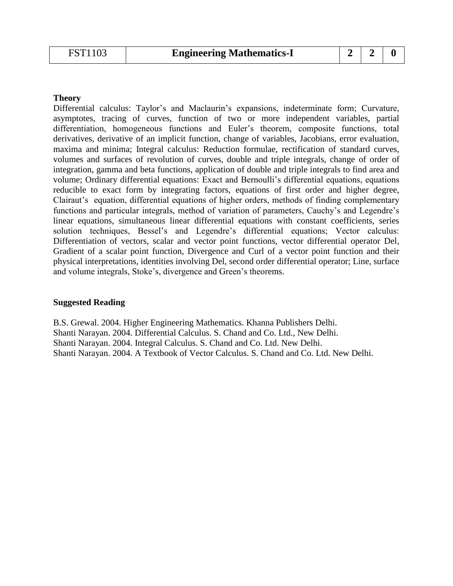Differential calculus: Taylor's and Maclaurin's expansions, indeterminate form; Curvature, asymptotes, tracing of curves, function of two or more independent variables, partial differentiation, homogeneous functions and Euler's theorem, composite functions, total derivatives, derivative of an implicit function, change of variables, Jacobians, error evaluation, maxima and minima; Integral calculus: Reduction formulae, rectification of standard curves, volumes and surfaces of revolution of curves, double and triple integrals, change of order of integration, gamma and beta functions, application of double and triple integrals to find area and volume; Ordinary differential equations: Exact and Bernoulli's differential equations, equations reducible to exact form by integrating factors, equations of first order and higher degree, Clairaut's equation, differential equations of higher orders, methods of finding complementary functions and particular integrals, method of variation of parameters, Cauchy's and Legendre's linear equations, simultaneous linear differential equations with constant coefficients, series solution techniques, Bessel's and Legendre's differential equations; Vector calculus: Differentiation of vectors, scalar and vector point functions, vector differential operator Del, Gradient of a scalar point function, Divergence and Curl of a vector point function and their physical interpretations, identities involving Del, second order differential operator; Line, surface and volume integrals, Stoke's, divergence and Green's theorems.

#### **Suggested Reading**

B.S. Grewal. 2004. Higher Engineering Mathematics. Khanna Publishers Delhi. Shanti Narayan. 2004. Differential Calculus. S. Chand and Co. Ltd., New Delhi. Shanti Narayan. 2004. Integral Calculus. S. Chand and Co. Ltd. New Delhi. Shanti Narayan. 2004. A Textbook of Vector Calculus. S. Chand and Co. Ltd. New Delhi.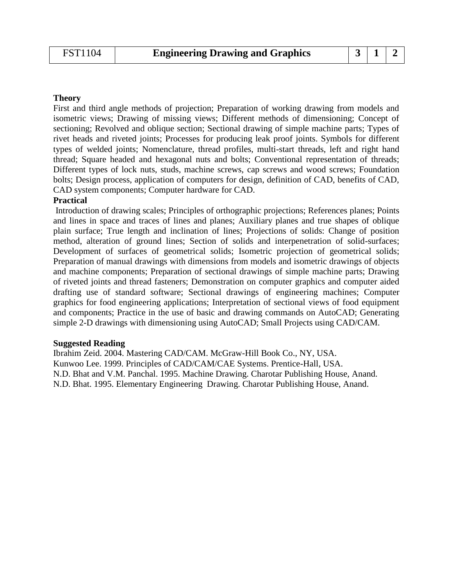First and third angle methods of projection; Preparation of working drawing from models and isometric views; Drawing of missing views; Different methods of dimensioning; Concept of sectioning; Revolved and oblique section; Sectional drawing of simple machine parts; Types of rivet heads and riveted joints; Processes for producing leak proof joints. Symbols for different types of welded joints; Nomenclature, thread profiles, multi-start threads, left and right hand thread; Square headed and hexagonal nuts and bolts; Conventional representation of threads; Different types of lock nuts, studs, machine screws, cap screws and wood screws; Foundation bolts; Design process, application of computers for design, definition of CAD, benefits of CAD, CAD system components; Computer hardware for CAD.

#### **Practical**

Introduction of drawing scales; Principles of orthographic projections; References planes; Points and lines in space and traces of lines and planes; Auxiliary planes and true shapes of oblique plain surface; True length and inclination of lines; Projections of solids: Change of position method, alteration of ground lines; Section of solids and interpenetration of solid-surfaces; Development of surfaces of geometrical solids; Isometric projection of geometrical solids; Preparation of manual drawings with dimensions from models and isometric drawings of objects and machine components; Preparation of sectional drawings of simple machine parts; Drawing of riveted joints and thread fasteners; Demonstration on computer graphics and computer aided drafting use of standard software; Sectional drawings of engineering machines; Computer graphics for food engineering applications; Interpretation of sectional views of food equipment and components; Practice in the use of basic and drawing commands on AutoCAD; Generating simple 2-D drawings with dimensioning using AutoCAD; Small Projects using CAD/CAM.

#### **Suggested Reading**

Ibrahim Zeid. 2004. Mastering CAD/CAM. McGraw-Hill Book Co., NY, USA. Kunwoo Lee. 1999. Principles of CAD/CAM/CAE Systems. Prentice-Hall, USA. N.D. Bhat and V.M. Panchal. 1995. Machine Drawing. Charotar Publishing House, Anand. N.D. Bhat. 1995. Elementary Engineering Drawing. Charotar Publishing House, Anand.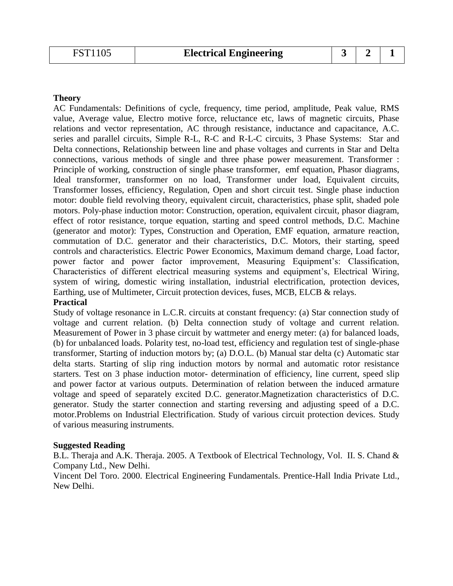AC Fundamentals: Definitions of cycle, frequency, time period, amplitude, Peak value, RMS value, Average value, Electro motive force, reluctance etc, laws of magnetic circuits, Phase relations and vector representation, AC through resistance, inductance and capacitance, A.C. series and parallel circuits, Simple R-L, R-C and R-L-C circuits, 3 Phase Systems: Star and Delta connections, Relationship between line and phase voltages and currents in Star and Delta connections, various methods of single and three phase power measurement. Transformer : Principle of working, construction of single phase transformer, emf equation, Phasor diagrams, Ideal transformer, transformer on no load, Transformer under load, Equivalent circuits, Transformer losses, efficiency, Regulation, Open and short circuit test. Single phase induction motor: double field revolving theory, equivalent circuit, characteristics, phase split, shaded pole motors. Poly-phase induction motor: Construction, operation, equivalent circuit, phasor diagram, effect of rotor resistance, torque equation, starting and speed control methods, D.C. Machine (generator and motor): Types, Construction and Operation, EMF equation, armature reaction, commutation of D.C. generator and their characteristics, D.C. Motors, their starting, speed controls and characteristics. Electric Power Economics, Maximum demand charge, Load factor, power factor and power factor improvement, Measuring Equipment's: Classification, Characteristics of different electrical measuring systems and equipment's, Electrical Wiring, system of wiring, domestic wiring installation, industrial electrification, protection devices, Earthing, use of Multimeter, Circuit protection devices, fuses, MCB, ELCB & relays.

**Practical**

Study of voltage resonance in L.C.R. circuits at constant frequency: (a) Star connection study of voltage and current relation. (b) Delta connection study of voltage and current relation. Measurement of Power in 3 phase circuit by wattmeter and energy meter: (a) for balanced loads, (b) for unbalanced loads. Polarity test, no-load test, efficiency and regulation test of single-phase transformer, Starting of induction motors by; (a) D.O.L. (b) Manual star delta (c) Automatic star delta starts. Starting of slip ring induction motors by normal and automatic rotor resistance starters. Test on 3 phase induction motor- determination of efficiency, line current, speed slip and power factor at various outputs. Determination of relation between the induced armature voltage and speed of separately excited D.C. generator.Magnetization characteristics of D.C. generator. Study the starter connection and starting reversing and adjusting speed of a D.C. motor.Problems on Industrial Electrification. Study of various circuit protection devices. Study of various measuring instruments.

#### **Suggested Reading**

B.L. Theraja and A.K. Theraja. 2005. A Textbook of Electrical Technology, Vol. II. S. Chand & Company Ltd., New Delhi.

Vincent Del Toro. 2000. Electrical Engineering Fundamentals. Prentice-Hall India Private Ltd., New Delhi.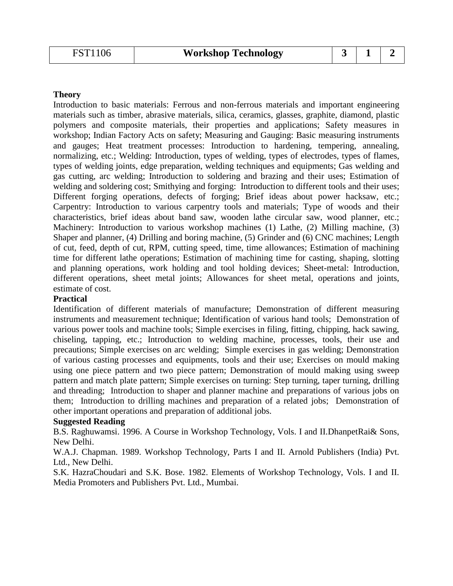Introduction to basic materials: Ferrous and non-ferrous materials and important engineering materials such as timber, abrasive materials, silica, ceramics, glasses, graphite, diamond, plastic polymers and composite materials, their properties and applications; Safety measures in workshop; Indian Factory Acts on safety; Measuring and Gauging: Basic measuring instruments and gauges; Heat treatment processes: Introduction to hardening, tempering, annealing, normalizing, etc.; Welding: Introduction, types of welding, types of electrodes, types of flames, types of welding joints, edge preparation, welding techniques and equipments; Gas welding and gas cutting, arc welding; Introduction to soldering and brazing and their uses; Estimation of welding and soldering cost; Smithying and forging: Introduction to different tools and their uses; Different forging operations, defects of forging; Brief ideas about power hacksaw, etc.; Carpentry: Introduction to various carpentry tools and materials; Type of woods and their characteristics, brief ideas about band saw, wooden lathe circular saw, wood planner, etc.; Machinery: Introduction to various workshop machines (1) Lathe, (2) Milling machine, (3) Shaper and planner, (4) Drilling and boring machine, (5) Grinder and (6) CNC machines; Length of cut, feed, depth of cut, RPM, cutting speed, time, time allowances; Estimation of machining time for different lathe operations; Estimation of machining time for casting, shaping, slotting and planning operations, work holding and tool holding devices; Sheet-metal: Introduction, different operations, sheet metal joints; Allowances for sheet metal, operations and joints, estimate of cost.

#### **Practical**

Identification of different materials of manufacture; Demonstration of different measuring instruments and measurement technique; Identification of various hand tools; Demonstration of various power tools and machine tools; Simple exercises in filing, fitting, chipping, hack sawing, chiseling, tapping, etc.; Introduction to welding machine, processes, tools, their use and precautions; Simple exercises on arc welding; Simple exercises in gas welding; Demonstration of various casting processes and equipments, tools and their use; Exercises on mould making using one piece pattern and two piece pattern; Demonstration of mould making using sweep pattern and match plate pattern; Simple exercises on turning: Step turning, taper turning, drilling and threading; Introduction to shaper and planner machine and preparations of various jobs on them; Introduction to drilling machines and preparation of a related jobs; Demonstration of other important operations and preparation of additional jobs.

#### **Suggested Reading**

B.S. Raghuwamsi. 1996. A Course in Workshop Technology, Vols. I and II.DhanpetRai& Sons, New Delhi.

W.A.J. Chapman. 1989. Workshop Technology, Parts I and II. Arnold Publishers (India) Pvt. Ltd., New Delhi.

S.K. HazraChoudari and S.K. Bose. 1982. Elements of Workshop Technology, Vols. I and II. Media Promoters and Publishers Pvt. Ltd., Mumbai.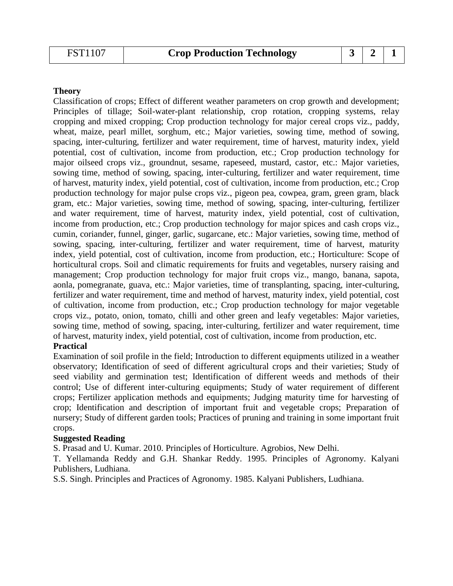Classification of crops; Effect of different weather parameters on crop growth and development; Principles of tillage; Soil-water-plant relationship, crop rotation, cropping systems, relay cropping and mixed cropping; Crop production technology for major cereal crops viz., paddy, wheat, maize, pearl millet, sorghum, etc.; Major varieties, sowing time, method of sowing, spacing, inter-culturing, fertilizer and water requirement, time of harvest, maturity index, yield potential, cost of cultivation, income from production, etc.; Crop production technology for major oilseed crops viz., groundnut, sesame, rapeseed, mustard, castor, etc.: Major varieties, sowing time, method of sowing, spacing, inter-culturing, fertilizer and water requirement, time of harvest, maturity index, yield potential, cost of cultivation, income from production, etc.; Crop production technology for major pulse crops viz., pigeon pea, cowpea, gram, green gram, black gram, etc.: Major varieties, sowing time, method of sowing, spacing, inter-culturing, fertilizer and water requirement, time of harvest, maturity index, yield potential, cost of cultivation, income from production, etc.; Crop production technology for major spices and cash crops viz., cumin, coriander, funnel, ginger, garlic, sugarcane, etc.: Major varieties, sowing time, method of sowing, spacing, inter-culturing, fertilizer and water requirement, time of harvest, maturity index, yield potential, cost of cultivation, income from production, etc.; Horticulture: Scope of horticultural crops. Soil and climatic requirements for fruits and vegetables, nursery raising and management; Crop production technology for major fruit crops viz., mango, banana, sapota, aonla, pomegranate, guava, etc.: Major varieties, time of transplanting, spacing, inter-culturing, fertilizer and water requirement, time and method of harvest, maturity index, yield potential, cost of cultivation, income from production, etc.; Crop production technology for major vegetable crops viz., potato, onion, tomato, chilli and other green and leafy vegetables: Major varieties, sowing time, method of sowing, spacing, inter-culturing, fertilizer and water requirement, time of harvest, maturity index, yield potential, cost of cultivation, income from production, etc.

#### **Practical**

Examination of soil profile in the field; Introduction to different equipments utilized in a weather observatory; Identification of seed of different agricultural crops and their varieties; Study of seed viability and germination test; Identification of different weeds and methods of their control; Use of different inter-culturing equipments; Study of water requirement of different crops; Fertilizer application methods and equipments; Judging maturity time for harvesting of crop; Identification and description of important fruit and vegetable crops; Preparation of nursery; Study of different garden tools; Practices of pruning and training in some important fruit crops.

#### **Suggested Reading**

S. Prasad and U. Kumar. 2010. Principles of Horticulture. Agrobios, New Delhi.

T. Yellamanda Reddy and G.H. Shankar Reddy. 1995. Principles of Agronomy. Kalyani Publishers, Ludhiana.

S.S. Singh. Principles and Practices of Agronomy. 1985. Kalyani Publishers, Ludhiana.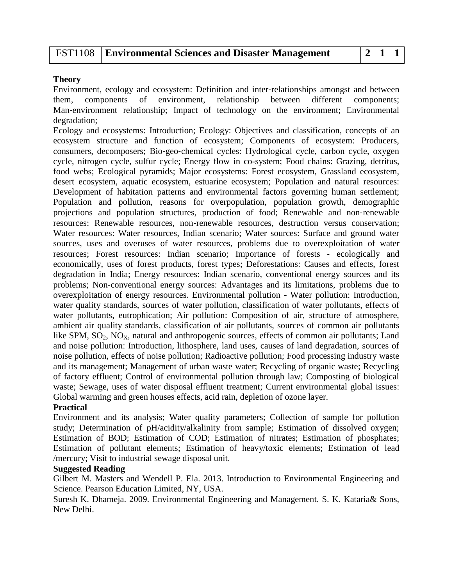### FST1108 **Environmental Sciences and Disaster Management 2 1 1**

#### **Theory**

Environment, ecology and ecosystem: Definition and inter‐relationships amongst and between them, components of environment, relationship between different components; Man-environment relationship; Impact of technology on the environment; Environmental degradation;

Ecology and ecosystems: Introduction; Ecology: Objectives and classification, concepts of an ecosystem structure and function of ecosystem; Components of ecosystem: Producers, consumers, decomposers; Bio‐geo‐chemical cycles: Hydrological cycle, carbon cycle, oxygen cycle, nitrogen cycle, sulfur cycle; Energy flow in co-system; Food chains: Grazing, detritus, food webs; Ecological pyramids; Major ecosystems: Forest ecosystem, Grassland ecosystem, desert ecosystem, aquatic ecosystem, estuarine ecosystem; Population and natural resources: Development of habitation patterns and environmental factors governing human settlement; Population and pollution, reasons for overpopulation, population growth, demographic projections and population structures, production of food; Renewable and non‐renewable resources: Renewable resources, non-renewable resources, destruction versus conservation; Water resources: Water resources, Indian scenario; Water sources: Surface and ground water sources, uses and overuses of water resources, problems due to overexploitation of water resources; Forest resources: Indian scenario; Importance of forests ‐ ecologically and economically, uses of forest products, forest types; Deforestations: Causes and effects, forest degradation in India; Energy resources: Indian scenario, conventional energy sources and its problems; Non-conventional energy sources: Advantages and its limitations, problems due to overexploitation of energy resources. Environmental pollution - Water pollution: Introduction, water quality standards, sources of water pollution, classification of water pollutants, effects of water pollutants, eutrophication; Air pollution: Composition of air, structure of atmosphere, ambient air quality standards, classification of air pollutants, sources of common air pollutants like SPM,  $SO_2$ ,  $NO_x$ , natural and anthropogenic sources, effects of common air pollutants; Land and noise pollution: Introduction, lithosphere, land uses, causes of land degradation, sources of noise pollution, effects of noise pollution; Radioactive pollution; Food processing industry waste and its management; Management of urban waste water; Recycling of organic waste; Recycling of factory effluent; Control of environmental pollution through law; Composting of biological waste; Sewage, uses of water disposal effluent treatment; Current environmental global issues: Global warming and green houses effects, acid rain, depletion of ozone layer.

#### **Practical**

Environment and its analysis; Water quality parameters; Collection of sample for pollution study; Determination of pH/acidity/alkalinity from sample; Estimation of dissolved oxygen; Estimation of BOD; Estimation of COD; Estimation of nitrates; Estimation of phosphates; Estimation of pollutant elements; Estimation of heavy/toxic elements; Estimation of lead /mercury; Visit to industrial sewage disposal unit.

#### **Suggested Reading**

Gilbert M. Masters and Wendell P. Ela. 2013. Introduction to Environmental Engineering and Science. Pearson Education Limited, NY, USA.

Suresh K. Dhameja. 2009. Environmental Engineering and Management. S. K. Kataria& Sons, New Delhi.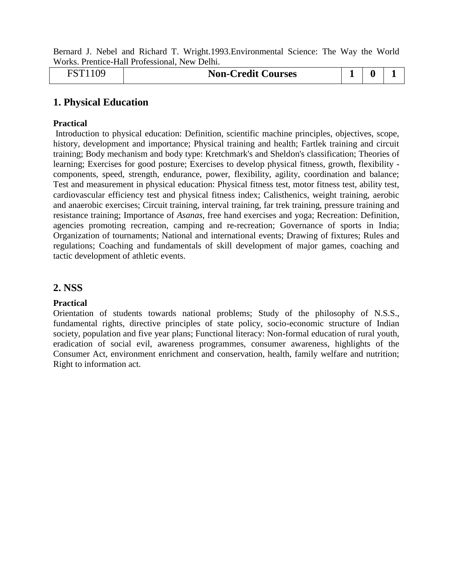Bernard J. Nebel and Richard T. Wright.1993.Environmental Science: The Way the World Works. Prentice-Hall Professional, New Delhi.

| mm1<br>109<br>j | <b>Non-Credit Courses</b> | - | o |  |  |
|-----------------|---------------------------|---|---|--|--|
|-----------------|---------------------------|---|---|--|--|

### **1. Physical Education**

#### **Practical**

Introduction to physical education: Definition, scientific machine principles, objectives, scope, history, development and importance; Physical training and health; Fartlek training and circuit training; Body mechanism and body type: Kretchmark's and Sheldon's classification; Theories of learning; Exercises for good posture; Exercises to develop physical fitness, growth, flexibility components, speed, strength, endurance, power, flexibility, agility, coordination and balance; Test and measurement in physical education: Physical fitness test, motor fitness test, ability test, cardiovascular efficiency test and physical fitness index; Calisthenics, weight training, aerobic and anaerobic exercises; Circuit training, interval training, far trek training, pressure training and resistance training; Importance of *Asanas*, free hand exercises and yoga; Recreation: Definition, agencies promoting recreation, camping and re-recreation; Governance of sports in India; Organization of tournaments; National and international events; Drawing of fixtures; Rules and regulations; Coaching and fundamentals of skill development of major games, coaching and tactic development of athletic events.

### **2. NSS**

#### **Practical**

Orientation of students towards national problems; Study of the philosophy of N.S.S., fundamental rights, directive principles of state policy, socio-economic structure of Indian society, population and five year plans; Functional literacy: Non-formal education of rural youth, eradication of social evil, awareness programmes, consumer awareness, highlights of the Consumer Act, environment enrichment and conservation, health, family welfare and nutrition; Right to information act.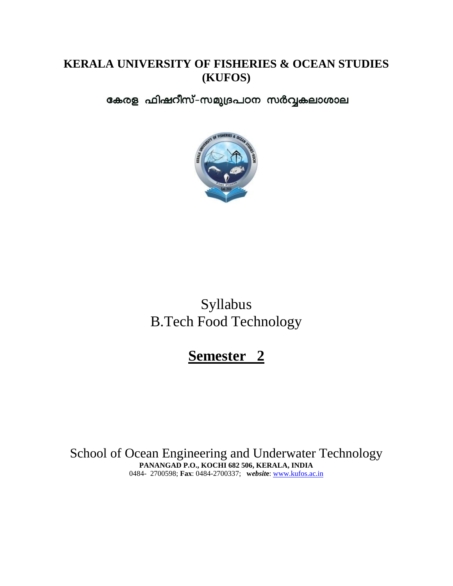## **KERALA UNIVERSITY OF FISHERIES & OCEAN STUDIES (KUFOS)**

കേരള ഫിഷറീസ്-സമുദ്രപഠന സർവ്വകലാശാല



# Syllabus B.Tech Food Technology

# **Semester 2**

School of Ocean Engineering and Underwater Technology **PANANGAD P.O., KOCHI 682 506, KERALA, INDIA** 0484- 2700598; **Fax**: 0484-2700337; **w***ebsit***e**: [www.kufos.ac.in](http://www.kufos.ac.in/)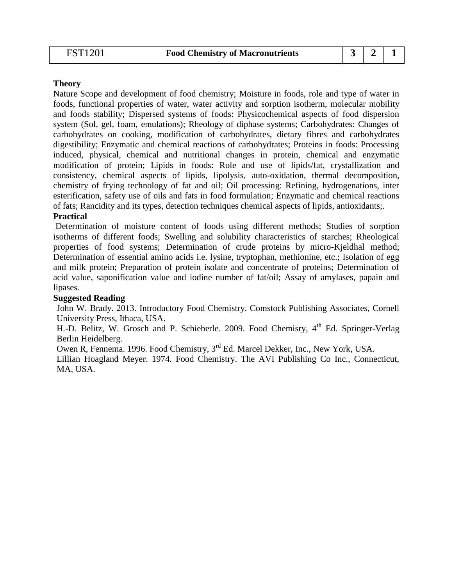| FST1201 | <b>Food Chemistry of Macronutrients</b> |  |  |
|---------|-----------------------------------------|--|--|
|         |                                         |  |  |

Nature Scope and development of food chemistry; Moisture in foods, role and type of water in foods, functional properties of water, water activity and sorption isotherm, molecular mobility and foods stability; Dispersed systems of foods: Physicochemical aspects of food dispersion system (Sol, gel, foam, emulations); Rheology of diphase systems; Carbohydrates: Changes of carbohydrates on cooking, modification of carbohydrates, dietary fibres and carbohydrates digestibility; Enzymatic and chemical reactions of carbohydrates; Proteins in foods: Processing induced, physical, chemical and nutritional changes in protein, chemical and enzymatic modification of protein; Lipids in foods: Role and use of lipids/fat, crystallization and consistency, chemical aspects of lipids, lipolysis, auto-oxidation, thermal decomposition, chemistry of frying technology of fat and oil; Oil processing: Refining, hydrogenations, inter esterification, safety use of oils and fats in food formulation; Enzymatic and chemical reactions of fats; Rancidity and its types, detection techniques chemical aspects of lipids, antioxidants;.

#### **Practical**

Determination of moisture content of foods using different methods; Studies of sorption isotherms of different foods; Swelling and solubility characteristics of starches; Rheological properties of food systems; Determination of crude proteins by micro-Kjeldhal method; Determination of essential amino acids i.e. lysine, tryptophan, methionine, etc.; Isolation of egg and milk protein; Preparation of protein isolate and concentrate of proteins; Determination of acid value, saponification value and iodine number of fat/oil; Assay of amylases, papain and lipases.

#### **Suggested Reading**

John W. Brady. 2013. Introductory Food Chemistry. Comstock Publishing Associates, Cornell University Press, Ithaca, USA.

H.-D. Belitz, W. Grosch and P. Schieberle. 2009. Food Chemisry, 4<sup>th</sup> Ed. Springer-Verlag Berlin Heidelberg.

Owen R, Fennema. 1996. Food Chemistry, 3rd Ed. Marcel Dekker, Inc., New York, USA.

Lillian Hoagland Meyer. 1974. Food Chemistry. The AVI Publishing Co Inc., Connecticut, MA, USA.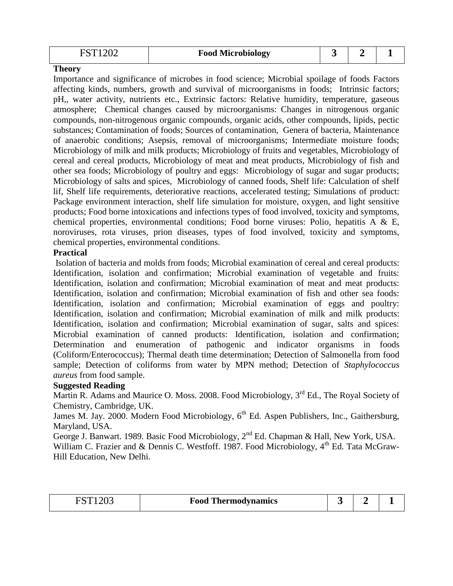| 20T1202 | <b>Food Microbiology</b> |  |  |
|---------|--------------------------|--|--|
|         |                          |  |  |

Importance and significance of microbes in food science; Microbial spoilage of foods Factors affecting kinds, numbers, growth and survival of microorganisms in foods; Intrinsic factors; pH,, water activity, nutrients etc., Extrinsic factors: Relative humidity, temperature, gaseous atmosphere; Chemical changes caused by microorganisms: Changes in nitrogenous organic compounds, non-nitrogenous organic compounds, organic acids, other compounds, lipids, pectic substances; Contamination of foods; Sources of contamination, Genera of bacteria, Maintenance of anaerobic conditions; Asepsis, removal of microorganisms; Intermediate moisture foods; Microbiology of milk and milk products; Microbiology of fruits and vegetables, Microbiology of cereal and cereal products, Microbiology of meat and meat products, Microbiology of fish and other sea foods; Microbiology of poultry and eggs: Microbiology of sugar and sugar products; Microbiology of salts and spices, Microbiology of canned foods, Shelf life: Calculation of shelf lif, Shelf life requirements, deteriorative reactions, accelerated testing; Simulations of product: Package environment interaction, shelf life simulation for moisture, oxygen, and light sensitive products; Food borne intoxications and infections types of food involved, toxicity and symptoms, chemical properties, environmental conditions; Food borne viruses: Polio, hepatitis A & E, noroviruses, rota viruses, prion diseases, types of food involved, toxicity and symptoms, chemical properties, environmental conditions.

#### **Practical**

Isolation of bacteria and molds from foods; Microbial examination of cereal and cereal products: Identification, isolation and confirmation; Microbial examination of vegetable and fruits: Identification, isolation and confirmation; Microbial examination of meat and meat products: Identification, isolation and confirmation; Microbial examination of fish and other sea foods: Identification, isolation and confirmation; Microbial examination of eggs and poultry: Identification, isolation and confirmation; Microbial examination of milk and milk products: Identification, isolation and confirmation; Microbial examination of sugar, salts and spices: Microbial examination of canned products: Identification, isolation and confirmation; Determination and enumeration of pathogenic and indicator organisms in foods (Coliform/Enterococcus); Thermal death time determination; Detection of Salmonella from food sample; Detection of coliforms from water by MPN method; Detection of *Staphylococcus aureus* from food sample.

#### **Suggested Reading**

Martin R. Adams and Maurice O. Moss. 2008. Food Microbiology, 3<sup>rd</sup> Ed., The Royal Society of Chemistry, Cambridge, UK.

James M. Jay. 2000. Modern Food Microbiology, 6<sup>th</sup> Ed. Aspen Publishers, Inc., Gaithersburg, Maryland, USA.

George J. Banwart. 1989. Basic Food Microbiology, 2<sup>nd</sup> Ed. Chapman & Hall, New York, USA. William C. Frazier and & Dennis C. Westfoff. 1987. Food Microbiology,  $4<sup>th</sup>$  Ed. Tata McGraw-Hill Education, New Delhi.

| EST1202 | <b>Food Thermodynamics</b> |  |  |
|---------|----------------------------|--|--|
|         |                            |  |  |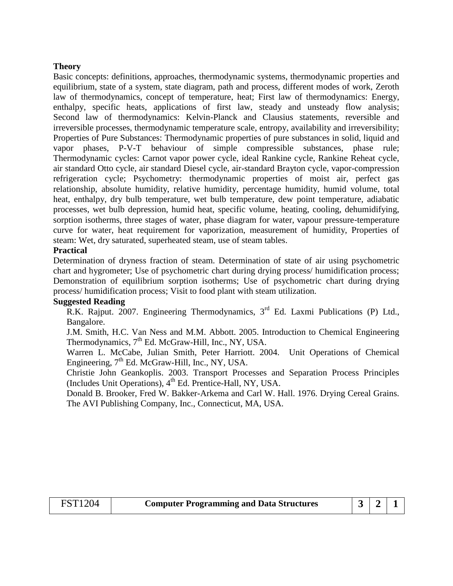Basic concepts: definitions, approaches, thermodynamic systems, thermodynamic properties and equilibrium, state of a system, state diagram, path and process, different modes of work, Zeroth law of thermodynamics, concept of temperature, heat; First law of thermodynamics: Energy, enthalpy, specific heats, applications of first law, steady and unsteady flow analysis; Second law of thermodynamics: Kelvin-Planck and Clausius statements, reversible and irreversible processes, thermodynamic temperature scale, entropy, availability and irreversibility; Properties of Pure Substances: Thermodynamic properties of pure substances in solid, liquid and vapor phases, P-V-T behaviour of simple compressible substances, phase rule; Thermodynamic cycles: Carnot vapor power cycle, ideal Rankine cycle, Rankine Reheat cycle, air standard Otto cycle, air standard Diesel cycle, air-standard Brayton cycle, vapor-compression refrigeration cycle; Psychometry: thermodynamic properties of moist air, perfect gas relationship, absolute humidity, relative humidity, percentage humidity, humid volume, total heat, enthalpy, dry bulb temperature, wet bulb temperature, dew point temperature, adiabatic processes, wet bulb depression, humid heat, specific volume, heating, cooling, dehumidifying, sorption isotherms, three stages of water, phase diagram for water, vapour pressure-temperature curve for water, heat requirement for vaporization, measurement of humidity, Properties of steam: Wet, dry saturated, superheated steam, use of steam tables.

#### **Practical**

Determination of dryness fraction of steam. Determination of state of air using psychometric chart and hygrometer; Use of psychometric chart during drying process/ humidification process; Demonstration of equilibrium sorption isotherms; Use of psychometric chart during drying process/ humidification process; Visit to food plant with steam utilization.

#### **Suggested Reading**

R.K. Rajput. 2007. Engineering Thermodynamics,  $3<sup>rd</sup>$  Ed. Laxmi Publications (P) Ltd., Bangalore.

J.M. Smith, H.C. Van Ness and M.M. Abbott. 2005. Introduction to Chemical Engineering Thermodynamics,  $7<sup>th</sup>$  Ed. McGraw-Hill, Inc., NY, USA.

Warren L. McCabe, Julian Smith, Peter Harriott. 2004. Unit Operations of Chemical Engineering,  $7<sup>th</sup>$  Ed. McGraw-Hill, Inc., NY, USA.

Christie John Geankoplis. 2003. Transport Processes and Separation Process Principles (Includes Unit Operations), 4<sup>th</sup> Ed. Prentice-Hall, NY, USA.

Donald B. Brooker, Fred W. Bakker-Arkema and Carl W. Hall. 1976. Drying Cereal Grains. The AVI Publishing Company, Inc., Connecticut, MA, USA.

| <b>FST1204</b> | <b>Computer Programming and Data Structures</b> | $321$ |  |  |  |
|----------------|-------------------------------------------------|-------|--|--|--|
|----------------|-------------------------------------------------|-------|--|--|--|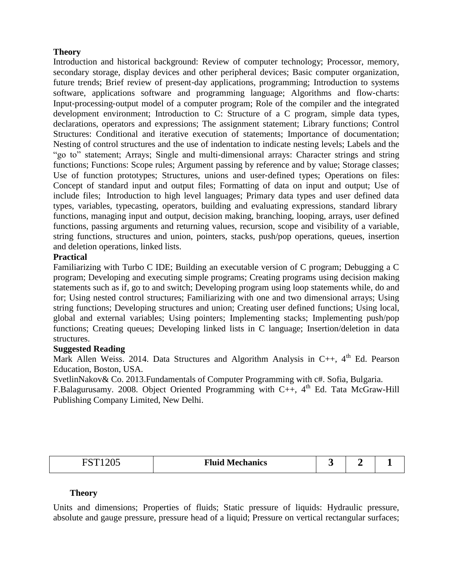Introduction and historical background: Review of computer technology; Processor, memory, secondary storage, display devices and other peripheral devices; Basic computer organization, future trends; Brief review of present-day applications, programming; Introduction to systems software, applications software and programming language; Algorithms and flow‐charts: Input‐processing‐output model of a computer program; Role of the compiler and the integrated development environment; Introduction to C: Structure of a C program, simple data types, declarations, operators and expressions; The assignment statement; Library functions; Control Structures: Conditional and iterative execution of statements; Importance of documentation; Nesting of control structures and the use of indentation to indicate nesting levels; Labels and the "go to" statement; Arrays; Single and multi‐dimensional arrays: Character strings and string functions; Functions: Scope rules; Argument passing by reference and by value; Storage classes; Use of function prototypes; Structures, unions and user-defined types; Operations on files: Concept of standard input and output files; Formatting of data on input and output; Use of include files; Introduction to high level languages; Primary data types and user defined data types, variables, typecasting, operators, building and evaluating expressions, standard library functions, managing input and output, decision making, branching, looping, arrays, user defined functions, passing arguments and returning values, recursion, scope and visibility of a variable, string functions, structures and union, pointers, stacks, push/pop operations, queues, insertion and deletion operations, linked lists.

#### **Practical**

Familiarizing with Turbo C IDE; Building an executable version of C program; Debugging a C program; Developing and executing simple programs; Creating programs using decision making statements such as if, go to and switch; Developing program using loop statements while, do and for; Using nested control structures; Familiarizing with one and two dimensional arrays; Using string functions; Developing structures and union; Creating user defined functions; Using local, global and external variables; Using pointers; Implementing stacks; Implementing push/pop functions; Creating queues; Developing linked lists in C language; Insertion/deletion in data structures.

#### **Suggested Reading**

Mark Allen Weiss. 2014. Data Structures and Algorithm Analysis in C++,  $4^{\text{th}}$  Ed. Pearson Education, Boston, USA.

SvetlinNakov& Co. 2013.Fundamentals of Computer Programming with c#. Sofia, Bulgaria.

F.Balagurusamy. 2008. Object Oriented Programming with C++,  $4<sup>th</sup>$  Ed. Tata McGraw-Hill Publishing Company Limited, New Delhi.

| TOT<br>100F<br>14UJ<br>~ | <b>Fluid Mechanics</b> |  |  |  |
|--------------------------|------------------------|--|--|--|
|--------------------------|------------------------|--|--|--|

#### **Theory**

Units and dimensions; Properties of fluids; Static pressure of liquids: Hydraulic pressure, absolute and gauge pressure, pressure head of a liquid; Pressure on vertical rectangular surfaces;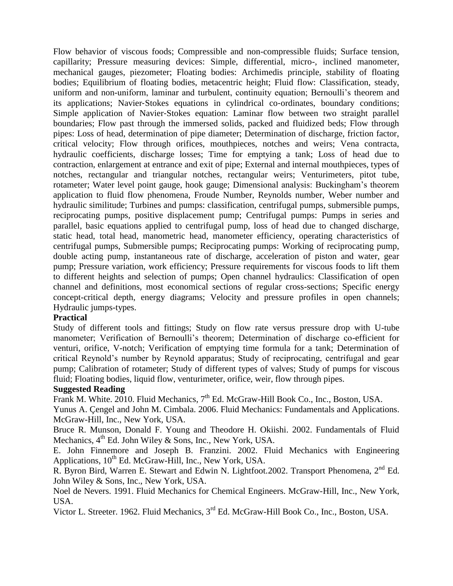Flow behavior of viscous foods; Compressible and non-compressible fluids; Surface tension, capillarity; Pressure measuring devices: Simple, differential, micro-, inclined manometer, mechanical gauges, piezometer; Floating bodies: Archimedis principle, stability of floating bodies; Equilibrium of floating bodies, metacentric height; Fluid flow: Classification, steady, uniform and non-uniform, laminar and turbulent, continuity equation; Bernoulli's theorem and its applications; Navier-Stokes equations in cylindrical co-ordinates, boundary conditions; Simple application of Navier-Stokes equation: Laminar flow between two straight parallel boundaries; Flow past through the immersed solids, packed and fluidized beds; Flow through pipes: Loss of head, determination of pipe diameter; Determination of discharge, friction factor, critical velocity; Flow through orifices, mouthpieces, notches and weirs; Vena contracta, hydraulic coefficients, discharge losses; Time for emptying a tank; Loss of head due to contraction, enlargement at entrance and exit of pipe; External and internal mouthpieces, types of notches, rectangular and triangular notches, rectangular weirs; Venturimeters, pitot tube, rotameter; Water level point gauge, hook gauge; Dimensional analysis: Buckingham's theorem application to fluid flow phenomena, Froude Number, Reynolds number, Weber number and hydraulic similitude; Turbines and pumps: classification, centrifugal pumps, submersible pumps, reciprocating pumps, positive displacement pump; Centrifugal pumps: Pumps in series and parallel, basic equations applied to centrifugal pump, loss of head due to changed discharge, static head, total head, manometric head, manometer efficiency, operating characteristics of centrifugal pumps, Submersible pumps; Reciprocating pumps: Working of reciprocating pump, double acting pump, instantaneous rate of discharge, acceleration of piston and water, gear pump; Pressure variation, work efficiency; Pressure requirements for viscous foods to lift them to different heights and selection of pumps; Open channel hydraulics: Classification of open channel and definitions, most economical sections of regular cross-sections; Specific energy concept-critical depth, energy diagrams; Velocity and pressure profiles in open channels; Hydraulic jumps-types.

#### **Practical**

Study of different tools and fittings; Study on flow rate versus pressure drop with U-tube manometer; Verification of Bernoulli's theorem; Determination of discharge co-efficient for venturi, orifice, V-notch; Verification of emptying time formula for a tank; Determination of critical Reynold's number by Reynold apparatus; Study of reciprocating, centrifugal and gear pump; Calibration of rotameter; Study of different types of valves; Study of pumps for viscous fluid; Floating bodies, liquid flow, venturimeter, orifice, weir, flow through pipes.

#### **Suggested Reading**

Frank M. White. 2010. Fluid Mechanics,  $7<sup>th</sup>$  Ed. McGraw-Hill Book Co., Inc., Boston, USA.

Yunus A. Çengel and John M. Cimbala. 2006. Fluid Mechanics: Fundamentals and Applications. McGraw-Hill, Inc., New York, USA.

Bruce R. Munson, Donald F. Young and Theodore H. Okiishi. 2002. Fundamentals of Fluid Mechanics,  $4<sup>th</sup>$  Ed. John Wiley & Sons, Inc., New York, USA.

E. John Finnemore and Joseph B. Franzini. 2002. Fluid Mechanics with Engineering Applications,  $10^{th}$  Ed. McGraw-Hill, Inc., New York, USA.

R. Byron Bird, Warren E. Stewart and Edwin N. Lightfoot.2002. Transport Phenomena, 2<sup>nd</sup> Ed. John Wiley & Sons, Inc., New York, USA.

Noel de Nevers. 1991. Fluid Mechanics for Chemical Engineers. McGraw-Hill, Inc., New York, USA.

Victor L. Streeter. 1962. Fluid Mechanics, 3rd Ed. McGraw-Hill Book Co., Inc., Boston, USA.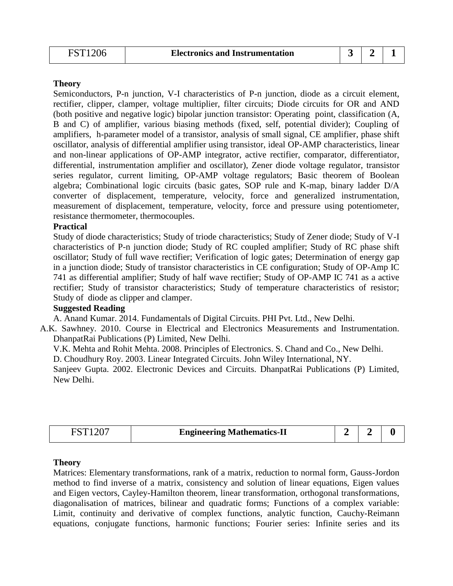Semiconductors, P-n junction, V-I characteristics of P-n junction, diode as a circuit element, rectifier, clipper, clamper, voltage multiplier, filter circuits; Diode circuits for OR and AND (both positive and negative logic) bipolar junction transistor: Operating point, classification (A, B and C) of amplifier, various biasing methods (fixed, self, potential divider); Coupling of amplifiers, h-parameter model of a transistor, analysis of small signal, CE amplifier, phase shift oscillator, analysis of differential amplifier using transistor, ideal OP-AMP characteristics, linear and non-linear applications of OP-AMP integrator, active rectifier, comparator, differentiator, differential, instrumentation amplifier and oscillator), Zener diode voltage regulator, transistor series regulator, current limiting, OP-AMP voltage regulators; Basic theorem of Boolean algebra; Combinational logic circuits (basic gates, SOP rule and K-map, binary ladder D/A converter of displacement, temperature, velocity, force and generalized instrumentation, measurement of displacement, temperature, velocity, force and pressure using potentiometer, resistance thermometer, thermocouples.

#### **Practical**

Study of diode characteristics; Study of triode characteristics; Study of Zener diode; Study of V-I characteristics of P-n junction diode; Study of RC coupled amplifier; Study of RC phase shift oscillator; Study of full wave rectifier; Verification of logic gates; Determination of energy gap in a junction diode; Study of transistor characteristics in CE configuration; Study of OP-Amp IC 741 as differential amplifier; Study of half wave rectifier; Study of OP-AMP IC 741 as a active rectifier; Study of transistor characteristics; Study of temperature characteristics of resistor; Study of diode as clipper and clamper.

#### **Suggested Reading**

A. Anand Kumar. 2014. Fundamentals of Digital Circuits. PHI Pvt. Ltd., New Delhi.

A.K. Sawhney. 2010. Course in Electrical and Electronics Measurements and Instrumentation. DhanpatRai Publications (P) Limited, New Delhi.

V.K. Mehta and Rohit Mehta. 2008. Principles of Electronics. S. Chand and Co., New Delhi.

D. Choudhury Roy. 2003. Linear Integrated Circuits. John Wiley International, NY.

Sanjeev Gupta. 2002. Electronic Devices and Circuits. DhanpatRai Publications (P) Limited, New Delhi.

|  | <b>Engineering Mathematics-II</b> |  |  |  |
|--|-----------------------------------|--|--|--|
|--|-----------------------------------|--|--|--|

#### **Theory**

Matrices: Elementary transformations, rank of a matrix, reduction to normal form, Gauss-Jordon method to find inverse of a matrix, consistency and solution of linear equations, Eigen values and Eigen vectors, Cayley-Hamilton theorem, linear transformation, orthogonal transformations, diagonalisation of matrices, bilinear and quadratic forms; Functions of a complex variable: Limit, continuity and derivative of complex functions, analytic function, Cauchy-Reimann equations, conjugate functions, harmonic functions; Fourier series: Infinite series and its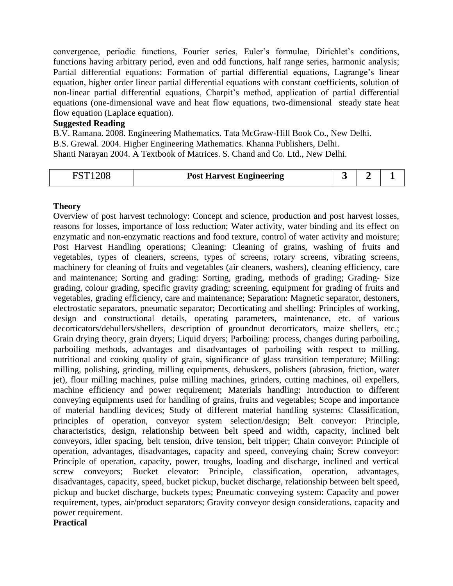convergence, periodic functions, Fourier series, Euler's formulae, Dirichlet's conditions, functions having arbitrary period, even and odd functions, half range series, harmonic analysis; Partial differential equations: Formation of partial differential equations, Lagrange's linear equation, higher order linear partial differential equations with constant coefficients, solution of non-linear partial differential equations, Charpit's method, application of partial differential equations (one-dimensional wave and heat flow equations, two-dimensional steady state heat flow equation (Laplace equation).

#### **Suggested Reading**

B.V. Ramana. 2008. Engineering Mathematics. Tata McGraw-Hill Book Co., New Delhi. B.S. Grewal. 2004. Higher Engineering Mathematics. Khanna Publishers, Delhi. Shanti Narayan 2004. A Textbook of Matrices. S. Chand and Co. Ltd., New Delhi.

#### **Theory**

Overview of post harvest technology: Concept and science, production and post harvest losses, reasons for losses, importance of loss reduction; Water activity, water binding and its effect on enzymatic and non-enzymatic reactions and food texture, control of water activity and moisture; Post Harvest Handling operations; Cleaning: Cleaning of grains, washing of fruits and vegetables, types of cleaners, screens, types of screens, rotary screens, vibrating screens, machinery for cleaning of fruits and vegetables (air cleaners, washers), cleaning efficiency, care and maintenance; Sorting and grading: Sorting, grading, methods of grading; Grading‐ Size grading, colour grading, specific gravity grading; screening, equipment for grading of fruits and vegetables, grading efficiency, care and maintenance; Separation: Magnetic separator, destoners, electrostatic separators, pneumatic separator; Decorticating and shelling: Principles of working, design and constructional details, operating parameters, maintenance, etc. of various decorticators/dehullers/shellers, description of groundnut decorticators, maize shellers, etc.; Grain drying theory, grain dryers; Liquid dryers; Parboiling: process, changes during parboiling, parboiling methods, advantages and disadvantages of parboiling with respect to milling, nutritional and cooking quality of grain, significance of glass transition temperature; Milling: milling, polishing, grinding, milling equipments, dehuskers, polishers (abrasion, friction, water jet), flour milling machines, pulse milling machines, grinders, cutting machines, oil expellers, machine efficiency and power requirement; Materials handling: Introduction to different conveying equipments used for handling of grains, fruits and vegetables; Scope and importance of material handling devices; Study of different material handling systems: Classification, principles of operation, conveyor system selection/design; Belt conveyor: Principle, characteristics, design, relationship between belt speed and width, capacity, inclined belt conveyors, idler spacing, belt tension, drive tension, belt tripper; Chain conveyor: Principle of operation, advantages, disadvantages, capacity and speed, conveying chain; Screw conveyor: Principle of operation, capacity, power, troughs, loading and discharge, inclined and vertical screw conveyors; Bucket elevator: Principle, classification, operation, advantages, disadvantages, capacity, speed, bucket pickup, bucket discharge, relationship between belt speed, pickup and bucket discharge, buckets types; Pneumatic conveying system: Capacity and power requirement, types, air/product separators; Gravity conveyor design considerations, capacity and power requirement.

**Practical**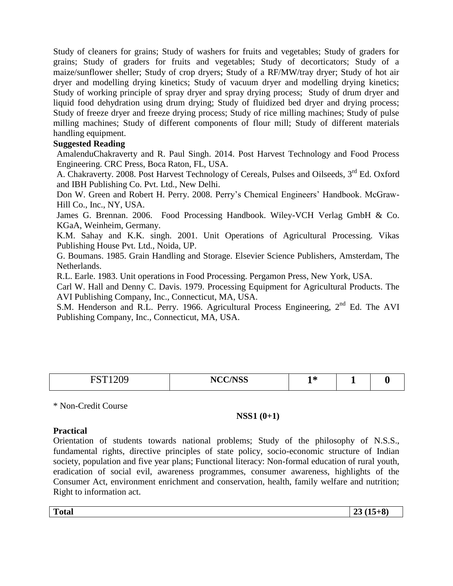Study of cleaners for grains; Study of washers for fruits and vegetables; Study of graders for grains; Study of graders for fruits and vegetables; Study of decorticators; Study of a maize/sunflower sheller; Study of crop dryers; Study of a RF/MW/tray dryer; Study of hot air dryer and modelling drying kinetics; Study of vacuum dryer and modelling drying kinetics; Study of working principle of spray dryer and spray drying process; Study of drum dryer and liquid food dehydration using drum drying; Study of fluidized bed dryer and drying process; Study of freeze dryer and freeze drying process; Study of rice milling machines; Study of pulse milling machines; Study of different components of flour mill; Study of different materials handling equipment.

#### **Suggested Reading**

AmalenduChakraverty and R. Paul Singh. 2014. Post Harvest Technology and Food Process Engineering. CRC Press, Boca Raton, FL, USA.

A. Chakraverty. 2008. Post Harvest Technology of Cereals, Pulses and Oilseeds, 3<sup>rd</sup> Ed. Oxford and IBH Publishing Co. Pvt. Ltd., New Delhi.

Don W. Green and Robert H. Perry. 2008. Perry's Chemical Engineers' Handbook. McGraw-Hill Co., Inc., NY, USA.

James G. Brennan. 2006. Food Processing Handbook. Wiley-VCH Verlag GmbH & Co. KGaA, Weinheim, Germany.

K.M. Sahay and K.K. singh. 2001. Unit Operations of Agricultural Processing. Vikas Publishing House Pvt. Ltd., Noida, UP.

G. Boumans. 1985. Grain Handling and Storage. Elsevier Science Publishers, Amsterdam, The Netherlands.

R.L. Earle. 1983. Unit operations in Food Processing. Pergamon Press, New York, USA.

Carl W. Hall and Denny C. Davis. 1979. Processing Equipment for Agricultural Products. The AVI Publishing Company, Inc., Connecticut, MA, USA.

S.M. Henderson and R.L. Perry. 1966. Agricultural Process Engineering, 2<sup>nd</sup> Ed. The AVI Publishing Company, Inc., Connecticut, MA, USA.

| $\mathbf{m}$<br>$\sim$<br>$\sim$ $\sim$ $\sim$ $\sim$ $\sim$ | <b>NCC/NSS</b><br>טטו | $\mathbf{A}$<br>$\sim$ | - |  |
|--------------------------------------------------------------|-----------------------|------------------------|---|--|
|                                                              |                       |                        |   |  |

\* Non-Credit Course

#### **NSS1 (0+1)**

#### **Practical**

Orientation of students towards national problems; Study of the philosophy of N.S.S., fundamental rights, directive principles of state policy, socio-economic structure of Indian society, population and five year plans; Functional literacy: Non-formal education of rural youth, eradication of social evil, awareness programmes, consumer awareness, highlights of the Consumer Act, environment enrichment and conservation, health, family welfare and nutrition; Right to information act.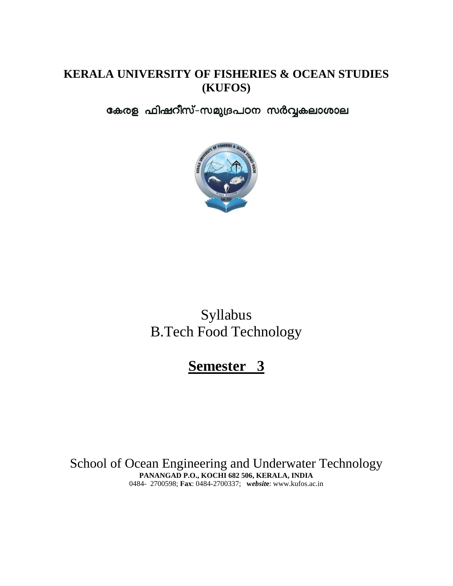### **KERALA UNIVERSITY OF FISHERIES & OCEAN STUDIES (KUFOS)**

കേരള ഫിഷറീസ്-സമുദ്രപഠന സർവ്വകലാശാല



# Syllabus B.Tech Food Technology

# **Semester 3**

School of Ocean Engineering and Underwater Technology **PANANGAD P.O., KOCHI 682 506, KERALA, INDIA** 0484- 2700598; **Fax**: 0484-2700337; **w***ebsit***e**: www.kufos.ac.in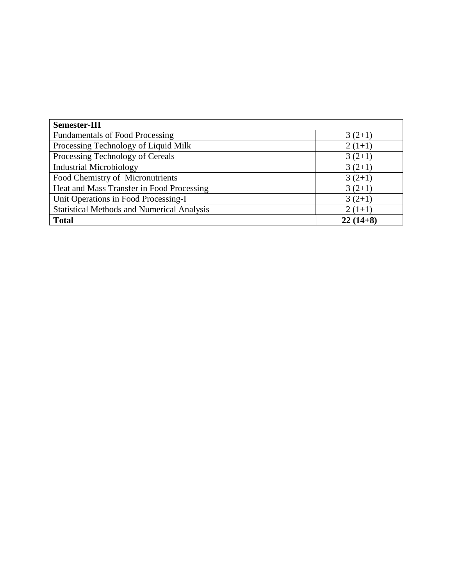| Semester-III                                      |            |
|---------------------------------------------------|------------|
| <b>Fundamentals of Food Processing</b>            | $3(2+1)$   |
| Processing Technology of Liquid Milk              | $2(1+1)$   |
| Processing Technology of Cereals                  | $3(2+1)$   |
| <b>Industrial Microbiology</b>                    | $3(2+1)$   |
| Food Chemistry of Micronutrients                  | $3(2+1)$   |
| Heat and Mass Transfer in Food Processing         | $3(2+1)$   |
| Unit Operations in Food Processing-I              | $3(2+1)$   |
| <b>Statistical Methods and Numerical Analysis</b> | $2(1+1)$   |
| <b>Total</b>                                      | $22(14+8)$ |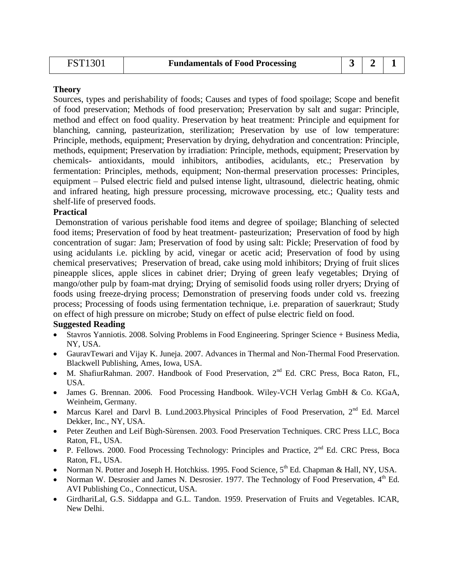| <b>FST1301</b> | <b>Fundamentals of Food Processing</b> |  |  |  |
|----------------|----------------------------------------|--|--|--|
|----------------|----------------------------------------|--|--|--|

Sources, types and perishability of foods; Causes and types of food spoilage; Scope and benefit of food preservation; Methods of food preservation; Preservation by salt and sugar: Principle, method and effect on food quality. Preservation by heat treatment: Principle and equipment for blanching, canning, pasteurization, sterilization; Preservation by use of low temperature: Principle, methods, equipment; Preservation by drying, dehydration and concentration: Principle, methods, equipment; Preservation by irradiation: Principle, methods, equipment; Preservation by chemicals- antioxidants, mould inhibitors, antibodies, acidulants, etc.; Preservation by fermentation: Principles, methods, equipment; Non-thermal preservation processes: Principles, equipment – Pulsed electric field and pulsed intense light, ultrasound, dielectric heating, ohmic and infrared heating, high pressure processing, microwave processing, etc.; Quality tests and shelf-life of preserved foods.

#### **Practical**

Demonstration of various perishable food items and degree of spoilage; Blanching of selected food items; Preservation of food by heat treatment- pasteurization; Preservation of food by high concentration of sugar: Jam; Preservation of food by using salt: Pickle; Preservation of food by using acidulants i.e. pickling by acid, vinegar or acetic acid; Preservation of food by using chemical preservatives; Preservation of bread, cake using mold inhibitors; Drying of fruit slices pineapple slices, apple slices in cabinet drier; Drying of green leafy vegetables; Drying of mango/other pulp by foam-mat drying; Drying of semisolid foods using roller dryers; Drying of foods using freeze-drying process; Demonstration of preserving foods under cold vs. freezing process; Processing of foods using fermentation technique, i.e. preparation of sauerkraut; Study on effect of high pressure on microbe; Study on effect of pulse electric field on food.

- Stavros Yanniotis. 2008. Solving Problems in Food Engineering. Springer Science + Business Media, NY, USA.
- GauravTewari and Vijay K. Juneja. 2007. Advances in Thermal and Non-Thermal Food Preservation. Blackwell Publishing, Ames, Iowa, USA.
- M. ShafiurRahman. 2007. Handbook of Food Preservation, 2<sup>nd</sup> Ed. CRC Press, Boca Raton, FL, USA.
- James G. Brennan. 2006. Food Processing Handbook. Wiley-VCH Verlag GmbH & Co. KGaA, Weinheim, Germany.
- Marcus Karel and Darvl B. Lund.2003. Physical Principles of Food Preservation, 2<sup>nd</sup> Ed. Marcel Dekker, Inc., NY, USA.
- Peter Zeuthen and Leif Bùgh-Sùrensen. 2003. Food Preservation Techniques. CRC Press LLC, Boca Raton, FL, USA.
- P. Fellows. 2000. Food Processing Technology: Principles and Practice,  $2^{nd}$  Ed. CRC Press, Boca Raton, FL, USA.
- Norman N. Potter and Joseph H. Hotchkiss. 1995. Food Science,  $5<sup>th</sup>$  Ed. Chapman & Hall, NY, USA.
- Norman W. Desrosier and James N. Desrosier. 1977. The Technology of Food Preservation,  $4<sup>th</sup>$  Ed. AVI Publishing Co., Connecticut, USA.
- GirdhariLal, G.S. Siddappa and G.L. Tandon. 1959. Preservation of Fruits and Vegetables. ICAR, New Delhi.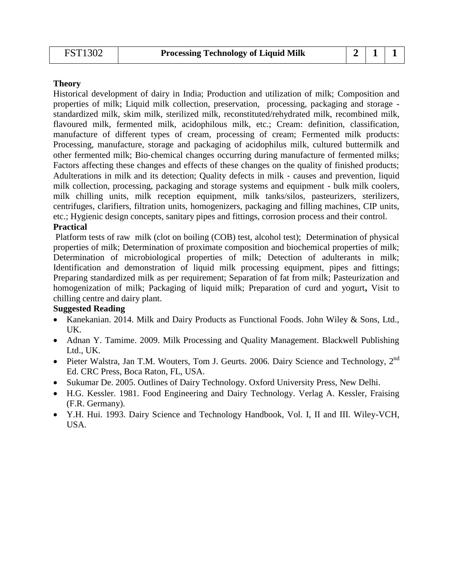Historical development of dairy in India; Production and utilization of milk; Composition and properties of milk; Liquid milk collection, preservation, processing, packaging and storage standardized milk, skim milk, sterilized milk, reconstituted/rehydrated milk, recombined milk, flavoured milk, fermented milk, acidophilous milk, etc.; Cream: definition, classification, manufacture of different types of cream, processing of cream; Fermented milk products: Processing, manufacture, storage and packaging of acidophilus milk, cultured buttermilk and other fermented milk; Bio‐chemical changes occurring during manufacture of fermented milks; Factors affecting these changes and effects of these changes on the quality of finished products; Adulterations in milk and its detection; Quality defects in milk ‐ causes and prevention, liquid milk collection, processing, packaging and storage systems and equipment - bulk milk coolers, milk chilling units, milk reception equipment, milk tanks/silos, pasteurizers, sterilizers, centrifuges, clarifiers, filtration units, homogenizers, packaging and filling machines, CIP units, etc.; Hygienic design concepts, sanitary pipes and fittings, corrosion process and their control.

#### **Practical**

Platform tests of raw milk (clot on boiling (COB) test, alcohol test); Determination of physical properties of milk; Determination of proximate composition and biochemical properties of milk; Determination of microbiological properties of milk; Detection of adulterants in milk; Identification and demonstration of liquid milk processing equipment, pipes and fittings; Preparing standardized milk as per requirement; Separation of fat from milk; Pasteurization and homogenization of milk; Packaging of liquid milk; Preparation of curd and yogurt**,** Visit to chilling centre and dairy plant.

- Kanekanian. 2014. Milk and Dairy Products as Functional Foods. John Wiley & Sons, Ltd., UK.
- Adnan Y. Tamime. 2009. Milk Processing and Quality Management. Blackwell Publishing Ltd., UK.
- Pieter Walstra, Jan T.M. Wouters, Tom J. Geurts. 2006. Dairy Science and Technology, 2<sup>nd</sup> Ed. CRC Press, Boca Raton, FL, USA.
- Sukumar De. 2005. Outlines of Dairy Technology. Oxford University Press, New Delhi.
- H.G. Kessler. 1981. Food Engineering and Dairy Technology. Verlag A. Kessler, Fraising (F.R. Germany).
- Y.H. Hui. 1993. Dairy Science and Technology Handbook, Vol. I, II and III. Wiley-VCH, USA.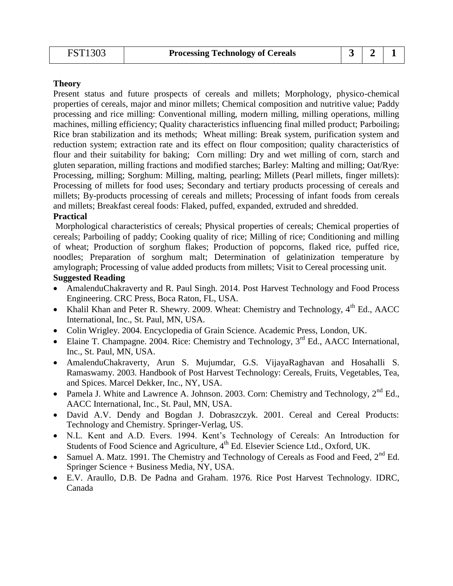Present status and future prospects of cereals and millets; Morphology, physico-chemical properties of cereals, major and minor millets; Chemical composition and nutritive value; Paddy processing and rice milling: Conventional milling, modern milling, milling operations, milling machines, milling efficiency; Quality characteristics influencing final milled product; Parboiling; Rice bran stabilization and its methods; Wheat milling: Break system, purification system and reduction system; extraction rate and its effect on flour composition; quality characteristics of flour and their suitability for baking; Corn milling: Dry and wet milling of corn, starch and gluten separation, milling fractions and modified starches; Barley: Malting and milling; Oat/Rye: Processing, milling; Sorghum: Milling, malting, pearling; Millets (Pearl millets, finger millets): Processing of millets for food uses; Secondary and tertiary products processing of cereals and millets; By-products processing of cereals and millets; Processing of infant foods from cereals and millets; Breakfast cereal foods: Flaked, puffed, expanded, extruded and shredded.

#### **Practical**

Morphological characteristics of cereals; Physical properties of cereals; Chemical properties of cereals; Parboiling of paddy; Cooking quality of rice; Milling of rice; Conditioning and milling of wheat; Production of sorghum flakes; Production of popcorns, flaked rice, puffed rice, noodles; Preparation of sorghum malt; Determination of gelatinization temperature by amylograph; Processing of value added products from millets; Visit to Cereal processing unit. **Suggested Reading** 

- AmalenduChakraverty and R. Paul Singh. 2014. Post Harvest Technology and Food Process Engineering. CRC Press, Boca Raton, FL, USA.
- Khalil Khan and Peter R. Shewry. 2009. Wheat: Chemistry and Technology, 4<sup>th</sup> Ed., AACC International, Inc., St. Paul, MN, USA.
- Colin Wrigley. 2004. Encyclopedia of Grain Science. Academic Press, London, UK.
- Elaine T. Champagne. 2004. Rice: Chemistry and Technology,  $3<sup>rd</sup>$  Ed., AACC International, Inc., St. Paul, MN, USA.
- AmalenduChakraverty, Arun S. Mujumdar, G.S. VijayaRaghavan and Hosahalli S. Ramaswamy. 2003. Handbook of Post Harvest Technology: Cereals, Fruits, Vegetables, Tea, and Spices. Marcel Dekker, Inc., NY, USA.
- Pamela J. White and Lawrence A. Johnson. 2003. Corn: Chemistry and Technology,  $2^{nd}$  Ed., AACC International, Inc., St. Paul, MN, USA.
- David A.V. Dendy and Bogdan J. Dobraszczyk. 2001. Cereal and Cereal Products: Technology and Chemistry. Springer-Verlag, US.
- N.L. Kent and A.D. Evers. 1994. Kent's Technology of Cereals: An Introduction for Students of Food Science and Agriculture, 4<sup>th</sup> Ed. Elsevier Science Ltd., Oxford, UK.
- Samuel A. Matz. 1991. The Chemistry and Technology of Cereals as Food and Feed,  $2<sup>nd</sup>$  Ed. Springer Science + Business Media, NY, USA.
- E.V. Araullo, D.B. De Padna and Graham. 1976. Rice Post Harvest Technology. IDRC, Canada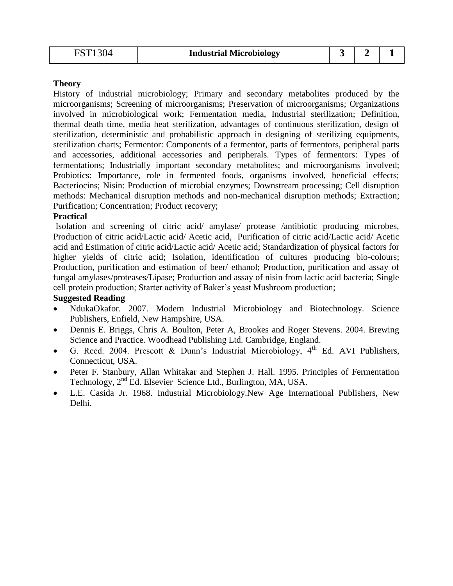History of industrial microbiology; Primary and secondary metabolites produced by the microorganisms; Screening of microorganisms; Preservation of microorganisms; Organizations involved in microbiological work; Fermentation media, Industrial sterilization; Definition, thermal death time, media heat sterilization, advantages of continuous sterilization, design of sterilization, deterministic and probabilistic approach in designing of sterilizing equipments, sterilization charts; Fermentor: Components of a fermentor, parts of fermentors, peripheral parts and accessories, additional accessories and peripherals. Types of fermentors: Types of fermentations; Industrially important secondary metabolites; and microorganisms involved; Probiotics: Importance, role in fermented foods, organisms involved, beneficial effects; Bacteriocins; Nisin: Production of microbial enzymes; Downstream processing; Cell disruption methods: Mechanical disruption methods and non-mechanical disruption methods; Extraction; Purification; Concentration; Product recovery;

#### **Practical**

Isolation and screening of citric acid/ amylase/ protease /antibiotic producing microbes, Production of citric acid/Lactic acid/ Acetic acid, Purification of citric acid/Lactic acid/ Acetic acid and Estimation of citric acid/Lactic acid/ Acetic acid; Standardization of physical factors for higher yields of citric acid; Isolation, identification of cultures producing bio-colours; Production, purification and estimation of beer/ ethanol; Production, purification and assay of fungal amylases/proteases/Lipase; Production and assay of nisin from lactic acid bacteria; Single cell protein production; Starter activity of Baker's yeast Mushroom production;

- NdukaOkafor. 2007. Modern Industrial Microbiology and Biotechnology. Science Publishers, Enfield, New Hampshire, USA.
- Dennis E. Briggs, Chris A. Boulton, Peter A, Brookes and Roger Stevens. 2004. Brewing Science and Practice. Woodhead Publishing Ltd. Cambridge, England.
- G. Reed. 2004. Prescott & Dunn's Industrial Microbiology,  $4<sup>th</sup>$  Ed. AVI Publishers, Connecticut, USA.
- Peter F. Stanbury, Allan Whitakar and Stephen J. Hall. 1995. Principles of Fermentation Technology, 2<sup>nd</sup> Ed. Elsevier Science Ltd., Burlington, MA, USA.
- L.E. Casida Jr. 1968. Industrial Microbiology.New Age International Publishers, New Delhi.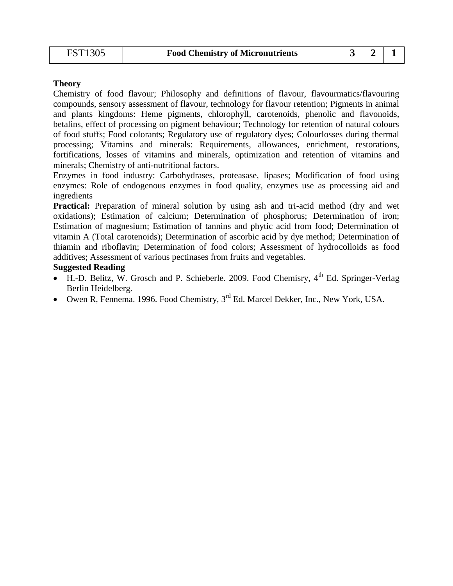Chemistry of food flavour; Philosophy and definitions of flavour, flavourmatics/flavouring compounds, sensory assessment of flavour, technology for flavour retention; Pigments in animal and plants kingdoms: Heme pigments, chlorophyll, carotenoids, phenolic and flavonoids, betalins, effect of processing on pigment behaviour; Technology for retention of natural colours of food stuffs; Food colorants; Regulatory use of regulatory dyes; Colourlosses during thermal processing; Vitamins and minerals: Requirements, allowances, enrichment, restorations, fortifications, losses of vitamins and minerals, optimization and retention of vitamins and minerals; Chemistry of anti-nutritional factors.

Enzymes in food industry: Carbohydrases, proteasase, lipases; Modification of food using enzymes: Role of endogenous enzymes in food quality, enzymes use as processing aid and ingredients

**Practical:** Preparation of mineral solution by using ash and tri-acid method (dry and wet oxidations); Estimation of calcium; Determination of phosphorus; Determination of iron; Estimation of magnesium; Estimation of tannins and phytic acid from food; Determination of vitamin A (Total carotenoids); Determination of ascorbic acid by dye method; Determination of thiamin and riboflavin; Determination of food colors; Assessment of hydrocolloids as food additives; Assessment of various pectinases from fruits and vegetables.

- $\bullet$  H.-D. Belitz, W. Grosch and P. Schieberle. 2009. Food Chemisry,  $4<sup>th</sup>$  Ed. Springer-Verlag Berlin Heidelberg.
- Owen R, Fennema. 1996. Food Chemistry,  $3<sup>rd</sup>$  Ed. Marcel Dekker, Inc., New York, USA.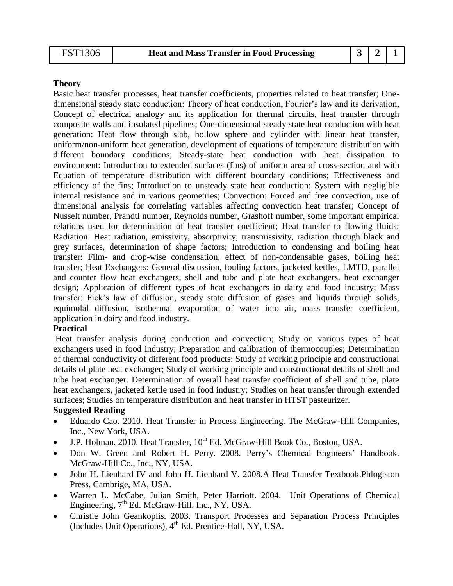Basic heat transfer processes, heat transfer coefficients, properties related to heat transfer; Onedimensional steady state conduction: Theory of heat conduction, Fourier's law and its derivation, Concept of electrical analogy and its application for thermal circuits, heat transfer through composite walls and insulated pipelines; One-dimensional steady state heat conduction with heat generation: Heat flow through slab, hollow sphere and cylinder with linear heat transfer, uniform/non-uniform heat generation, development of equations of temperature distribution with different boundary conditions; Steady-state heat conduction with heat dissipation to environment: Introduction to extended surfaces (fins) of uniform area of cross-section and with Equation of temperature distribution with different boundary conditions; Effectiveness and efficiency of the fins; Introduction to unsteady state heat conduction: System with negligible internal resistance and in various geometries; Convection: Forced and free convection, use of dimensional analysis for correlating variables affecting convection heat transfer; Concept of Nusselt number, Prandtl number, Reynolds number, Grashoff number, some important empirical relations used for determination of heat transfer coefficient; Heat transfer to flowing fluids; Radiation: Heat radiation, emissivity, absorptivity, transmissivity, radiation through black and grey surfaces, determination of shape factors; Introduction to condensing and boiling heat transfer: Film- and drop-wise condensation, effect of non-condensable gases, boiling heat transfer; Heat Exchangers: General discussion, fouling factors, jacketed kettles, LMTD, parallel and counter flow heat exchangers, shell and tube and plate heat exchangers, heat exchanger design; Application of different types of heat exchangers in dairy and food industry; Mass transfer: Fick's law of diffusion, steady state diffusion of gases and liquids through solids, equimolal diffusion, isothermal evaporation of water into air, mass transfer coefficient, application in dairy and food industry.

#### **Practical**

Heat transfer analysis during conduction and convection; Study on various types of heat exchangers used in food industry; Preparation and calibration of thermocouples; Determination of thermal conductivity of different food products; Study of working principle and constructional details of plate heat exchanger; Study of working principle and constructional details of shell and tube heat exchanger. Determination of overall heat transfer coefficient of shell and tube, plate heat exchangers, jacketed kettle used in food industry; Studies on heat transfer through extended surfaces; Studies on temperature distribution and heat transfer in HTST pasteurizer.

- Eduardo Cao. 2010. Heat Transfer in Process Engineering. The McGraw-Hill Companies, Inc., New York, USA.
- $\bullet$  J.P. Holman. 2010. Heat Transfer, 10<sup>th</sup> Ed. McGraw-Hill Book Co., Boston, USA.
- Don W. Green and Robert H. Perry. 2008. Perry's Chemical Engineers' Handbook. McGraw-Hill Co., Inc., NY, USA.
- John H. Lienhard IV and John H. Lienhard V. 2008.A Heat Transfer Textbook.Phlogiston Press, Cambrige, MA, USA.
- Warren L. McCabe, Julian Smith, Peter Harriott. 2004. Unit Operations of Chemical Engineering,  $7<sup>th</sup>$  Ed. McGraw-Hill, Inc., NY, USA.
- Christie John Geankoplis. 2003. Transport Processes and Separation Process Principles (Includes Unit Operations),  $4<sup>th</sup>$  Ed. Prentice-Hall, NY, USA.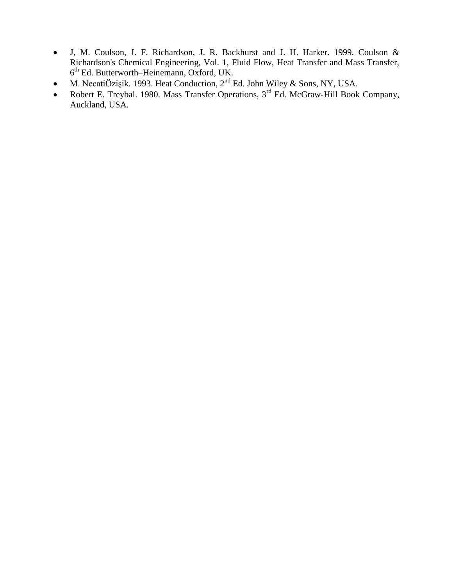- J, M. Coulson, J. F. Richardson, J. R. Backhurst and J. H. Harker. 1999. Coulson & Richardson's Chemical Engineering, Vol. 1, Fluid Flow, Heat Transfer and Mass Transfer, 6 th Ed. Butterworth–Heinemann, Oxford, UK.
- M. NecatiÖzişik. 1993. Heat Conduction,  $2<sup>nd</sup>$  Ed. John Wiley & Sons, NY, USA.
- Robert E. Treybal. 1980. Mass Transfer Operations, 3<sup>rd</sup> Ed. McGraw-Hill Book Company, Auckland, USA.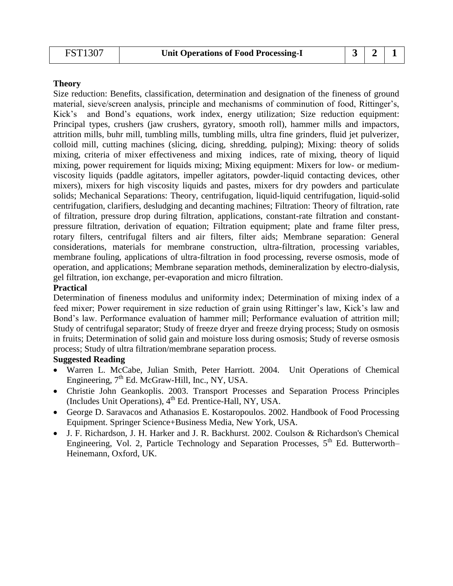| <b>Unit Operations of Food Processing-I</b> |  |  |  |
|---------------------------------------------|--|--|--|
|---------------------------------------------|--|--|--|

Size reduction: Benefits, classification, determination and designation of the fineness of ground material, sieve/screen analysis, principle and mechanisms of comminution of food, Rittinger's, Kick's and Bond's equations, work index, energy utilization; Size reduction equipment: Principal types, crushers (jaw crushers, gyratory, smooth roll), hammer mills and impactors, attrition mills, buhr mill, tumbling mills, tumbling mills, ultra fine grinders, fluid jet pulverizer, colloid mill, cutting machines (slicing, dicing, shredding, pulping); Mixing: theory of solids mixing, criteria of mixer effectiveness and mixing indices, rate of mixing, theory of liquid mixing, power requirement for liquids mixing; Mixing equipment: Mixers for low- or mediumviscosity liquids (paddle agitators, impeller agitators, powder-liquid contacting devices, other mixers), mixers for high viscosity liquids and pastes, mixers for dry powders and particulate solids; Mechanical Separations: Theory, centrifugation, liquid-liquid centrifugation, liquid-solid centrifugation, clarifiers, desludging and decanting machines; Filtration: Theory of filtration, rate of filtration, pressure drop during filtration, applications, constant-rate filtration and constantpressure filtration, derivation of equation; Filtration equipment; plate and frame filter press, rotary filters, centrifugal filters and air filters, filter aids; Membrane separation: General considerations, materials for membrane construction, ultra-filtration, processing variables, membrane fouling, applications of ultra-filtration in food processing, reverse osmosis, mode of operation, and applications; Membrane separation methods, demineralization by electro-dialysis, gel filtration, ion exchange, per-evaporation and micro filtration.

#### **Practical**

Determination of fineness modulus and uniformity index; Determination of mixing index of a feed mixer; Power requirement in size reduction of grain using Rittinger's law, Kick's law and Bond's law. Performance evaluation of hammer mill; Performance evaluation of attrition mill; Study of centrifugal separator; Study of freeze dryer and freeze drying process; Study on osmosis in fruits; Determination of solid gain and moisture loss during osmosis; Study of reverse osmosis process; Study of ultra filtration/membrane separation process.

- Warren L. McCabe, Julian Smith, Peter Harriott. 2004. Unit Operations of Chemical Engineering,  $7<sup>th</sup>$  Ed. McGraw-Hill, Inc., NY, USA.
- Christie John Geankoplis. 2003. Transport Processes and Separation Process Principles (Includes Unit Operations), 4<sup>th</sup> Ed. Prentice-Hall, NY, USA.
- George D. Saravacos and Athanasios E. Kostaropoulos. 2002. Handbook of Food Processing Equipment. Springer Science+Business Media, New York, USA.
- J. F. Richardson, J. H. Harker and J. R. Backhurst. 2002. Coulson & Richardson's Chemical Engineering, Vol. 2, Particle Technology and Separation Processes,  $5<sup>th</sup>$  Ed. Butterworth– Heinemann, Oxford, UK.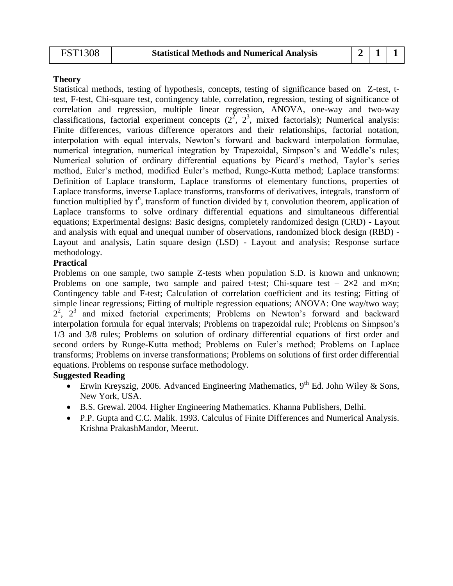Statistical methods, testing of hypothesis, concepts, testing of significance based on Z-test, ttest, F-test, Chi-square test, contingency table, correlation, regression, testing of significance of correlation and regression, multiple linear regression, ANOVA, one-way and two-way classifications, factorial experiment concepts  $(2^{\overline{2}}, 2^{\overline{3}})$ , mixed factorials); Numerical analysis: Finite differences, various difference operators and their relationships, factorial notation, interpolation with equal intervals, Newton's forward and backward interpolation formulae, numerical integration, numerical integration by Trapezoidal, Simpson's and Weddle's rules; Numerical solution of ordinary differential equations by Picard's method, Taylor's series method, Euler's method, modified Euler's method, Runge-Kutta method; Laplace transforms: Definition of Laplace transform, Laplace transforms of elementary functions, properties of Laplace transforms, inverse Laplace transforms, transforms of derivatives, integrals, transform of function multiplied by  $t^n$ , transform of function divided by t, convolution theorem, application of Laplace transforms to solve ordinary differential equations and simultaneous differential equations; Experimental designs: Basic designs, completely randomized design (CRD) - Layout and analysis with equal and unequal number of observations, randomized block design (RBD) - Layout and analysis, Latin square design (LSD) - Layout and analysis; Response surface methodology.

#### **Practical**

Problems on one sample, two sample Z-tests when population S.D. is known and unknown; Problems on one sample, two sample and paired t-test; Chi-square test –  $2\times2$  and m×n; Contingency table and F-test; Calculation of correlation coefficient and its testing; Fitting of simple linear regressions; Fitting of multiple regression equations; ANOVA: One way/two way;  $2^2$ ,  $2^3$  and mixed factorial experiments; Problems on Newton's forward and backward interpolation formula for equal intervals; Problems on trapezoidal rule; Problems on Simpson's 1/3 and 3/8 rules; Problems on solution of ordinary differential equations of first order and second orders by Runge-Kutta method; Problems on Euler's method; Problems on Laplace transforms; Problems on inverse transformations; Problems on solutions of first order differential equations. Problems on response surface methodology.

- Erwin Kreyszig, 2006. Advanced Engineering Mathematics,  $9<sup>th</sup>$  Ed. John Wiley & Sons, New York, USA.
- B.S. Grewal. 2004. Higher Engineering Mathematics. Khanna Publishers, Delhi.
- P.P. Gupta and C.C. Malik. 1993. Calculus of Finite Differences and Numerical Analysis. Krishna PrakashMandor, Meerut.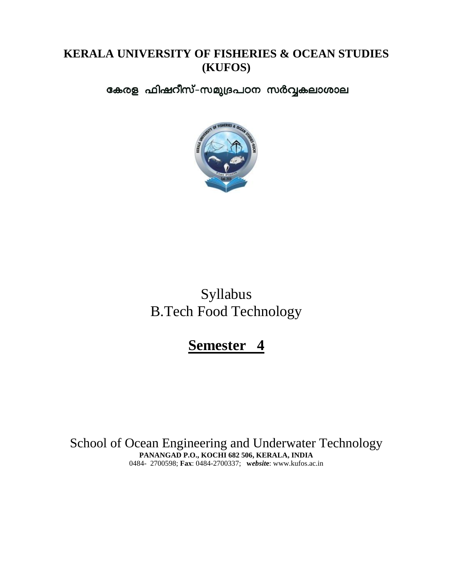## **KERALA UNIVERSITY OF FISHERIES & OCEAN STUDIES (KUFOS)**

കേരള ഫിഷറീസ്-സമുദ്രപഠന സർവ്വകലാശാല



Syllabus B.Tech Food Technology

**Semester 4**

School of Ocean Engineering and Underwater Technology **PANANGAD P.O., KOCHI 682 506, KERALA, INDIA** 0484- 2700598; **Fax**: 0484-2700337; **w***ebsit***e**: www.kufos.ac.in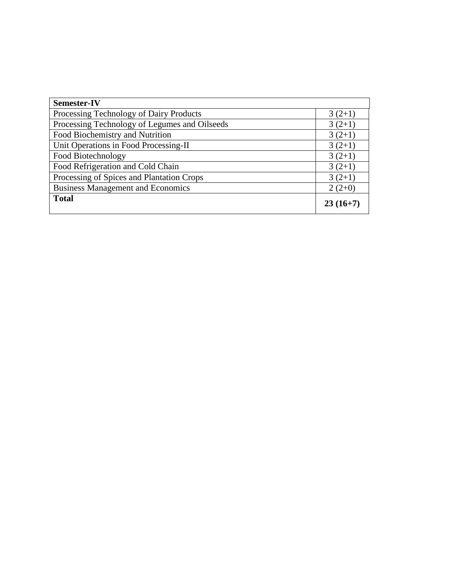| <b>Semester-IV</b>                            |            |
|-----------------------------------------------|------------|
| Processing Technology of Dairy Products       | $3(2+1)$   |
| Processing Technology of Legumes and Oilseeds | $3(2+1)$   |
| Food Biochemistry and Nutrition               | $3(2+1)$   |
| Unit Operations in Food Processing-II         | $3(2+1)$   |
| Food Biotechnology                            | $3(2+1)$   |
| Food Refrigeration and Cold Chain             | $3(2+1)$   |
| Processing of Spices and Plantation Crops     | $3(2+1)$   |
| <b>Business Management and Economics</b>      | $2(2+0)$   |
| <b>Total</b>                                  | $23(16+7)$ |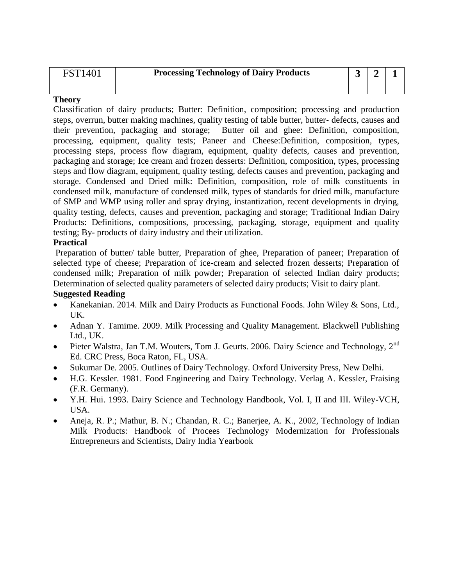| <b>FST1401</b> | <b>Processing Technology of Dairy Products</b> |  |  |
|----------------|------------------------------------------------|--|--|
|                |                                                |  |  |

Classification of dairy products; Butter: Definition, composition; processing and production steps, overrun, butter making machines, quality testing of table butter, butter‐ defects, causes and their prevention, packaging and storage; Butter oil and ghee: Definition, composition, processing, equipment, quality tests; Paneer and Cheese:Definition, composition, types, processing steps, process flow diagram, equipment, quality defects, causes and prevention, packaging and storage; Ice cream and frozen desserts: Definition, composition, types, processing steps and flow diagram, equipment, quality testing, defects causes and prevention, packaging and storage. Condensed and Dried milk: Definition, composition, role of milk constituents in condensed milk, manufacture of condensed milk, types of standards for dried milk, manufacture of SMP and WMP using roller and spray drying, instantization, recent developments in drying, quality testing, defects, causes and prevention, packaging and storage; Traditional Indian Dairy Products: Definitions, compositions, processing, packaging, storage, equipment and quality testing; By- products of dairy industry and their utilization.

#### **Practical**

Preparation of butter/ table butter, Preparation of ghee, Preparation of paneer; Preparation of selected type of cheese; Preparation of ice-cream and selected frozen desserts; Preparation of condensed milk; Preparation of milk powder; Preparation of selected Indian dairy products; Determination of selected quality parameters of selected dairy products; Visit to dairy plant.

- Kanekanian. 2014. Milk and Dairy Products as Functional Foods. John Wiley & Sons, Ltd., UK.
- Adnan Y. Tamime. 2009. Milk Processing and Quality Management. Blackwell Publishing Ltd., UK.
- Pieter Walstra, Jan T.M. Wouters, Tom J. Geurts. 2006. Dairy Science and Technology, 2<sup>nd</sup> Ed. CRC Press, Boca Raton, FL, USA.
- Sukumar De. 2005. Outlines of Dairy Technology. Oxford University Press, New Delhi.
- H.G. Kessler. 1981. Food Engineering and Dairy Technology. Verlag A. Kessler, Fraising (F.R. Germany).
- Y.H. Hui. 1993. Dairy Science and Technology Handbook, Vol. I, II and III. Wiley-VCH, USA.
- Aneja, R. P.; Mathur, B. N.; Chandan, R. C.; Banerjee, A. K., 2002, Technology of Indian Milk Products: Handbook of Procees Technology Modernization for Professionals Entrepreneurs and Scientists, Dairy India Yearbook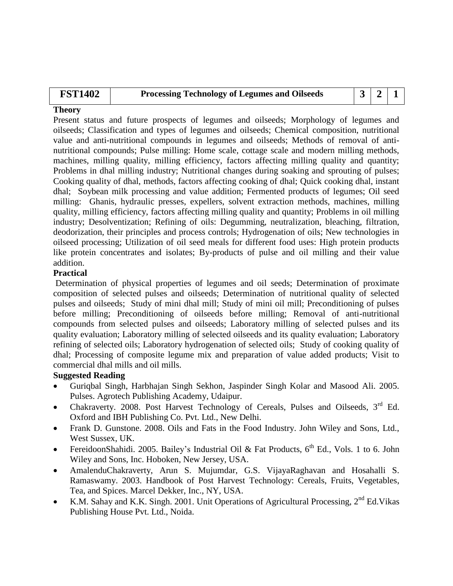| <b>FST1402</b> | <b>Processing Technology of Legumes and Oilseeds</b> |  |  |
|----------------|------------------------------------------------------|--|--|
|                |                                                      |  |  |

Present status and future prospects of legumes and oilseeds; Morphology of legumes and oilseeds; Classification and types of legumes and oilseeds; Chemical composition, nutritional value and anti-nutritional compounds in legumes and oilseeds; Methods of removal of antinutritional compounds; Pulse milling: Home scale, cottage scale and modern milling methods, machines, milling quality, milling efficiency, factors affecting milling quality and quantity; Problems in dhal milling industry; Nutritional changes during soaking and sprouting of pulses; Cooking quality of dhal, methods, factors affecting cooking of dhal; Quick cooking dhal, instant dhal; Soybean milk processing and value addition; Fermented products of legumes; Oil seed milling: Ghanis, hydraulic presses, expellers, solvent extraction methods, machines, milling quality, milling efficiency, factors affecting milling quality and quantity; Problems in oil milling industry; Desolventization; Refining of oils: Degumming, neutralization, bleaching, filtration, deodorization, their principles and process controls; Hydrogenation of oils; New technologies in oilseed processing; Utilization of oil seed meals for different food uses: High protein products like protein concentrates and isolates; By-products of pulse and oil milling and their value addition.

### **Practical**

Determination of physical properties of legumes and oil seeds; Determination of proximate composition of selected pulses and oilseeds; Determination of nutritional quality of selected pulses and oilseeds; Study of mini dhal mill; Study of mini oil mill; Preconditioning of pulses before milling; Preconditioning of oilseeds before milling; Removal of anti-nutritional compounds from selected pulses and oilseeds; Laboratory milling of selected pulses and its quality evaluation; Laboratory milling of selected oilseeds and its quality evaluation; Laboratory refining of selected oils; Laboratory hydrogenation of selected oils; Study of cooking quality of dhal; Processing of composite legume mix and preparation of value added products; Visit to commercial dhal mills and oil mills.

- Guriqbal Singh, Harbhajan Singh Sekhon, Jaspinder Singh Kolar and Masood Ali. 2005. Pulses. Agrotech Publishing Academy, Udaipur.
- Chakraverty. 2008. Post Harvest Technology of Cereals, Pulses and Oilseeds,  $3<sup>rd</sup>$  Ed. Oxford and IBH Publishing Co. Pvt. Ltd., New Delhi.
- Frank D. Gunstone. 2008. Oils and Fats in the Food Industry. John Wiley and Sons, Ltd., West Sussex, UK.
- FereidoonShahidi. 2005. Bailey's Industrial Oil & Fat Products,  $6^{th}$  Ed., Vols. 1 to 6. John Wiley and Sons, Inc. Hoboken, New Jersey, USA.
- AmalenduChakraverty, Arun S. Mujumdar, G.S. VijayaRaghavan and Hosahalli S. Ramaswamy. 2003. Handbook of Post Harvest Technology: Cereals, Fruits, Vegetables, Tea, and Spices. Marcel Dekker, Inc., NY, USA.
- K.M. Sahay and K.K. Singh. 2001. Unit Operations of Agricultural Processing,  $2^{nd}$  Ed.Vikas Publishing House Pvt. Ltd., Noida.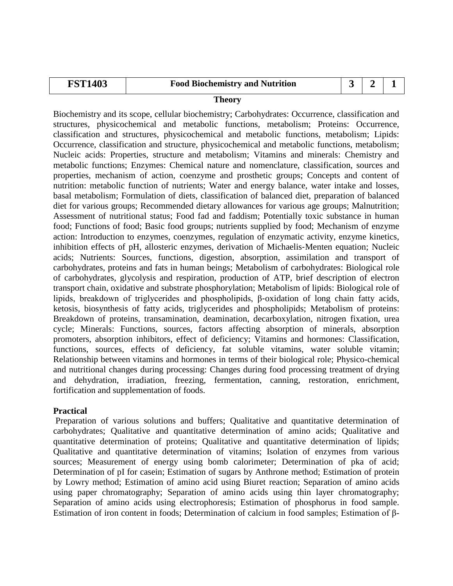| $\mathbf{FST}^*$<br>.403 | <b>Food Biochemistry and Nutrition</b> |  |  |  |  |  |
|--------------------------|----------------------------------------|--|--|--|--|--|
| ____                     |                                        |  |  |  |  |  |

Biochemistry and its scope, cellular biochemistry; Carbohydrates: Occurrence, classification and structures, physicochemical and metabolic functions, metabolism; Proteins: Occurrence, classification and structures, physicochemical and metabolic functions, metabolism; Lipids: Occurrence, classification and structure, physicochemical and metabolic functions, metabolism; Nucleic acids: Properties, structure and metabolism; Vitamins and minerals: Chemistry and metabolic functions; Enzymes: Chemical nature and nomenclature, classification, sources and properties, mechanism of action, coenzyme and prosthetic groups; Concepts and content of nutrition: metabolic function of nutrients; Water and energy balance, water intake and losses, basal metabolism; Formulation of diets, classification of balanced diet, preparation of balanced diet for various groups; Recommended dietary allowances for various age groups; Malnutrition; Assessment of nutritional status; Food fad and faddism; Potentially toxic substance in human food; Functions of food; Basic food groups; nutrients supplied by food; Mechanism of enzyme action: Introduction to enzymes, coenzymes, regulation of enzymatic activity, enzyme kinetics, inhibition effects of pH, allosteric enzymes, derivation of Michaelis‐Menten equation; Nucleic acids; Nutrients: Sources, functions, digestion, absorption, assimilation and transport of carbohydrates, proteins and fats in human beings; Metabolism of carbohydrates: Biological role of carbohydrates, glycolysis and respiration, production of ATP, brief description of electron transport chain, oxidative and substrate phosphorylation; Metabolism of lipids: Biological role of lipids, breakdown of triglycerides and phospholipids, β‐oxidation of long chain fatty acids, ketosis, biosynthesis of fatty acids, triglycerides and phospholipids; Metabolism of proteins: Breakdown of proteins, transamination, deamination, decarboxylation, nitrogen fixation, urea cycle; Minerals: Functions, sources, factors affecting absorption of minerals, absorption promoters, absorption inhibitors, effect of deficiency; Vitamins and hormones: Classification, functions, sources, effects of deficiency, fat soluble vitamins, water soluble vitamin; Relationship between vitamins and hormones in terms of their biological role; Physico-chemical and nutritional changes during processing: Changes during food processing treatment of drying and dehydration, irradiation, freezing, fermentation, canning, restoration, enrichment, fortification and supplementation of foods.

### **Practical**

Preparation of various solutions and buffers; Qualitative and quantitative determination of carbohydrates; Qualitative and quantitative determination of amino acids; Qualitative and quantitative determination of proteins; Qualitative and quantitative determination of lipids; Qualitative and quantitative determination of vitamins; Isolation of enzymes from various sources; Measurement of energy using bomb calorimeter; Determination of pka of acid; Determination of pI for casein; Estimation of sugars by Anthrone method; Estimation of protein by Lowry method; Estimation of amino acid using Biuret reaction; Separation of amino acids using paper chromatography; Separation of amino acids using thin layer chromatography; Separation of amino acids using electrophoresis; Estimation of phosphorus in food sample. Estimation of iron content in foods; Determination of calcium in food samples; Estimation of β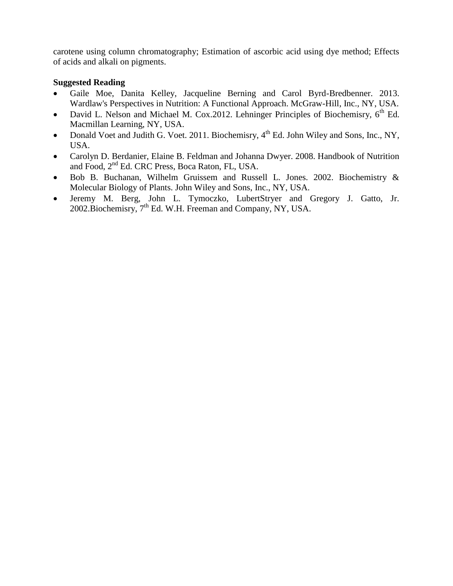carotene using column chromatography; Estimation of ascorbic acid using dye method; Effects of acids and alkali on pigments.

- Gaile Moe, Danita Kelley, Jacqueline Berning and Carol Byrd-Bredbenner. 2013. Wardlaw's Perspectives in Nutrition: A Functional Approach. McGraw-Hill, Inc., NY, USA.
- David L. Nelson and Michael M. Cox.2012. Lehninger Principles of Biochemisry,  $6<sup>th</sup>$  Ed. Macmillan Learning, NY, USA.
- Donald Voet and Judith G. Voet. 2011. Biochemisry,  $4^{th}$  Ed. John Wiley and Sons, Inc., NY, USA.
- Carolyn D. Berdanier, Elaine B. Feldman and Johanna Dwyer. 2008. Handbook of Nutrition and Food, 2<sup>nd</sup> Ed. CRC Press, Boca Raton, FL, USA.
- Bob B. Buchanan, Wilhelm Gruissem and Russell L. Jones. 2002. Biochemistry & Molecular Biology of Plants. John Wiley and Sons, Inc., NY, USA.
- Jeremy M. Berg, John L. Tymoczko, LubertStryer and Gregory J. Gatto, Jr. 2002. Biochemisry,  $7<sup>th</sup>$  Ed. W.H. Freeman and Company, NY, USA.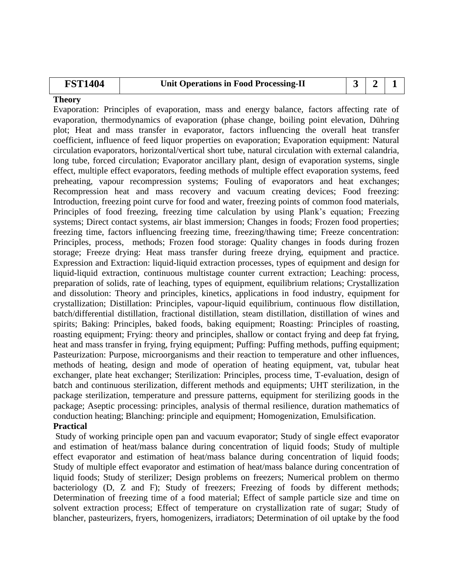# **FST1404 Unit Operations in Food Processing-II 3 2 1**

### **Theory**

Evaporation: Principles of evaporation, mass and energy balance, factors affecting rate of evaporation, thermodynamics of evaporation (phase change, boiling point elevation, Dühring plot; Heat and mass transfer in evaporator, factors influencing the overall heat transfer coefficient, influence of feed liquor properties on evaporation; Evaporation equipment: Natural circulation evaporators, horizontal/vertical short tube, natural circulation with external calandria, long tube, forced circulation; Evaporator ancillary plant, design of evaporation systems, single effect, multiple effect evaporators, feeding methods of multiple effect evaporation systems, feed preheating, vapour recompression systems; Fouling of evaporators and heat exchanges; Recompression heat and mass recovery and vacuum creating devices; Food freezing: Introduction, freezing point curve for food and water, freezing points of common food materials, Principles of food freezing, freezing time calculation by using Plank's equation; Freezing systems; Direct contact systems, air blast immersion; Changes in foods; Frozen food properties; freezing time, factors influencing freezing time, freezing/thawing time; Freeze concentration: Principles, process, methods; Frozen food storage: Quality changes in foods during frozen storage; Freeze drying: Heat mass transfer during freeze drying, equipment and practice. Expression and Extraction: liquid-liquid extraction processes, types of equipment and design for liquid-liquid extraction, continuous multistage counter current extraction; Leaching: process, preparation of solids, rate of leaching, types of equipment, equilibrium relations; Crystallization and dissolution: Theory and principles, kinetics, applications in food industry, equipment for crystallization; Distillation: Principles, vapour-liquid equilibrium, continuous flow distillation, batch/differential distillation, fractional distillation, steam distillation, distillation of wines and spirits; Baking: Principles, baked foods, baking equipment; Roasting: Principles of roasting, roasting equipment; Frying: theory and principles, shallow or contact frying and deep fat frying, heat and mass transfer in frying, frying equipment; Puffing: Puffing methods, puffing equipment; Pasteurization: Purpose, microorganisms and their reaction to temperature and other influences, methods of heating, design and mode of operation of heating equipment, vat, tubular heat exchanger, plate heat exchanger; Sterilization: Principles, process time, T-evaluation, design of batch and continuous sterilization, different methods and equipments; UHT sterilization, in the package sterilization, temperature and pressure patterns, equipment for sterilizing goods in the package; Aseptic processing: principles, analysis of thermal resilience, duration mathematics of conduction heating; Blanching: principle and equipment; Homogenization, Emulsification.

### **Practical**

Study of working principle open pan and vacuum evaporator; Study of single effect evaporator and estimation of heat/mass balance during concentration of liquid foods; Study of multiple effect evaporator and estimation of heat/mass balance during concentration of liquid foods; Study of multiple effect evaporator and estimation of heat/mass balance during concentration of liquid foods; Study of sterilizer; Design problems on freezers; Numerical problem on thermo bacteriology (D, Z and F); Study of freezers; Freezing of foods by different methods; Determination of freezing time of a food material; Effect of sample particle size and time on solvent extraction process; Effect of temperature on crystallization rate of sugar; Study of blancher, pasteurizers, fryers, homogenizers, irradiators; Determination of oil uptake by the food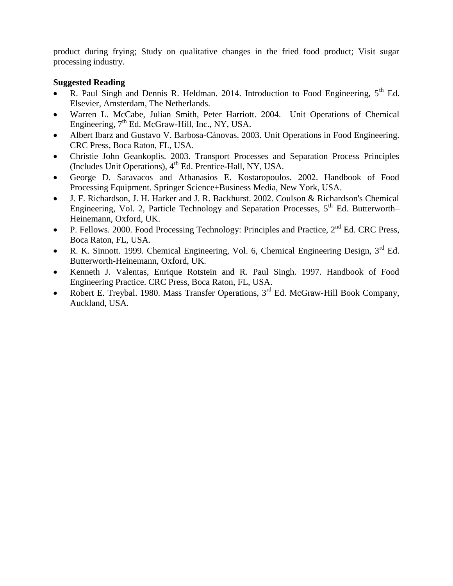product during frying; Study on qualitative changes in the fried food product; Visit sugar processing industry.

- R. Paul Singh and Dennis R. Heldman. 2014. Introduction to Food Engineering, 5<sup>th</sup> Ed. Elsevier, Amsterdam, The Netherlands.
- Warren L. McCabe, Julian Smith, Peter Harriott. 2004. Unit Operations of Chemical Engineering,  $7<sup>th</sup>$  Ed. McGraw-Hill, Inc., NY, USA.
- Albert Ibarz and Gustavo V. Barbosa-Cánovas. 2003. Unit Operations in Food Engineering. CRC Press, Boca Raton, FL, USA.
- Christie John Geankoplis. 2003. Transport Processes and Separation Process Principles (Includes Unit Operations), 4<sup>th</sup> Ed. Prentice-Hall, NY, USA.
- George D. Saravacos and Athanasios E. Kostaropoulos. 2002. Handbook of Food Processing Equipment. Springer Science+Business Media, New York, USA.
- J. F. Richardson, J. H. Harker and J. R. Backhurst. 2002. Coulson & Richardson's Chemical Engineering, Vol. 2, Particle Technology and Separation Processes,  $5<sup>th</sup>$  Ed. Butterworth– Heinemann, Oxford, UK.
- P. Fellows. 2000. Food Processing Technology: Principles and Practice,  $2^{nd}$  Ed. CRC Press, Boca Raton, FL, USA.
- R. K. Sinnott. 1999. Chemical Engineering, Vol. 6, Chemical Engineering Design,  $3<sup>rd</sup>$  Ed. Butterworth-Heinemann, Oxford, UK.
- Kenneth J. Valentas, Enrique Rotstein and R. Paul Singh. 1997. Handbook of Food Engineering Practice. CRC Press, Boca Raton, FL, USA.
- Robert E. Treybal. 1980. Mass Transfer Operations,  $3<sup>rd</sup>$  Ed. McGraw-Hill Book Company, Auckland, USA.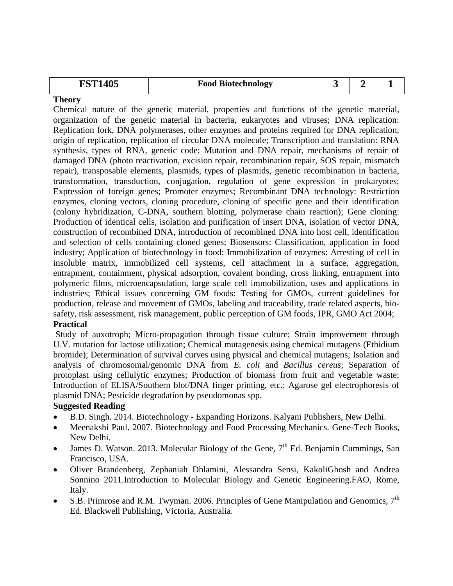| 1405<br>$\mathbf{FST}^*$ | <b>Food Biotechnology</b> |  |  |  |
|--------------------------|---------------------------|--|--|--|
|--------------------------|---------------------------|--|--|--|

Chemical nature of the genetic material, properties and functions of the genetic material, organization of the genetic material in bacteria, eukaryotes and viruses; DNA replication: Replication fork, DNA polymerases, other enzymes and proteins required for DNA replication, origin of replication, replication of circular DNA molecule; Transcription and translation: RNA synthesis, types of RNA, genetic code; Mutation and DNA repair, mechanisms of repair of damaged DNA (photo reactivation, excision repair, recombination repair, SOS repair, mismatch repair), transposable elements, plasmids, types of plasmids, genetic recombination in bacteria, transformation, transduction, conjugation, regulation of gene expression in prokaryotes; Expression of foreign genes; Promoter enzymes; Recombinant DNA technology: Restriction enzymes, cloning vectors, cloning procedure, cloning of specific gene and their identification (colony hybridization, C-DNA, southern blotting, polymerase chain reaction); Gene cloning: Production of identical cells, isolation and purification of insert DNA, isolation of vector DNA, construction of recombined DNA, introduction of recombined DNA into host cell, identification and selection of cells containing cloned genes; Biosensors: Classification, application in food industry; Application of biotechnology in food: Immobilization of enzymes: Arresting of cell in insoluble matrix, immobilized cell systems, cell attachment in a surface, aggregation, entrapment, containment, physical adsorption, covalent bonding, cross linking, entrapment into polymeric films, microencapsulation, large scale cell immobilization, uses and applications in industries; Ethical issues concerning GM foods: Testing for GMOs, current guidelines for production, release and movement of GMOs, labeling and traceability, trade related aspects, biosafety, risk assessment, risk management, public perception of GM foods, IPR, GMO Act 2004;

### **Practical**

Study of auxotroph; Micro-propagation through tissue culture; Strain improvement through U.V. mutation for lactose utilization; Chemical mutagenesis using chemical mutagens (Ethidium bromide); Determination of survival curves using physical and chemical mutagens; Isolation and analysis of chromosomal/genomic DNA from *E. coli* and *Bacillus cereus*; Separation of protoplast using cellulytic enzymes; Production of biomass from fruit and vegetable waste; Introduction of ELISA/Southern blot/DNA finger printing, etc.; Agarose gel electrophoresis of plasmid DNA; Pesticide degradation by pseudomonas spp.

- B.D. Singh. 2014. Biotechnology Expanding Horizons. Kalyani Publishers, New Delhi.
- Meenakshi Paul. 2007. Biotechnology and Food Processing Mechanics. Gene-Tech Books, New Delhi.
- James D. Watson. 2013. Molecular Biology of the Gene,  $7<sup>th</sup>$  Ed. Benjamin Cummings, San Francisco, USA.
- Oliver Brandenberg, Zephaniah Dhlamini, Alessandra Sensi, KakoliGhosh and Andrea Sonnino 2011.Introduction to Molecular Biology and Genetic Engineering.FAO, Rome, Italy.
- S.B. Primrose and R.M. Twyman. 2006. Principles of Gene Manipulation and Genomics,  $7<sup>th</sup>$ Ed. Blackwell Publishing, Victoria, Australia.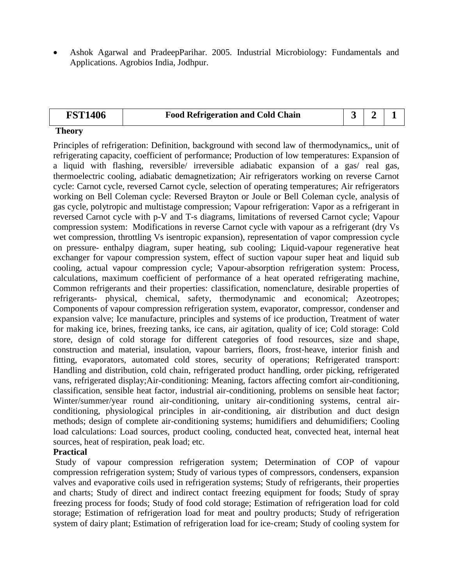Ashok Agarwal and PradeepParihar. 2005. Industrial Microbiology: Fundamentals and Applications. Agrobios India, Jodhpur.

| <b>FST1406</b> | <b>Food Refrigeration and Cold Chain</b> |  |  |
|----------------|------------------------------------------|--|--|
|                |                                          |  |  |

### **Theory**

Principles of refrigeration: Definition, background with second law of thermodynamics,, unit of refrigerating capacity, coefficient of performance; Production of low temperatures: Expansion of a liquid with flashing, reversible/ irreversible adiabatic expansion of a gas/ real gas, thermoelectric cooling, adiabatic demagnetization; Air refrigerators working on reverse Carnot cycle: Carnot cycle, reversed Carnot cycle, selection of operating temperatures; Air refrigerators working on Bell Coleman cycle: Reversed Brayton or Joule or Bell Coleman cycle, analysis of gas cycle, polytropic and multistage compression; Vapour refrigeration: Vapor as a refrigerant in reversed Carnot cycle with p-V and T-s diagrams, limitations of reversed Carnot cycle; Vapour compression system: Modifications in reverse Carnot cycle with vapour as a refrigerant (dry Vs wet compression, throttling Vs isentropic expansion), representation of vapor compression cycle on pressure- enthalpy diagram, super heating, sub cooling; Liquid-vapour regenerative heat exchanger for vapour compression system, effect of suction vapour super heat and liquid sub cooling, actual vapour compression cycle; Vapour-absorption refrigeration system: Process, calculations, maximum coefficient of performance of a heat operated refrigerating machine, Common refrigerants and their properties: classification, nomenclature, desirable properties of refrigerants- physical, chemical, safety, thermodynamic and economical; Azeotropes; Components of vapour compression refrigeration system, evaporator, compressor, condenser and expansion valve; Ice manufacture, principles and systems of ice production, Treatment of water for making ice, brines, freezing tanks, ice cans, air agitation, quality of ice; Cold storage: Cold store, design of cold storage for different categories of food resources, size and shape, construction and material, insulation, vapour barriers, floors, frost‐heave, interior finish and fitting, evaporators, automated cold stores, security of operations; Refrigerated transport: Handling and distribution, cold chain, refrigerated product handling, order picking, refrigerated vans, refrigerated display;Air-conditioning: Meaning, factors affecting comfort air-conditioning, classification, sensible heat factor, industrial air-conditioning, problems on sensible heat factor; Winter/summer/year round air-conditioning, unitary air-conditioning systems, central airconditioning, physiological principles in air-conditioning, air distribution and duct design methods; design of complete air-conditioning systems; humidifiers and dehumidifiers; Cooling load calculations: Load sources, product cooling, conducted heat, convected heat, internal heat sources, heat of respiration, peak load; etc.

### **Practical**

Study of vapour compression refrigeration system; Determination of COP of vapour compression refrigeration system; Study of various types of compressors, condensers, expansion valves and evaporative coils used in refrigeration systems; Study of refrigerants, their properties and charts; Study of direct and indirect contact freezing equipment for foods; Study of spray freezing process for foods; Study of food cold storage; Estimation of refrigeration load for cold storage; Estimation of refrigeration load for meat and poultry products; Study of refrigeration system of dairy plant; Estimation of refrigeration load for ice-cream; Study of cooling system for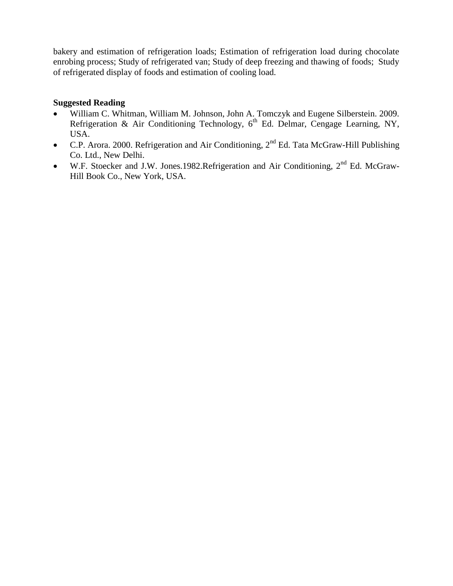bakery and estimation of refrigeration loads; Estimation of refrigeration load during chocolate enrobing process; Study of refrigerated van; Study of deep freezing and thawing of foods; Study of refrigerated display of foods and estimation of cooling load.

- William C. Whitman, William M. Johnson, John A. Tomczyk and Eugene Silberstein. 2009. Refrigeration & Air Conditioning Technology,  $6<sup>th</sup>$  Ed. Delmar, Cengage Learning, NY, USA.
- C.P. Arora. 2000. Refrigeration and Air Conditioning,  $2<sup>nd</sup>$  Ed. Tata McGraw-Hill Publishing Co. Ltd., New Delhi.
- $\bullet$  W.F. Stoecker and J.W. Jones.1982.Refrigeration and Air Conditioning,  $2^{nd}$  Ed. McGraw-Hill Book Co., New York, USA.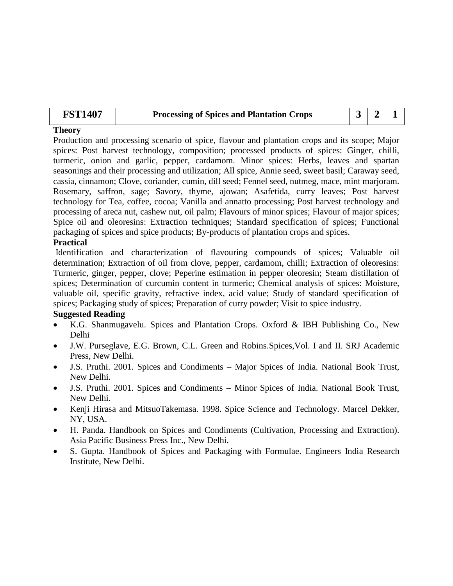| <b>FST1407</b> | <b>Processing of Spices and Plantation Crops</b> | $321$ |  |
|----------------|--------------------------------------------------|-------|--|
|                |                                                  |       |  |

Production and processing scenario of spice, flavour and plantation crops and its scope; Major spices: Post harvest technology, composition; processed products of spices: Ginger, chilli, turmeric, onion and garlic, pepper, cardamom. Minor spices: Herbs, leaves and spartan seasonings and their processing and utilization; All spice, Annie seed, sweet basil; Caraway seed, cassia, cinnamon; Clove, coriander, cumin, dill seed; Fennel seed, nutmeg, mace, mint marjoram. Rosemary, saffron, sage; Savory, thyme, ajowan; Asafetida, curry leaves; Post harvest technology for Tea, coffee, cocoa; Vanilla and annatto processing; Post harvest technology and processing of areca nut, cashew nut, oil palm; Flavours of minor spices; Flavour of major spices; Spice oil and oleoresins: Extraction techniques; Standard specification of spices; Functional packaging of spices and spice products; By-products of plantation crops and spices.

### **Practical**

Identification and characterization of flavouring compounds of spices; Valuable oil determination; Extraction of oil from clove, pepper, cardamom, chilli; Extraction of oleoresins: Turmeric, ginger, pepper, clove; Peperine estimation in pepper oleoresin; Steam distillation of spices; Determination of curcumin content in turmeric; Chemical analysis of spices: Moisture, valuable oil, specific gravity, refractive index, acid value; Study of standard specification of spices; Packaging study of spices; Preparation of curry powder; Visit to spice industry.

- K.G. Shanmugavelu. Spices and Plantation Crops. Oxford & IBH Publishing Co., New Delhi
- J.W. Purseglave, E.G. Brown, C.L. Green and Robins.Spices,Vol. I and II. SRJ Academic Press, New Delhi.
- J.S. Pruthi. 2001. Spices and Condiments Major Spices of India. National Book Trust, New Delhi.
- J.S. Pruthi. 2001. Spices and Condiments Minor Spices of India. National Book Trust, New Delhi.
- Kenji Hirasa and MitsuoTakemasa. 1998. Spice Science and Technology. Marcel Dekker, NY, USA.
- H. Panda. Handbook on Spices and Condiments (Cultivation, Processing and Extraction). Asia Pacific Business Press Inc., New Delhi.
- S. Gupta. Handbook of Spices and Packaging with Formulae. Engineers India Research Institute, New Delhi.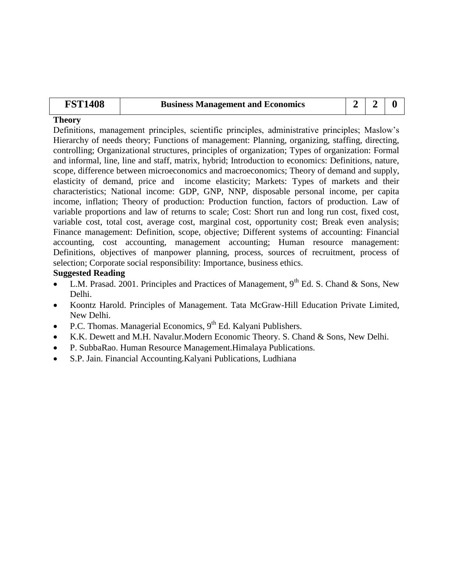| <b>FST1408</b> | <b>Business Management and Economics</b> |  | $2 \mid 2 \mid 0$ |  |
|----------------|------------------------------------------|--|-------------------|--|
|----------------|------------------------------------------|--|-------------------|--|

Definitions, management principles, scientific principles, administrative principles; Maslow's Hierarchy of needs theory; Functions of management: Planning, organizing, staffing, directing, controlling; Organizational structures, principles of organization; Types of organization: Formal and informal, line, line and staff, matrix, hybrid; Introduction to economics: Definitions, nature, scope, difference between microeconomics and macroeconomics; Theory of demand and supply, elasticity of demand, price and income elasticity; Markets: Types of markets and their characteristics; National income: GDP, GNP, NNP, disposable personal income, per capita income, inflation; Theory of production: Production function, factors of production. Law of variable proportions and law of returns to scale; Cost: Short run and long run cost, fixed cost, variable cost, total cost, average cost, marginal cost, opportunity cost; Break even analysis; Finance management: Definition, scope, objective; Different systems of accounting: Financial accounting, cost accounting, management accounting; Human resource management: Definitions, objectives of manpower planning, process, sources of recruitment, process of selection; Corporate social responsibility: Importance, business ethics.

- L.M. Prasad. 2001. Principles and Practices of Management,  $9<sup>th</sup>$  Ed. S. Chand & Sons, New Delhi.
- Koontz Harold. Principles of Management. Tata McGraw-Hill Education Private Limited, New Delhi.
- P.C. Thomas. Managerial Economics,  $9<sup>th</sup>$  Ed. Kalyani Publishers.
- K.K. Dewett and M.H. Navalur.Modern Economic Theory. S. Chand & Sons, New Delhi.
- P. SubbaRao. Human Resource Management.Himalaya Publications.
- S.P. Jain. Financial Accounting.Kalyani Publications, Ludhiana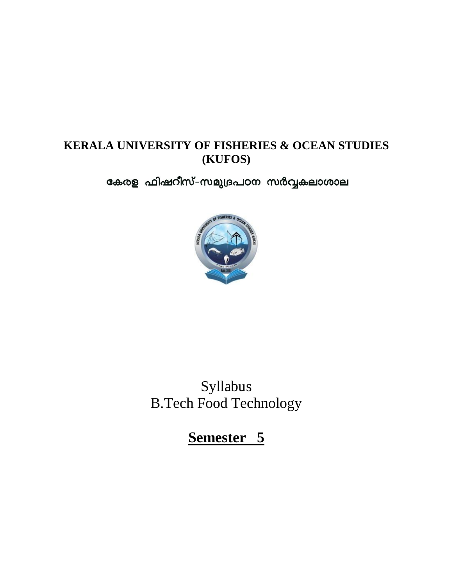## **KERALA UNIVERSITY OF FISHERIES & OCEAN STUDIES (KUFOS)**

കേരള ഫിഷറീസ്-സമുദ്രപഠന സർവ്വകലാശാല



Syllabus B.Tech Food Technology

**Semester 5**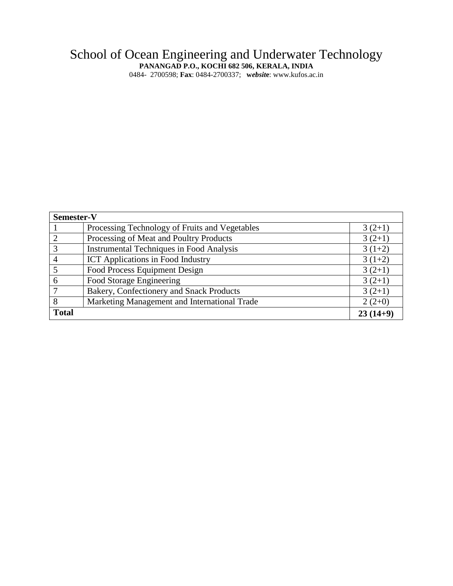### School of Ocean Engineering and Underwater Technology **PANANGAD P.O., KOCHI 682 506, KERALA, INDIA**

0484- 2700598; **Fax**: 0484-2700337; **w***ebsit***e**: www.kufos.ac.in

| Semester-V     |                                                 |            |
|----------------|-------------------------------------------------|------------|
|                | Processing Technology of Fruits and Vegetables  | $3(2+1)$   |
| $\overline{2}$ | Processing of Meat and Poultry Products         | $3(2+1)$   |
| 3              | <b>Instrumental Techniques in Food Analysis</b> | $3(1+2)$   |
|                | <b>ICT</b> Applications in Food Industry        | $3(1+2)$   |
|                | Food Process Equipment Design                   | $3(2+1)$   |
| 6              | Food Storage Engineering                        | $3(2+1)$   |
|                | Bakery, Confectionery and Snack Products        | $3(2+1)$   |
| 8              | Marketing Management and International Trade    | $2(2+0)$   |
| <b>Total</b>   |                                                 | $23(14+9)$ |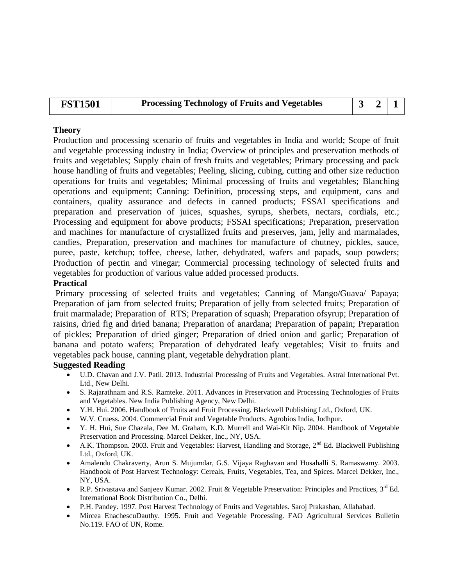| <b>FST1501</b><br><b>Processing Technology of Fruits and Vegetables</b> |  | 3/2/1 |  |
|-------------------------------------------------------------------------|--|-------|--|
|-------------------------------------------------------------------------|--|-------|--|

Production and processing scenario of fruits and vegetables in India and world; Scope of fruit and vegetable processing industry in India; Overview of principles and preservation methods of fruits and vegetables; Supply chain of fresh fruits and vegetables; Primary processing and pack house handling of fruits and vegetables; Peeling, slicing, cubing, cutting and other size reduction operations for fruits and vegetables; Minimal processing of fruits and vegetables; Blanching operations and equipment; Canning: Definition, processing steps, and equipment, cans and containers, quality assurance and defects in canned products; FSSAI specifications and preparation and preservation of juices, squashes, syrups, sherbets, nectars, cordials, etc.; Processing and equipment for above products; FSSAI specifications; Preparation, preservation and machines for manufacture of crystallized fruits and preserves, jam, jelly and marmalades, candies, Preparation, preservation and machines for manufacture of chutney, pickles, sauce, puree, paste, ketchup; toffee, cheese, lather, dehydrated, wafers and papads, soup powders; Production of pectin and vinegar; Commercial processing technology of selected fruits and vegetables for production of various value added processed products.

### **Practical**

Primary processing of selected fruits and vegetables; Canning of Mango/Guava/ Papaya; Preparation of jam from selected fruits; Preparation of jelly from selected fruits; Preparation of fruit marmalade; Preparation of RTS; Preparation of squash; Preparation of syrup; Preparation of raisins, dried fig and dried banana; Preparation of anardana; Preparation of papain; Preparation of pickles; Preparation of dried ginger; Preparation of dried onion and garlic; Preparation of banana and potato wafers; Preparation of dehydrated leafy vegetables; Visit to fruits and vegetables pack house, canning plant, vegetable dehydration plant.

- U.D. Chavan and J.V. Patil. 2013. Industrial Processing of Fruits and Vegetables. Astral International Pvt. Ltd., New Delhi.
- S. Rajarathnam and R.S. Ramteke. 2011. Advances in Preservation and Processing Technologies of Fruits and Vegetables. New India Publishing Agency, New Delhi.
- Y.H. Hui. 2006. Handbook of Fruits and Fruit Processing. Blackwell Publishing Ltd., Oxford, UK.
- W.V. Cruess. 2004. Commercial Fruit and Vegetable Products. Agrobios India, Jodhpur.
- Y. H. Hui, Sue Chazala, Dee M. Graham, K.D. Murrell and Wai-Kit Nip. 2004. Handbook of Vegetable Preservation and Processing. Marcel Dekker, Inc., NY, USA.
- A.K. Thompson. 2003. Fruit and Vegetables: Harvest, Handling and Storage,  $2^{nd}$  Ed. Blackwell Publishing Ltd., Oxford, UK.
- Amalendu Chakraverty, Arun S. Mujumdar, G.S. Vijaya Raghavan and Hosahalli S. Ramaswamy. 2003. Handbook of Post Harvest Technology: Cereals, Fruits, Vegetables, Tea, and Spices. Marcel Dekker, Inc., NY, USA.
- R.P. Srivastava and Sanjeev Kumar. 2002. Fruit & Vegetable Preservation: Principles and Practices, 3<sup>rd</sup> Ed. International Book Distribution Co., Delhi.
- P.H. Pandey. 1997. Post Harvest Technology of Fruits and Vegetables. Saroj Prakashan, Allahabad.
- Mircea EnachescuDauthy. 1995. Fruit and Vegetable Processing. FAO Agricultural Services Bulletin No.119. FAO of UN, Rome.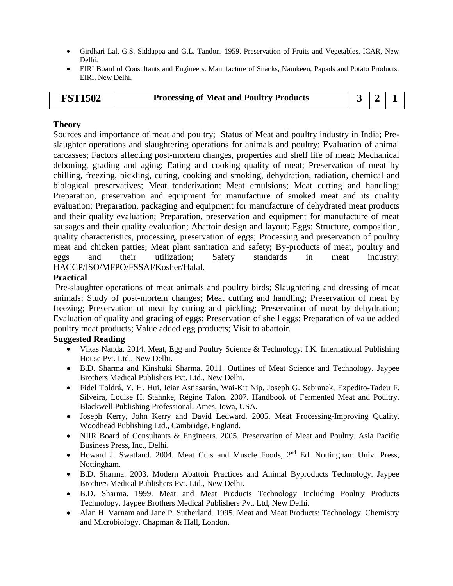- Girdhari Lal, G.S. Siddappa and G.L. Tandon. 1959. Preservation of Fruits and Vegetables. ICAR, New Delhi.
- EIRI Board of Consultants and Engineers. Manufacture of Snacks, Namkeen, Papads and Potato Products. EIRI, New Delhi.

| 3/2/1<br><b>Processing of Meat and Poultry Products</b><br><b>FST1502</b> |  |  |
|---------------------------------------------------------------------------|--|--|
|---------------------------------------------------------------------------|--|--|

Sources and importance of meat and poultry; Status of Meat and poultry industry in India; Preslaughter operations and slaughtering operations for animals and poultry; Evaluation of animal carcasses; Factors affecting post-mortem changes, properties and shelf life of meat; Mechanical deboning, grading and aging; Eating and cooking quality of meat; Preservation of meat by chilling, freezing, pickling, curing, cooking and smoking, dehydration, radiation, chemical and biological preservatives; Meat tenderization; Meat emulsions; Meat cutting and handling; Preparation, preservation and equipment for manufacture of smoked meat and its quality evaluation; Preparation, packaging and equipment for manufacture of dehydrated meat products and their quality evaluation; Preparation, preservation and equipment for manufacture of meat sausages and their quality evaluation; Abattoir design and layout; Eggs: Structure, composition, quality characteristics, processing, preservation of eggs; Processing and preservation of poultry meat and chicken patties; Meat plant sanitation and safety; By-products of meat, poultry and eggs and their utilization; Safety standards in meat industry: HACCP/ISO/MFPO/FSSAI/Kosher/Halal.

### **Practical**

Pre-slaughter operations of meat animals and poultry birds; Slaughtering and dressing of meat animals; Study of post-mortem changes; Meat cutting and handling; Preservation of meat by freezing; Preservation of meat by curing and pickling; Preservation of meat by dehydration; Evaluation of quality and grading of eggs; Preservation of shell eggs; Preparation of value added poultry meat products; Value added egg products; Visit to abattoir.

- Vikas Nanda. 2014. Meat, Egg and Poultry Science & Technology. I.K. International Publishing House Pvt. Ltd., New Delhi.
- B.D. Sharma and Kinshuki Sharma. 2011. Outlines of Meat Science and Technology. Jaypee Brothers Medical Publishers Pvt. Ltd., New Delhi.
- Fidel Toldrá, Y. H. Hui, Iciar Astiasarán, Wai-Kit Nip, Joseph G. Sebranek, Expedito-Tadeu F. Silveira, Louise H. Stahnke, Régine Talon. 2007. Handbook of Fermented Meat and Poultry. Blackwell Publishing Professional, Ames, Iowa, USA.
- Joseph Kerry, John Kerry and David Ledward. 2005. Meat Processing-Improving Quality. Woodhead Publishing Ltd., Cambridge, England.
- NIIR Board of Consultants & Engineers. 2005. Preservation of Meat and Poultry. Asia Pacific Business Press, Inc., Delhi.
- Howard J. Swatland. 2004. Meat Cuts and Muscle Foods, 2<sup>nd</sup> Ed. Nottingham Univ. Press, Nottingham.
- B.D. Sharma. 2003. Modern Abattoir Practices and Animal Byproducts Technology. Jaypee Brothers Medical Publishers Pvt. Ltd., New Delhi.
- B.D. Sharma. 1999. Meat and Meat Products Technology Including Poultry Products Technology. Jaypee Brothers Medical Publishers Pvt. Ltd, New Delhi.
- Alan H. Varnam and Jane P. Sutherland. 1995. Meat and Meat Products: Technology, Chemistry and Microbiology. Chapman & Hall, London.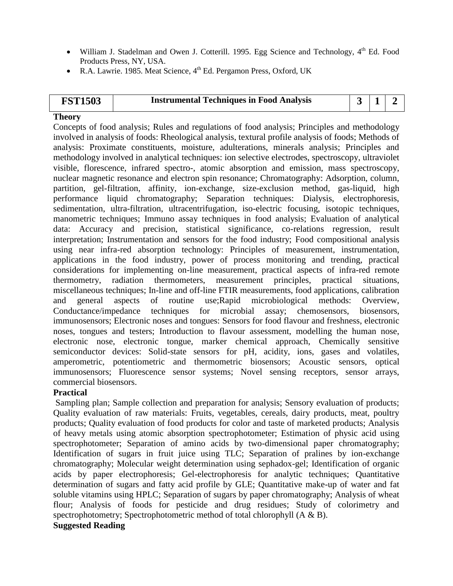- William J. Stadelman and Owen J. Cotterill. 1995. Egg Science and Technology,  $4<sup>th</sup>$  Ed. Food Products Press, NY, USA.
- R.A. Lawrie. 1985. Meat Science,  $4<sup>th</sup>$  Ed. Pergamon Press, Oxford, UK

| <b>FST1503</b> | <b>Instrumental Techniques in Food Analysis</b> | $\begin{array}{c c c c c c} 3 & 1 & 2 \end{array}$ |  |
|----------------|-------------------------------------------------|----------------------------------------------------|--|
|                |                                                 |                                                    |  |

Concepts of food analysis; Rules and regulations of food analysis; Principles and methodology involved in analysis of foods: Rheological analysis, textural profile analysis of foods; Methods of analysis: Proximate constituents, moisture, adulterations, minerals analysis; Principles and methodology involved in analytical techniques: ion selective electrodes, spectroscopy, ultraviolet visible, florescence, infrared spectro-, atomic absorption and emission, mass spectroscopy, nuclear magnetic resonance and electron spin resonance; Chromatography: Adsorption, column, partition, gel-filtration, affinity, ion-exchange, size-exclusion method, gas-liquid, high performance liquid chromatography; Separation techniques: Dialysis, electrophoresis, sedimentation, ultra-filtration, ultracentrifugation, iso-electric focusing, isotopic techniques, manometric techniques; Immuno assay techniques in food analysis; Evaluation of analytical data: Accuracy and precision, statistical significance, co-relations regression, result interpretation; Instrumentation and sensors for the food industry; Food compositional analysis using near infra-red absorption technology: Principles of measurement, instrumentation, applications in the food industry, power of process monitoring and trending, practical considerations for implementing on-line measurement, practical aspects of infra-red remote thermometry, radiation thermometers, measurement principles, practical situations, miscellaneous techniques; In-line and off-line FTIR measurements, food applications, calibration and general aspects of routine use;Rapid microbiological methods: Overview, Conductance/impedance techniques for microbial assay; chemosensors, biosensors, immunosensors; Electronic noses and tongues: Sensors for food flavour and freshness, electronic noses, tongues and testers; Introduction to flavour assessment, modelling the human nose, electronic nose, electronic tongue, marker chemical approach, Chemically sensitive semiconductor devices: Solid-state sensors for pH, acidity, ions, gases and volatiles, amperometric, potentiometric and thermometric biosensors; Acoustic sensors, optical immunosensors; Fluorescence sensor systems; Novel sensing receptors, sensor arrays, commercial biosensors.

### **Practical**

Sampling plan; Sample collection and preparation for analysis; Sensory evaluation of products; Quality evaluation of raw materials: Fruits, vegetables, cereals, dairy products, meat, poultry products; Quality evaluation of food products for color and taste of marketed products; Analysis of heavy metals using atomic absorption spectrophotometer; Estimation of physic acid using spectrophotometer; Separation of amino acids by two-dimensional paper chromatography; Identification of sugars in fruit juice using TLC; Separation of pralines by ion-exchange chromatography; Molecular weight determination using sephadox-gel; Identification of organic acids by paper electrophoresis; Gel-electrophoresis for analytic techniques; Quantitative determination of sugars and fatty acid profile by GLE; Quantitative make-up of water and fat soluble vitamins using HPLC; Separation of sugars by paper chromatography; Analysis of wheat flour; Analysis of foods for pesticide and drug residues; Study of colorimetry and spectrophotometry; Spectrophotometric method of total chlorophyll (A & B).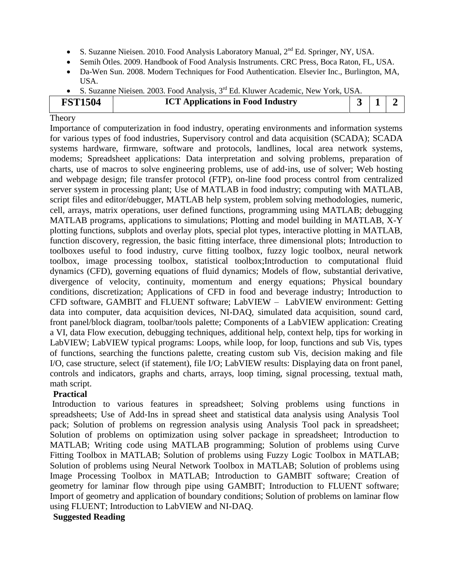- S. Suzanne Nieisen. 2010. Food Analysis Laboratory Manual,  $2<sup>nd</sup> Ed$ . Springer, NY, USA.
- Semih Ötles. 2009. Handbook of Food Analysis Instruments. CRC Press, Boca Raton, FL, USA.
- Da-Wen Sun. 2008. Modern Techniques for Food Authentication. Elsevier Inc., Burlington, MA, USA.
- S. Suzanne Nieisen*.* 2003. Food Analysis, 3rd Ed. Kluwer Academic, New York, USA.

| <b>FST1504</b> | <b>ICT Applications in Food Industry</b> |  |  |
|----------------|------------------------------------------|--|--|
|                |                                          |  |  |

Importance of computerization in food industry, operating environments and information systems for various types of food industries, Supervisory control and data acquisition (SCADA); SCADA systems hardware, firmware, software and protocols, landlines, local area network systems, modems; Spreadsheet applications: Data interpretation and solving problems, preparation of charts, use of macros to solve engineering problems, use of add‐ins, use of solver; Web hosting and webpage design; file transfer protocol (FTP), on-line food process control from centralized server system in processing plant; Use of MATLAB in food industry; computing with MATLAB, script files and editor/debugger, MATLAB help system, problem solving methodologies, numeric, cell, arrays, matrix operations, user defined functions, programming using MATLAB; debugging MATLAB programs, applications to simulations; Plotting and model building in MATLAB, X-Y plotting functions, subplots and overlay plots, special plot types, interactive plotting in MATLAB, function discovery, regression, the basic fitting interface, three dimensional plots; Introduction to toolboxes useful to food industry, curve fitting toolbox, fuzzy logic toolbox, neural network toolbox, image processing toolbox, statistical toolbox;Introduction to computational fluid dynamics (CFD), governing equations of fluid dynamics; Models of flow, substantial derivative, divergence of velocity, continuity, momentum and energy equations; Physical boundary conditions, discretization; Applications of CFD in food and beverage industry; Introduction to CFD software, GAMBIT and FLUENT software; LabVIEW – LabVIEW environment: Getting data into computer, data acquisition devices, NI-DAQ, simulated data acquisition, sound card, front panel/block diagram, toolbar/tools palette; Components of a LabVIEW application: Creating a VI, data Flow execution, debugging techniques, additional help, context help, tips for working in LabVIEW; LabVIEW typical programs: Loops, while loop, for loop, functions and sub Vis, types of functions, searching the functions palette, creating custom sub Vis, decision making and file I/O, case structure, select (if statement), file I/O; LabVIEW results: Displaying data on front panel, controls and indicators, graphs and charts, arrays, loop timing, signal processing, textual math, math script.

### **Practical**

Introduction to various features in spreadsheet; Solving problems using functions in spreadsheets; Use of Add-Ins in spread sheet and statistical data analysis using Analysis Tool pack; Solution of problems on regression analysis using Analysis Tool pack in spreadsheet; Solution of problems on optimization using solver package in spreadsheet; Introduction to MATLAB; Writing code using MATLAB programming; Solution of problems using Curve Fitting Toolbox in MATLAB; Solution of problems using Fuzzy Logic Toolbox in MATLAB; Solution of problems using Neural Network Toolbox in MATLAB; Solution of problems using Image Processing Toolbox in MATLAB; Introduction to GAMBIT software; Creation of geometry for laminar flow through pipe using GAMBIT; Introduction to FLUENT software; Import of geometry and application of boundary conditions; Solution of problems on laminar flow using FLUENT; Introduction to LabVIEW and NI-DAQ.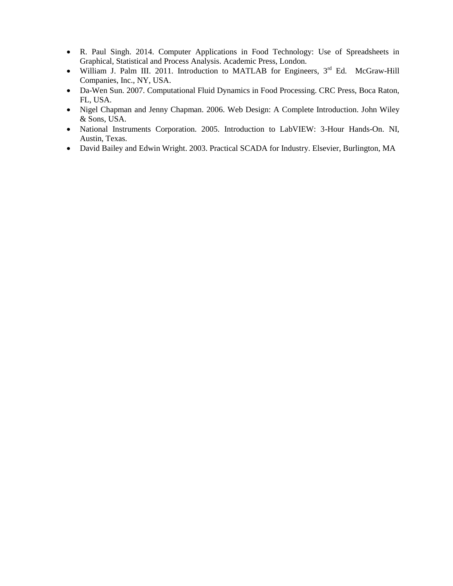- R. Paul Singh. 2014. Computer Applications in Food Technology: Use of Spreadsheets in Graphical, Statistical and Process Analysis. Academic Press, London.
- William J. Palm III. 2011. Introduction to MATLAB for Engineers, 3<sup>rd</sup> Ed. McGraw-Hill Companies, Inc., NY, USA.
- Da-Wen Sun. 2007. Computational Fluid Dynamics in Food Processing. CRC Press, Boca Raton, FL, USA.
- Nigel Chapman and Jenny Chapman. 2006. Web Design: A Complete Introduction. John Wiley & Sons, USA.
- National Instruments Corporation. 2005. Introduction to LabVIEW: 3-Hour Hands-On. NI, Austin, Texas.
- David Bailey and Edwin Wright. 2003. Practical SCADA for Industry. Elsevier, Burlington, MA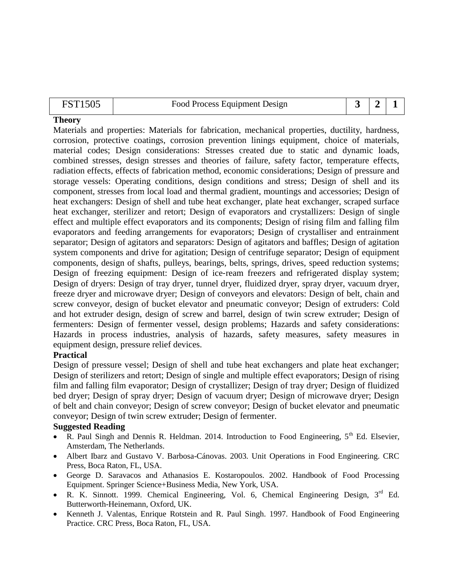| FST1505 | Food Process Equipment Design |  |  |
|---------|-------------------------------|--|--|

Materials and properties: Materials for fabrication, mechanical properties, ductility, hardness, corrosion, protective coatings, corrosion prevention linings equipment, choice of materials, material codes; Design considerations: Stresses created due to static and dynamic loads, combined stresses, design stresses and theories of failure, safety factor, temperature effects, radiation effects, effects of fabrication method, economic considerations; Design of pressure and storage vessels: Operating conditions, design conditions and stress; Design of shell and its component, stresses from local load and thermal gradient, mountings and accessories; Design of heat exchangers: Design of shell and tube heat exchanger, plate heat exchanger, scraped surface heat exchanger, sterilizer and retort; Design of evaporators and crystallizers: Design of single effect and multiple effect evaporators and its components; Design of rising film and falling film evaporators and feeding arrangements for evaporators; Design of crystalliser and entrainment separator; Design of agitators and separators: Design of agitators and baffles; Design of agitation system components and drive for agitation; Design of centrifuge separator; Design of equipment components, design of shafts, pulleys, bearings, belts, springs, drives, speed reduction systems; Design of freezing equipment: Design of ice-ream freezers and refrigerated display system; Design of dryers: Design of tray dryer, tunnel dryer, fluidized dryer, spray dryer, vacuum dryer, freeze dryer and microwave dryer; Design of conveyors and elevators: Design of belt, chain and screw conveyor, design of bucket elevator and pneumatic conveyor; Design of extruders: Cold and hot extruder design, design of screw and barrel, design of twin screw extruder; Design of fermenters: Design of fermenter vessel, design problems; Hazards and safety considerations: Hazards in process industries, analysis of hazards, safety measures, safety measures in equipment design, pressure relief devices.

### **Practical**

Design of pressure vessel; Design of shell and tube heat exchangers and plate heat exchanger; Design of sterilizers and retort; Design of single and multiple effect evaporators; Design of rising film and falling film evaporator; Design of crystallizer; Design of tray dryer; Design of fluidized bed dryer; Design of spray dryer; Design of vacuum dryer; Design of microwave dryer; Design of belt and chain conveyor; Design of screw conveyor; Design of bucket elevator and pneumatic conveyor; Design of twin screw extruder; Design of fermenter.

- R. Paul Singh and Dennis R. Heldman. 2014. Introduction to Food Engineering, 5<sup>th</sup> Ed. Elsevier, Amsterdam, The Netherlands.
- Albert Ibarz and Gustavo V. Barbosa-Cánovas. 2003. Unit Operations in Food Engineering. CRC Press, Boca Raton, FL, USA.
- George D. Saravacos and Athanasios E. Kostaropoulos. 2002. Handbook of Food Processing Equipment. Springer Science+Business Media, New York, USA.
- R. K. Sinnott. 1999. Chemical Engineering, Vol. 6, Chemical Engineering Design, 3<sup>rd</sup> Ed. Butterworth-Heinemann, Oxford, UK.
- Kenneth J. Valentas, Enrique Rotstein and R. Paul Singh. 1997. Handbook of Food Engineering Practice. CRC Press, Boca Raton, FL, USA.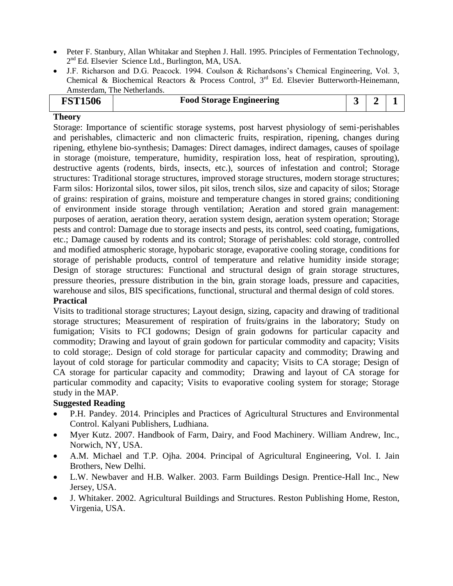- Peter F. Stanbury, Allan Whitakar and Stephen J. Hall. 1995. Principles of Fermentation Technology, 2<sup>nd</sup> Ed. Elsevier Science Ltd., Burlington, MA, USA.
- J.F. Richarson and D.G. Peacock. 1994. Coulson & Richardsons's Chemical Engineering, Vol. 3, Chemical & Biochemical Reactors & Process Control,  $3<sup>rd</sup>$  Ed. Elsevier Butterworth-Heinemann, Amsterdam, The Netherlands.

|  | <b>FST1506</b> | <b>Food Storage Engineering</b> |  |  |  |
|--|----------------|---------------------------------|--|--|--|
|--|----------------|---------------------------------|--|--|--|

Storage: Importance of scientific storage systems, post harvest physiology of semi‐perishables and perishables, climacteric and non climacteric fruits, respiration, ripening, changes during ripening, ethylene bio-synthesis; Damages: Direct damages, indirect damages, causes of spoilage in storage (moisture, temperature, humidity, respiration loss, heat of respiration, sprouting), destructive agents (rodents, birds, insects, etc.), sources of infestation and control; Storage structures: Traditional storage structures, improved storage structures, modern storage structures; Farm silos: Horizontal silos, tower silos, pit silos, trench silos, size and capacity of silos; Storage of grains: respiration of grains, moisture and temperature changes in stored grains; conditioning of environment inside storage through ventilation; Aeration and stored grain management: purposes of aeration, aeration theory, aeration system design, aeration system operation; Storage pests and control: Damage due to storage insects and pests, its control, seed coating, fumigations, etc.; Damage caused by rodents and its control; Storage of perishables: cold storage, controlled and modified atmospheric storage, hypobaric storage, evaporative cooling storage, conditions for storage of perishable products, control of temperature and relative humidity inside storage; Design of storage structures: Functional and structural design of grain storage structures, pressure theories, pressure distribution in the bin, grain storage loads, pressure and capacities, warehouse and silos, BIS specifications, functional, structural and thermal design of cold stores.

### **Practical**

Visits to traditional storage structures; Layout design, sizing, capacity and drawing of traditional storage structures; Measurement of respiration of fruits/grains in the laboratory; Study on fumigation; Visits to FCI godowns; Design of grain godowns for particular capacity and commodity; Drawing and layout of grain godown for particular commodity and capacity; Visits to cold storage;. Design of cold storage for particular capacity and commodity; Drawing and layout of cold storage for particular commodity and capacity; Visits to CA storage; Design of CA storage for particular capacity and commodity; Drawing and layout of CA storage for particular commodity and capacity; Visits to evaporative cooling system for storage; Storage study in the MAP.

- P.H. Pandey. 2014. Principles and Practices of Agricultural Structures and Environmental Control. Kalyani Publishers, Ludhiana.
- Myer Kutz. 2007. Handbook of Farm, Dairy, and Food Machinery. William Andrew, Inc., Norwich, NY, USA.
- A.M. Michael and T.P. Ojha. 2004. Principal of Agricultural Engineering, Vol. I. Jain Brothers, New Delhi.
- L.W. Newbaver and H.B. Walker. 2003. Farm Buildings Design. Prentice-Hall Inc., New Jersey, USA.
- J. Whitaker. 2002. Agricultural Buildings and Structures. Reston Publishing Home, Reston, Virgenia, USA.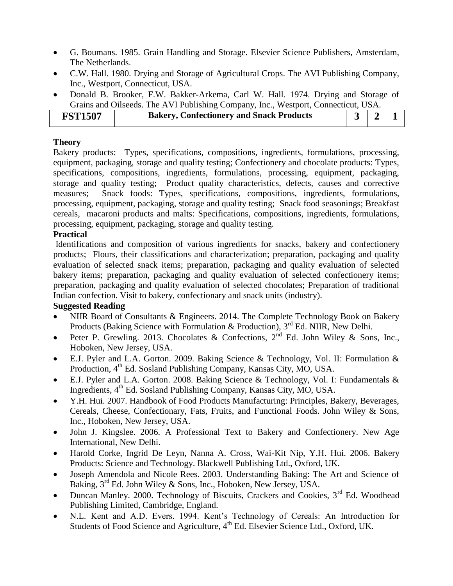- G. Boumans. 1985. Grain Handling and Storage. Elsevier Science Publishers, Amsterdam, The Netherlands.
- C.W. Hall. 1980. Drying and Storage of Agricultural Crops. The AVI Publishing Company, Inc., Westport, Connecticut, USA.
- Donald B. Brooker, F.W. Bakker-Arkema, Carl W. Hall. 1974. Drying and Storage of Grains and Oilseeds. The AVI Publishing Company, Inc., Westport, Connecticut, USA.

| <b>FST1507</b> | <b>Bakery, Confectionery and Snack Products</b> |  |  |  |
|----------------|-------------------------------------------------|--|--|--|
|----------------|-------------------------------------------------|--|--|--|

Bakery products: Types, specifications, compositions, ingredients, formulations, processing, equipment, packaging, storage and quality testing; Confectionery and chocolate products: Types, specifications, compositions, ingredients, formulations, processing, equipment, packaging, storage and quality testing; Product quality characteristics, defects, causes and corrective measures; Snack foods: Types, specifications, compositions, ingredients, formulations, processing, equipment, packaging, storage and quality testing; Snack food seasonings; Breakfast cereals, macaroni products and malts: Specifications, compositions, ingredients, formulations, processing, equipment, packaging, storage and quality testing.

### **Practical**

Identifications and composition of various ingredients for snacks, bakery and confectionery products; Flours, their classifications and characterization; preparation, packaging and quality evaluation of selected snack items; preparation, packaging and quality evaluation of selected bakery items; preparation, packaging and quality evaluation of selected confectionery items; preparation, packaging and quality evaluation of selected chocolates; Preparation of traditional Indian confection. Visit to bakery, confectionary and snack units (industry).

- NIIR Board of Consultants & Engineers. 2014. The Complete Technology Book on Bakery Products (Baking Science with Formulation & Production),  $3<sup>rd</sup>$  Ed. NIIR, New Delhi.
- Peter P. Grewling. 2013. Chocolates & Confections,  $2^{nd}$  Ed. John Wiley & Sons, Inc., Hoboken, New Jersey, USA.
- E.J. Pyler and L.A. Gorton. 2009. Baking Science & Technology, Vol. II: Formulation & Production, 4<sup>th</sup> Ed. Sosland Publishing Company, Kansas City, MO, USA.
- E.J. Pyler and L.A. Gorton. 2008. Baking Science & Technology, Vol. I: Fundamentals & Ingredients, 4th Ed. Sosland Publishing Company, Kansas City, MO, USA.
- Y.H. Hui. 2007. Handbook of Food Products Manufacturing: Principles, Bakery, Beverages, Cereals, Cheese, Confectionary, Fats, Fruits, and Functional Foods. John Wiley & Sons, Inc., Hoboken, New Jersey, USA.
- John J. Kingslee. 2006. A Professional Text to Bakery and Confectionery. New Age International, New Delhi.
- Harold Corke, Ingrid De Leyn, Nanna A. Cross, Wai-Kit Nip, Y.H. Hui. 2006. Bakery Products: Science and Technology. Blackwell Publishing Ltd., Oxford, UK.
- Joseph Amendola and Nicole Rees. 2003. Understanding Baking: The Art and Science of Baking,  $3<sup>rd</sup>$  Ed. John Wiley & Sons, Inc., Hoboken, New Jersey, USA.
- Duncan Manley. 2000. Technology of Biscuits, Crackers and Cookies, 3<sup>rd</sup> Ed. Woodhead Publishing Limited, Cambridge, England.
- N.L. Kent and A.D. Evers. 1994. Kent's Technology of Cereals: An Introduction for Students of Food Science and Agriculture, 4<sup>th</sup> Ed. Elsevier Science Ltd., Oxford, UK.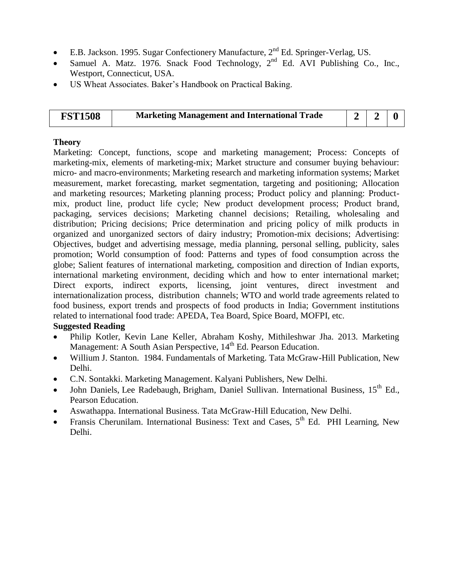- E.B. Jackson. 1995. Sugar Confectionery Manufacture, 2nd Ed. Springer-Verlag, US.
- Samuel A. Matz. 1976. Snack Food Technology, 2<sup>nd</sup> Ed. AVI Publishing Co., Inc., Westport, Connecticut, USA.
- US Wheat Associates. Baker's Handbook on Practical Baking.

| <b>FST1508</b> | <b>Marketing Management and International Trade</b> |  |  |
|----------------|-----------------------------------------------------|--|--|
|----------------|-----------------------------------------------------|--|--|

Marketing: Concept, functions, scope and marketing management; Process: Concepts of marketing-mix, elements of marketing-mix; Market structure and consumer buying behaviour: micro- and macro-environments; Marketing research and marketing information systems; Market measurement, market forecasting, market segmentation, targeting and positioning; Allocation and marketing resources; Marketing planning process; Product policy and planning: Productmix, product line, product life cycle; New product development process; Product brand, packaging, services decisions; Marketing channel decisions; Retailing, wholesaling and distribution; Pricing decisions; Price determination and pricing policy of milk products in organized and unorganized sectors of dairy industry; Promotion-mix decisions; Advertising: Objectives, budget and advertising message, media planning, personal selling, publicity, sales promotion; World consumption of food: Patterns and types of food consumption across the globe; Salient features of international marketing, composition and direction of Indian exports, international marketing environment, deciding which and how to enter international market; Direct exports, indirect exports, licensing, joint ventures, direct investment and internationalization process, distribution channels; WTO and world trade agreements related to food business, export trends and prospects of food products in India; Government institutions related to international food trade: APEDA, Tea Board, Spice Board, MOFPI, etc.

- Philip Kotler, Kevin Lane Keller, Abraham Koshy, Mithileshwar Jha. 2013. Marketing Management: A South Asian Perspective, 14<sup>th</sup> Ed. Pearson Education.
- Willium J. Stanton. 1984. Fundamentals of Marketing. Tata McGraw-Hill Publication, New Delhi.
- C.N. Sontakki. Marketing Management. Kalyani Publishers, New Delhi.
- John Daniels, Lee Radebaugh, Brigham, Daniel Sullivan. International Business, 15<sup>th</sup> Ed., Pearson Education.
- Aswathappa. International Business. Tata McGraw-Hill Education, New Delhi.
- Fransis Cherunilam. International Business: Text and Cases,  $5<sup>th</sup>$  Ed. PHI Learning, New Delhi.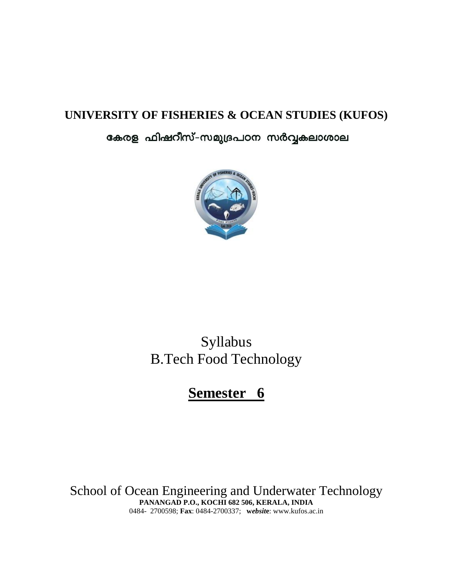## **UNIVERSITY OF FISHERIES & OCEAN STUDIES (KUFOS)**

## കേരള ഫിഷറീസ്-സമുദ്രപഠന സർവ്വകലാശാല



# Syllabus B.Tech Food Technology

# **Semester 6**

School of Ocean Engineering and Underwater Technology **PANANGAD P.O., KOCHI 682 506, KERALA, INDIA** 0484- 2700598; **Fax**: 0484-2700337; **w***ebsit***e**: www.kufos.ac.in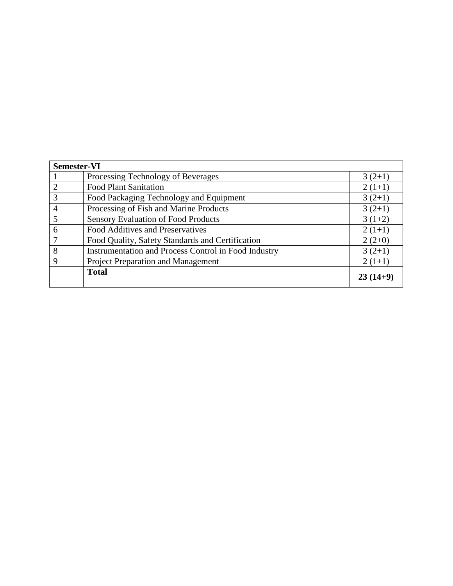| <b>Semester-VI</b> |                                                      |            |
|--------------------|------------------------------------------------------|------------|
|                    | Processing Technology of Beverages                   | $3(2+1)$   |
|                    | <b>Food Plant Sanitation</b>                         | $2(1+1)$   |
| 3                  | Food Packaging Technology and Equipment              | $3(2+1)$   |
| 4                  | Processing of Fish and Marine Products               | $3(2+1)$   |
| $\overline{5}$     | <b>Sensory Evaluation of Food Products</b>           | $3(1+2)$   |
| 6                  | Food Additives and Preservatives                     | $2(1+1)$   |
|                    | Food Quality, Safety Standards and Certification     | $2(2+0)$   |
| 8                  | Instrumentation and Process Control in Food Industry | $3(2+1)$   |
| $\mathbf Q$        | Project Preparation and Management                   | $2(1+1)$   |
|                    | <b>Total</b>                                         | $23(14+9)$ |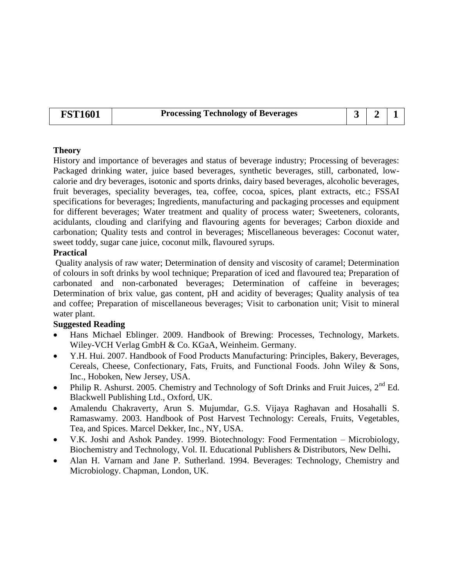### **FST1601 Processing Technology of Beverages 3 2 1**

### **Theory**

History and importance of beverages and status of beverage industry; Processing of beverages: Packaged drinking water, juice based beverages, synthetic beverages, still, carbonated, lowcalorie and dry beverages, isotonic and sports drinks, dairy based beverages, alcoholic beverages, fruit beverages, speciality beverages, tea, coffee, cocoa, spices, plant extracts, etc.; FSSAI specifications for beverages; Ingredients, manufacturing and packaging processes and equipment for different beverages; Water treatment and quality of process water; Sweeteners, colorants, acidulants, clouding and clarifying and flavouring agents for beverages; Carbon dioxide and carbonation; Quality tests and control in beverages; Miscellaneous beverages: Coconut water, sweet toddy, sugar cane juice, coconut milk, flavoured syrups.

### **Practical**

Quality analysis of raw water; Determination of density and viscosity of caramel; Determination of colours in soft drinks by wool technique; Preparation of iced and flavoured tea; Preparation of carbonated and non-carbonated beverages; Determination of caffeine in beverages; Determination of brix value, gas content, pH and acidity of beverages; Quality analysis of tea and coffee; Preparation of miscellaneous beverages; Visit to carbonation unit; Visit to mineral water plant.

- Hans Michael Eblinger. 2009. Handbook of Brewing: Processes, Technology, Markets. Wiley-VCH Verlag GmbH & Co. KGaA, Weinheim. Germany.
- Y.H. Hui. 2007. Handbook of Food Products Manufacturing: Principles, Bakery, Beverages, Cereals, Cheese, Confectionary, Fats, Fruits, and Functional Foods. John Wiley & Sons, Inc., Hoboken, New Jersey, USA.
- Philip R. Ashurst. 2005. Chemistry and Technology of Soft Drinks and Fruit Juices,  $2^{nd}$  Ed. Blackwell Publishing Ltd., Oxford, UK.
- Amalendu Chakraverty, Arun S. Mujumdar, G.S. Vijaya Raghavan and Hosahalli S. Ramaswamy. 2003. Handbook of Post Harvest Technology: Cereals, Fruits, Vegetables, Tea, and Spices. Marcel Dekker, Inc., NY, USA.
- V.K. Joshi and Ashok Pandey. 1999. Biotechnology: Food Fermentation Microbiology, Biochemistry and Technology, Vol. II. Educational Publishers & Distributors, New Delhi**.**
- Alan H. Varnam and Jane P. Sutherland. 1994. Beverages: Technology, Chemistry and Microbiology. Chapman, London, UK.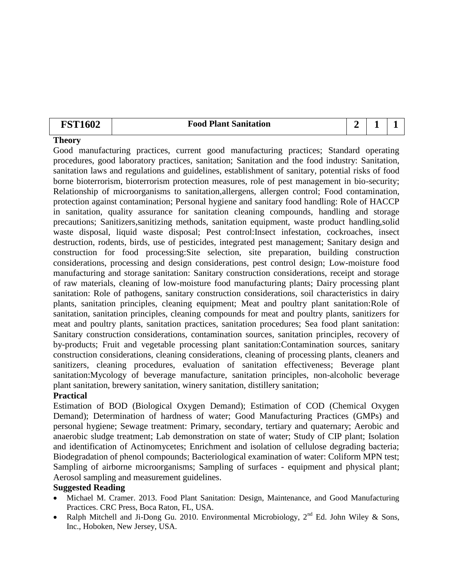### **FST1602 Food Plant Sanitation 2 1 1 1**

### **Theory**

Good manufacturing practices, current good manufacturing practices; Standard operating procedures, good laboratory practices, sanitation; Sanitation and the food industry: Sanitation, sanitation laws and regulations and guidelines, establishment of sanitary, potential risks of food borne bioterrorism, bioterrorism protection measures, role of pest management in bio-security; Relationship of microorganisms to sanitation, allergens, allergen control; Food contamination, protection against contamination; Personal hygiene and sanitary food handling: Role of HACCP in sanitation, quality assurance for sanitation cleaning compounds, handling and storage precautions; Sanitizers,sanitizing methods, sanitation equipment, waste product handling,solid waste disposal, liquid waste disposal; Pest control:Insect infestation, cockroaches, insect destruction, rodents, birds, use of pesticides, integrated pest management; Sanitary design and construction for food processing:Site selection, site preparation, building construction considerations, processing and design considerations, pest control design; Low-moisture food manufacturing and storage sanitation: Sanitary construction considerations, receipt and storage of raw materials, cleaning of low-moisture food manufacturing plants; Dairy processing plant sanitation: Role of pathogens, sanitary construction considerations, soil characteristics in dairy plants, sanitation principles, cleaning equipment; Meat and poultry plant sanitation:Role of sanitation, sanitation principles, cleaning compounds for meat and poultry plants, sanitizers for meat and poultry plants, sanitation practices, sanitation procedures; Sea food plant sanitation: Sanitary construction considerations, contamination sources, sanitation principles, recovery of by-products; Fruit and vegetable processing plant sanitation:Contamination sources, sanitary construction considerations, cleaning considerations, cleaning of processing plants, cleaners and sanitizers, cleaning procedures, evaluation of sanitation effectiveness; Beverage plant sanitation:Mycology of beverage manufacture, sanitation principles, non-alcoholic beverage plant sanitation, brewery sanitation, winery sanitation, distillery sanitation;

### **Practical**

Estimation of BOD (Biological Oxygen Demand); Estimation of COD (Chemical Oxygen Demand); Determination of hardness of water; Good Manufacturing Practices (GMPs) and personal hygiene; Sewage treatment: Primary, secondary, tertiary and quaternary; Aerobic and anaerobic sludge treatment; Lab demonstration on state of water; Study of CIP plant; Isolation and identification of Actinomycetes; Enrichment and isolation of cellulose degrading bacteria; Biodegradation of phenol compounds; Bacteriological examination of water: Coliform MPN test; Sampling of airborne microorganisms; Sampling of surfaces - equipment and physical plant; Aerosol sampling and measurement guidelines.

- Michael M. Cramer. 2013. Food Plant Sanitation: Design, Maintenance, and Good Manufacturing Practices. CRC Press, Boca Raton, FL, USA.
- Ralph Mitchell and Ji-Dong Gu. 2010. Environmental Microbiology,  $2<sup>nd</sup>$  Ed. John Wiley & Sons, Inc., Hoboken, New Jersey, USA.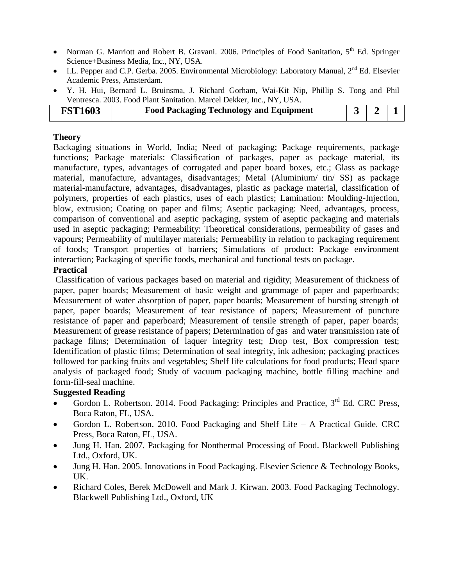- Norman G. Marriott and Robert B. Gravani. 2006. Principles of Food Sanitation,  $5<sup>th</sup>$  Ed. Springer Science+Business Media, Inc., NY, USA.
- I.L. Pepper and C.P. Gerba. 2005. Environmental Microbiology: Laboratory Manual, 2<sup>nd</sup> Ed. Elsevier Academic Press, Amsterdam.
- Y. H. Hui, Bernard L. Bruinsma, J. Richard Gorham, Wai-Kit Nip, Phillip S. Tong and Phil Ventresca. 2003. Food Plant Sanitation. Marcel Dekker, Inc., NY, USA.

| <b>FST1603</b> | <b>Food Packaging Technology and Equipment</b> |  |  |
|----------------|------------------------------------------------|--|--|

Backaging situations in World, India; Need of packaging; Package requirements, package functions; Package materials: Classification of packages, paper as package material, its manufacture, types, advantages of corrugated and paper board boxes, etc.; Glass as package material, manufacture, advantages, disadvantages; Metal (Aluminium/ tin/ SS) as package material-manufacture, advantages, disadvantages, plastic as package material, classification of polymers, properties of each plastics, uses of each plastics; Lamination: Moulding-Injection, blow, extrusion; Coating on paper and films; Aseptic packaging: Need, advantages, process, comparison of conventional and aseptic packaging, system of aseptic packaging and materials used in aseptic packaging; Permeability: Theoretical considerations, permeability of gases and vapours; Permeability of multilayer materials; Permeability in relation to packaging requirement of foods; Transport properties of barriers; Simulations of product: Package environment interaction; Packaging of specific foods, mechanical and functional tests on package.

### **Practical**

Classification of various packages based on material and rigidity; Measurement of thickness of paper, paper boards; Measurement of basic weight and grammage of paper and paperboards; Measurement of water absorption of paper, paper boards; Measurement of bursting strength of paper, paper boards; Measurement of tear resistance of papers; Measurement of puncture resistance of paper and paperboard; Measurement of tensile strength of paper, paper boards; Measurement of grease resistance of papers; Determination of gas and water transmission rate of package films; Determination of laquer integrity test; Drop test, Box compression test; Identification of plastic films; Determination of seal integrity, ink adhesion; packaging practices followed for packing fruits and vegetables; Shelf life calculations for food products; Head space analysis of packaged food; Study of vacuum packaging machine, bottle filling machine and form-fill-seal machine.

- Gordon L. Robertson. 2014. Food Packaging: Principles and Practice,  $3^{rd}$  Ed. CRC Press, Boca Raton, FL, USA.
- Gordon L. Robertson. 2010. Food Packaging and Shelf Life A Practical Guide. CRC Press, Boca Raton, FL, USA.
- Jung H. Han. 2007. Packaging for Nonthermal Processing of Food. Blackwell Publishing Ltd., Oxford, UK.
- Jung H. Han. 2005. Innovations in Food Packaging. Elsevier Science & Technology Books, UK.
- Richard Coles, Berek McDowell and Mark J. Kirwan. 2003. Food Packaging Technology. Blackwell Publishing Ltd., Oxford, UK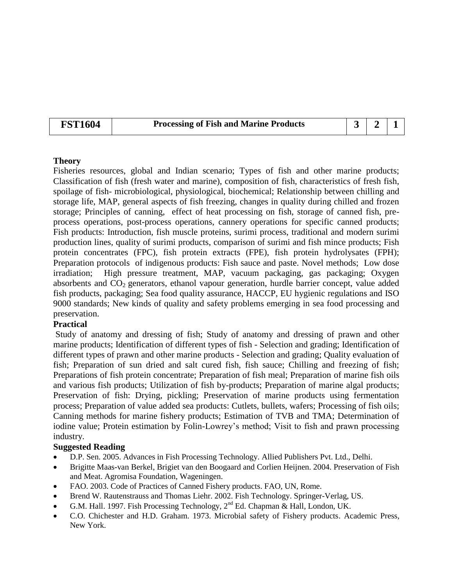### **FST1604 Processing of Fish and Marine Products**  $\begin{array}{|c|c|c|c|c|c|} \hline \end{array}$  **3**  $\begin{array}{|c|c|c|c|c|} \hline \end{array}$

### **Theory**

Fisheries resources, global and Indian scenario; Types of fish and other marine products; Classification of fish (fresh water and marine), composition of fish, characteristics of fresh fish, spoilage of fish- microbiological, physiological, biochemical; Relationship between chilling and storage life, MAP, general aspects of fish freezing, changes in quality during chilled and frozen storage; Principles of canning, effect of heat processing on fish, storage of canned fish, preprocess operations, post-process operations, cannery operations for specific canned products; Fish products: Introduction, fish muscle proteins, surimi process, traditional and modern surimi production lines, quality of surimi products, comparison of surimi and fish mince products; Fish protein concentrates (FPC), fish protein extracts (FPE), fish protein hydrolysates (FPH); Preparation protocols of indigenous products: Fish sauce and paste. Novel methods; Low dose irradiation; High pressure treatment, MAP, vacuum packaging, gas packaging; Oxygen absorbents and  $CO<sub>2</sub>$  generators, ethanol vapour generation, hurdle barrier concept, value added fish products, packaging; Sea food quality assurance, HACCP, EU hygienic regulations and ISO 9000 standards; New kinds of quality and safety problems emerging in sea food processing and preservation.

### **Practical**

Study of anatomy and dressing of fish; Study of anatomy and dressing of prawn and other marine products; Identification of different types of fish - Selection and grading; Identification of different types of prawn and other marine products - Selection and grading; Quality evaluation of fish; Preparation of sun dried and salt cured fish, fish sauce; Chilling and freezing of fish; Preparations of fish protein concentrate; Preparation of fish meal; Preparation of marine fish oils and various fish products; Utilization of fish by-products; Preparation of marine algal products; Preservation of fish: Drying, pickling; Preservation of marine products using fermentation process; Preparation of value added sea products: Cutlets, bullets, wafers; Processing of fish oils; Canning methods for marine fishery products; Estimation of TVB and TMA; Determination of iodine value; Protein estimation by Folin-Lowrey's method; Visit to fish and prawn processing industry.

- D.P. Sen. 2005. Advances in Fish Processing Technology. Allied Publishers Pvt. Ltd., Delhi.
- Brigitte Maas-van Berkel, Brigiet van den Boogaard and Corlien Heijnen. 2004. Preservation of Fish and Meat. Agromisa Foundation, Wageningen.
- FAO. 2003. Code of Practices of Canned Fishery products. FAO, UN, Rome.
- Brend W. Rautenstrauss and Thomas Liehr. 2002. Fish Technology. Springer-Verlag, US.
- G.M. Hall. 1997. Fish Processing Technology,  $2^{nd}$  Ed. Chapman & Hall, London, UK.
- C.O. Chichester and H.D. Graham. 1973. Microbial safety of Fishery products. Academic Press, New York.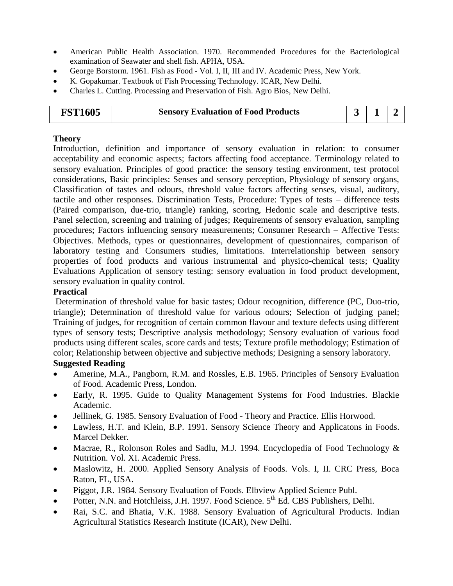- American Public Health Association. 1970. Recommended Procedures for the Bacteriological examination of Seawater and shell fish. APHA, USA.
- George Borstorm. 1961. Fish as Food Vol. I, II, III and IV. Academic Press, New York.
- K. Gopakumar. Textbook of Fish Processing Technology. ICAR, New Delhi.
- Charles L. Cutting. Processing and Preservation of Fish. Agro Bios, New Delhi.

| <b>FST1605</b> | <b>Sensory Evaluation of Food Products</b> |  |  |  |
|----------------|--------------------------------------------|--|--|--|
|----------------|--------------------------------------------|--|--|--|

Introduction, definition and importance of sensory evaluation in relation: to consumer acceptability and economic aspects; factors affecting food acceptance. Terminology related to sensory evaluation. Principles of good practice: the sensory testing environment, test protocol considerations, Basic principles: Senses and sensory perception, Physiology of sensory organs, Classification of tastes and odours, threshold value factors affecting senses, visual, auditory, tactile and other responses. Discrimination Tests, Procedure: Types of tests – difference tests (Paired comparison, due-trio, triangle) ranking, scoring, Hedonic scale and descriptive tests. Panel selection, screening and training of judges; Requirements of sensory evaluation, sampling procedures; Factors influencing sensory measurements; Consumer Research – Affective Tests: Objectives. Methods, types or questionnaires, development of questionnaires, comparison of laboratory testing and Consumers studies, limitations. Interrelationship between sensory properties of food products and various instrumental and physico-chemical tests; Quality Evaluations Application of sensory testing: sensory evaluation in food product development, sensory evaluation in quality control.

### **Practical**

Determination of threshold value for basic tastes; Odour recognition, difference (PC, Duo-trio, triangle); Determination of threshold value for various odours; Selection of judging panel; Training of judges, for recognition of certain common flavour and texture defects using different types of sensory tests; Descriptive analysis methodology; Sensory evaluation of various food products using different scales, score cards and tests; Texture profile methodology; Estimation of color; Relationship between objective and subjective methods; Designing a sensory laboratory.

- Amerine, M.A., Pangborn, R.M. and Rossles, E.B. 1965. Principles of Sensory Evaluation of Food. Academic Press, London.
- Early, R. 1995. Guide to Quality Management Systems for Food Industries. Blackie Academic.
- Jellinek, G. 1985. Sensory Evaluation of Food Theory and Practice. Ellis Horwood.
- Lawless, H.T. and Klein, B.P. 1991. Sensory Science Theory and Applicatons in Foods. Marcel Dekker.
- Macrae, R., Rolonson Roles and Sadlu, M.J. 1994. Encyclopedia of Food Technology & Nutrition. Vol. XI. Academic Press.
- Maslowitz, H. 2000. Applied Sensory Analysis of Foods. Vols. I, II. CRC Press, Boca Raton, FL, USA.
- Piggot, J.R. 1984. Sensory Evaluation of Foods. Elbview Applied Science Publ.
- Potter, N.N. and Hotchleiss, J.H. 1997. Food Science.  $5<sup>th</sup>$  Ed. CBS Publishers, Delhi.
- Rai, S.C. and Bhatia, V.K. 1988. Sensory Evaluation of Agricultural Products. Indian Agricultural Statistics Research Institute (ICAR), New Delhi.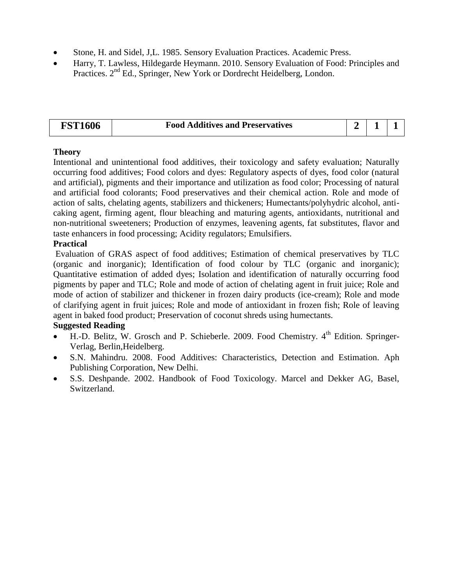- Stone, H. and Sidel, J,L. 1985. Sensory Evaluation Practices. Academic Press.
- Harry, T. Lawless, Hildegarde Heymann. 2010. Sensory Evaluation of Food: Principles and Practices. 2nd Ed., Springer, New York or Dordrecht Heidelberg, London.

| 1606<br><b>DCT</b> | <b>Food Additives and Preservatives</b> |  |  |
|--------------------|-----------------------------------------|--|--|
|                    |                                         |  |  |

Intentional and unintentional food additives, their toxicology and safety evaluation; Naturally occurring food additives; Food colors and dyes: Regulatory aspects of dyes, food color (natural and artificial), pigments and their importance and utilization as food color; Processing of natural and artificial food colorants; Food preservatives and their chemical action. Role and mode of action of salts, chelating agents, stabilizers and thickeners; Humectants/polyhydric alcohol, anticaking agent, firming agent, flour bleaching and maturing agents, antioxidants, nutritional and non-nutritional sweeteners; Production of enzymes, leavening agents, fat substitutes, flavor and taste enhancers in food processing; Acidity regulators; Emulsifiers.

### **Practical**

Evaluation of GRAS aspect of food additives; Estimation of chemical preservatives by TLC (organic and inorganic); Identification of food colour by TLC (organic and inorganic); Quantitative estimation of added dyes; Isolation and identification of naturally occurring food pigments by paper and TLC; Role and mode of action of chelating agent in fruit juice; Role and mode of action of stabilizer and thickener in frozen dairy products (ice-cream); Role and mode of clarifying agent in fruit juices; Role and mode of antioxidant in frozen fish; Role of leaving agent in baked food product; Preservation of coconut shreds using humectants.

- $\bullet$  H.-D. Belitz, W. Grosch and P. Schieberle. 2009. Food Chemistry.  $4^{\text{th}}$  Edition. Springer-Verlag, Berlin,Heidelberg.
- S.N. Mahindru. 2008. Food Additives: Characteristics, Detection and Estimation. Aph Publishing Corporation, New Delhi.
- S.S. Deshpande. 2002. Handbook of Food Toxicology. Marcel and Dekker AG, Basel, Switzerland.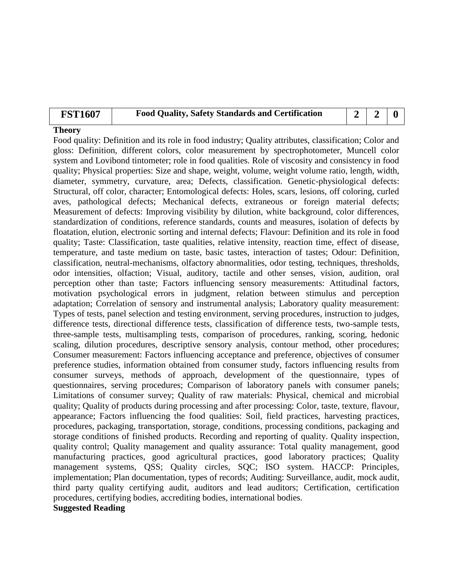| <b>Food Quality, Safety Standards and Certification</b><br><b>FST1607</b> |  | $\begin{array}{c c c c c} 2 & 2 & 0 \end{array}$ |  |
|---------------------------------------------------------------------------|--|--------------------------------------------------|--|
|---------------------------------------------------------------------------|--|--------------------------------------------------|--|

Food quality: Definition and its role in food industry; Quality attributes, classification; Color and gloss: Definition, different colors, color measurement by spectrophotometer, Muncell color system and Lovibond tintometer; role in food qualities. Role of viscosity and consistency in food quality; Physical properties: Size and shape, weight, volume, weight volume ratio, length, width, diameter, symmetry, curvature, area; Defects, classification. Genetic-physiological defects: Structural, off color, character; Entomological defects: Holes, scars, lesions, off coloring, curled aves, pathological defects; Mechanical defects, extraneous or foreign material defects; Measurement of defects: Improving visibility by dilution, white background, color differences, standardization of conditions, reference standards, counts and measures, isolation of defects by floatation, elution, electronic sorting and internal defects; Flavour: Definition and its role in food quality; Taste: Classification, taste qualities, relative intensity, reaction time, effect of disease, temperature, and taste medium on taste, basic tastes, interaction of tastes; Odour: Definition, classification, neutral-mechanisms, olfactory abnormalities, odor testing, techniques, thresholds, odor intensities, olfaction; Visual, auditory, tactile and other senses, vision, audition, oral perception other than taste; Factors influencing sensory measurements: Attitudinal factors, motivation psychological errors in judgment, relation between stimulus and perception adaptation; Correlation of sensory and instrumental analysis; Laboratory quality measurement: Types of tests, panel selection and testing environment, serving procedures, instruction to judges, difference tests, directional difference tests, classification of difference tests, two-sample tests, three-sample tests, multisampling tests, comparison of procedures, ranking, scoring, hedonic scaling, dilution procedures, descriptive sensory analysis, contour method, other procedures; Consumer measurement: Factors influencing acceptance and preference, objectives of consumer preference studies, information obtained from consumer study, factors influencing results from consumer surveys, methods of approach, development of the questionnaire, types of questionnaires, serving procedures; Comparison of laboratory panels with consumer panels; Limitations of consumer survey; Quality of raw materials: Physical, chemical and microbial quality; Quality of products during processing and after processing: Color, taste, texture, flavour, appearance; Factors influencing the food qualities: Soil, field practices, harvesting practices, procedures, packaging, transportation, storage, conditions, processing conditions, packaging and storage conditions of finished products. Recording and reporting of quality. Quality inspection, quality control; Quality management and quality assurance: Total quality management, good manufacturing practices, good agricultural practices, good laboratory practices; Quality management systems, QSS; Quality circles, SQC; ISO system. HACCP: Principles, implementation; Plan documentation, types of records; Auditing: Surveillance, audit, mock audit, third party quality certifying audit, auditors and lead auditors; Certification, certification procedures, certifying bodies, accrediting bodies, international bodies.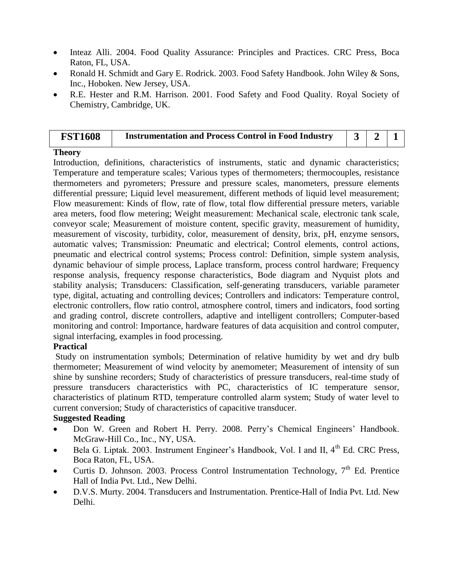- Inteaz Alli. 2004. Food Quality Assurance: Principles and Practices. CRC Press, Boca Raton, FL, USA.
- Ronald H. Schmidt and Gary E. Rodrick. 2003. Food Safety Handbook. John Wiley & Sons, Inc., Hoboken. New Jersey, USA.
- R.E. Hester and R.M. Harrison. 2001. Food Safety and Food Quality. Royal Society of Chemistry, Cambridge, UK.

| <b>FST1608</b> | <b>Instrumentation and Process Control in Food Industry</b> |  |  |
|----------------|-------------------------------------------------------------|--|--|
|                |                                                             |  |  |

Introduction, definitions, characteristics of instruments, static and dynamic characteristics; Temperature and temperature scales; Various types of thermometers; thermocouples, resistance thermometers and pyrometers; Pressure and pressure scales, manometers, pressure elements differential pressure; Liquid level measurement, different methods of liquid level measurement; Flow measurement: Kinds of flow, rate of flow, total flow differential pressure meters, variable area meters, food flow metering; Weight measurement: Mechanical scale, electronic tank scale, conveyor scale; Measurement of moisture content, specific gravity, measurement of humidity, measurement of viscosity, turbidity, color, measurement of density, brix, pH, enzyme sensors, automatic valves; Transmission: Pneumatic and electrical; Control elements, control actions, pneumatic and electrical control systems; Process control: Definition, simple system analysis, dynamic behaviour of simple process, Laplace transform, process control hardware; Frequency response analysis, frequency response characteristics, Bode diagram and Nyquist plots and stability analysis; Transducers: Classification, self-generating transducers, variable parameter type, digital, actuating and controlling devices; Controllers and indicators: Temperature control, electronic controllers, flow ratio control, atmosphere control, timers and indicators, food sorting and grading control, discrete controllers, adaptive and intelligent controllers; Computer-based monitoring and control: Importance, hardware features of data acquisition and control computer, signal interfacing, examples in food processing.

### **Practical**

Study on instrumentation symbols; Determination of relative humidity by wet and dry bulb thermometer; Measurement of wind velocity by anemometer; Measurement of intensity of sun shine by sunshine recorders; Study of characteristics of pressure transducers, real-time study of pressure transducers characteristics with PC, characteristics of IC temperature sensor, characteristics of platinum RTD, temperature controlled alarm system; Study of water level to current conversion; Study of characteristics of capacitive transducer.

- Don W. Green and Robert H. Perry. 2008. Perry's Chemical Engineers' Handbook. McGraw-Hill Co., Inc., NY, USA.
- Bela G. Liptak. 2003. Instrument Engineer's Handbook, Vol. I and II, 4<sup>th</sup> Ed. CRC Press, Boca Raton, FL, USA.
- Curtis D. Johnson. 2003. Process Control Instrumentation Technology,  $7<sup>th</sup>$  Ed. Prentice Hall of India Pvt. Ltd., New Delhi.
- D.V.S. Murty. 2004. Transducers and Instrumentation. Prentice-Hall of India Pvt. Ltd. New Delhi.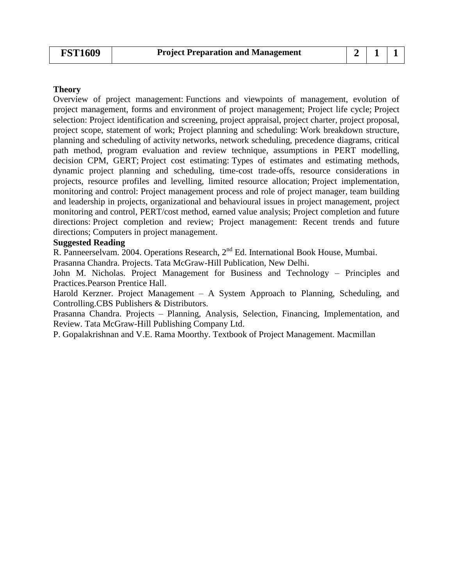Overview of project management: Functions and viewpoints of management, evolution of project management, forms and environment of project management; Project life cycle; Project selection: Project identification and screening, project appraisal, project charter, project proposal, project scope, statement of work; Project planning and scheduling: Work breakdown structure, planning and scheduling of activity networks, network scheduling, precedence diagrams, critical path method, program evaluation and review technique, assumptions in PERT modelling, decision CPM, GERT; Project cost estimating: Types of estimates and estimating methods, dynamic project planning and scheduling, time-cost trade-offs, resource considerations in projects, resource profiles and levelling, limited resource allocation; Project implementation, monitoring and control: Project management process and role of project manager, team building and leadership in projects, organizational and behavioural issues in project management, project monitoring and control, PERT/cost method, earned value analysis; Project completion and future directions: Project completion and review; Project management: Recent trends and future directions; Computers in project management.

### **Suggested Reading**

R. Panneerselvam. 2004. Operations Research, 2<sup>nd</sup> Ed. International Book House, Mumbai.

Prasanna Chandra. Projects. Tata McGraw-Hill Publication, New Delhi.

John M. Nicholas. Project Management for Business and Technology – Principles and Practices.Pearson Prentice Hall.

Harold Kerzner. Project Management – A System Approach to Planning, Scheduling, and Controlling.CBS Publishers & Distributors.

Prasanna Chandra. Projects – Planning, Analysis, Selection, Financing, Implementation, and Review. Tata McGraw-Hill Publishing Company Ltd.

P. Gopalakrishnan and V.E. Rama Moorthy. Textbook of Project Management. Macmillan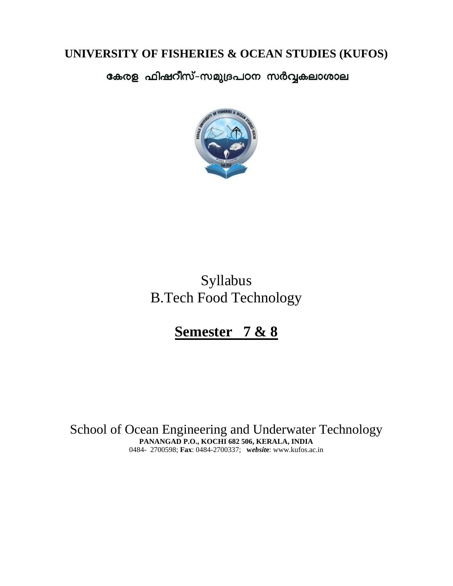## **UNIVERSITY OF FISHERIES & OCEAN STUDIES (KUFOS)**

കേരള ഫിഷറീസ്-സമുദ്രപഠന സർവ്വകലാശാല



# Syllabus B.Tech Food Technology

# **Semester 7 & 8**

School of Ocean Engineering and Underwater Technology **PANANGAD P.O., KOCHI 682 506, KERALA, INDIA** 0484- 2700598; **Fax**: 0484-2700337; **w***ebsit***e**: www.kufos.ac.in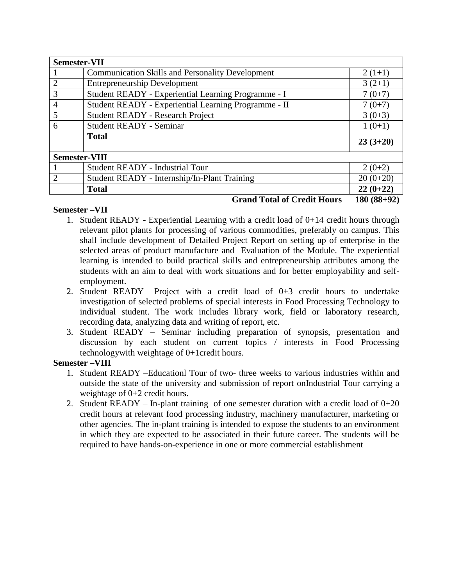| <b>Semester-VII</b>  |                                                         |              |
|----------------------|---------------------------------------------------------|--------------|
|                      | <b>Communication Skills and Personality Development</b> | $2(1+1)$     |
| $\overline{2}$       | <b>Entrepreneurship Development</b>                     | $3(2+1)$     |
| 3                    | Student READY - Experiential Learning Programme - I     | $7(0+7)$     |
| $\overline{4}$       | Student READY - Experiential Learning Programme - II    | $7(0+7)$     |
| 5                    | <b>Student READY - Research Project</b>                 | $3(0+3)$     |
| 6                    | <b>Student READY - Seminar</b>                          | $1(0+1)$     |
|                      | <b>Total</b>                                            | $23(3+20)$   |
| <b>Semester-VIII</b> |                                                         |              |
|                      | <b>Student READY - Industrial Tour</b>                  | $2(0+2)$     |
| $\overline{2}$       | Student READY - Internship/In-Plant Training            | $20(0+20)$   |
|                      | <b>Total</b>                                            | $22(0+22)$   |
|                      | <b>Grand Total of Credit Hours</b>                      | $180(88+92)$ |

### **Semester –VII**

- 1. Student READY Experiential Learning with a credit load of 0+14 credit hours through relevant pilot plants for processing of various commodities, preferably on campus. This shall include development of Detailed Project Report on setting up of enterprise in the selected areas of product manufacture and Evaluation of the Module. The experiential learning is intended to build practical skills and entrepreneurship attributes among the students with an aim to deal with work situations and for better employability and selfemployment.
- 2. Student READY –Project with a credit load of 0+3 credit hours to undertake investigation of selected problems of special interests in Food Processing Technology to individual student. The work includes library work, field or laboratory research, recording data, analyzing data and writing of report, etc.
- 3. Student READY Seminar including preparation of synopsis, presentation and discussion by each student on current topics / interests in Food Processing technologywith weightage of 0+1credit hours.

### **Semester –VIII**

- 1. Student READY –Educationl Tour of two- three weeks to various industries within and outside the state of the university and submission of report onIndustrial Tour carrying a weightage of 0+2 credit hours.
- 2. Student READY In-plant training of one semester duration with a credit load of  $0+20$ credit hours at relevant food processing industry, machinery manufacturer, marketing or other agencies. The in-plant training is intended to expose the students to an environment in which they are expected to be associated in their future career. The students will be required to have hands-on-experience in one or more commercial establishment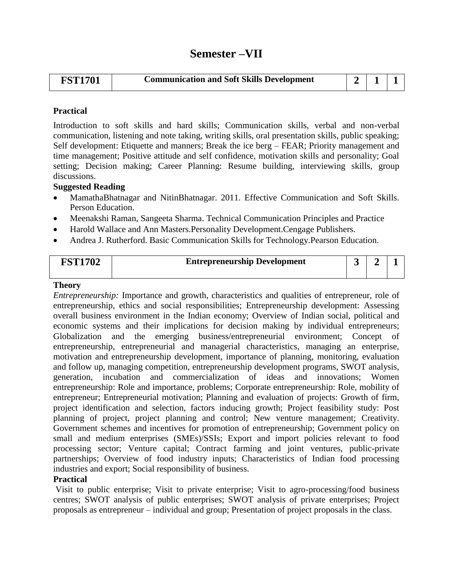| <b>FST1701</b> | <b>Communication and Soft Skills Development</b> |  |  |  |
|----------------|--------------------------------------------------|--|--|--|
|----------------|--------------------------------------------------|--|--|--|

### **Practical**

Introduction to soft skills and hard skills; Communication skills, verbal and non-verbal communication, listening and note taking, writing skills, oral presentation skills, public speaking; Self development: Etiquette and manners; Break the ice berg – FEAR; Priority management and time management; Positive attitude and self confidence, motivation skills and personality; Goal setting; Decision making; Career Planning: Resume building, interviewing skills, group discussions.

### **Suggested Reading**

- MamathaBhatnagar and NitinBhatnagar. 2011. Effective Communication and Soft Skills. Person Education.
- Meenakshi Raman, Sangeeta Sharma. Technical Communication Principles and Practice
- Harold Wallace and Ann Masters.Personality Development.Cengage Publishers.
- Andrea J. Rutherford. Basic Communication Skills for Technology.Pearson Education.

| <b>FST1702</b> | <b>Entrepreneurship Development</b> |  |  |
|----------------|-------------------------------------|--|--|
|                |                                     |  |  |

### **Theory**

*Entrepreneurship:* Importance and growth, characteristics and qualities of entrepreneur, role of entrepreneurship, ethics and social responsibilities; Entrepreneurship development: Assessing overall business environment in the Indian economy; Overview of Indian social, political and economic systems and their implications for decision making by individual entrepreneurs; Globalization and the emerging business/entrepreneurial environment; Concept of entrepreneurship, entrepreneurial and managerial characteristics, managing an enterprise, motivation and entrepreneurship development, importance of planning, monitoring, evaluation and follow up, managing competition, entrepreneurship development programs, SWOT analysis, generation, incubation and commercialization of ideas and innovations; Women entrepreneurship: Role and importance, problems; Corporate entrepreneurship: Role, mobility of entrepreneur; Entrepreneurial motivation; Planning and evaluation of projects: Growth of firm, project identification and selection, factors inducing growth; Project feasibility study: Post planning of project, project planning and control; New venture management; Creativity. Government schemes and incentives for promotion of entrepreneurship; Government policy on small and medium enterprises (SMEs)/SSIs; Export and import policies relevant to food processing sector; Venture capital; Contract farming and joint ventures, public-private partnerships; Overview of food industry inputs; Characteristics of Indian food processing industries and export; Social responsibility of business.

### **Practical**

Visit to public enterprise; Visit to private enterprise; Visit to agro-processing/food business centres; SWOT analysis of public enterprises; SWOT analysis of private enterprises; Project proposals as entrepreneur – individual and group; Presentation of project proposals in the class.